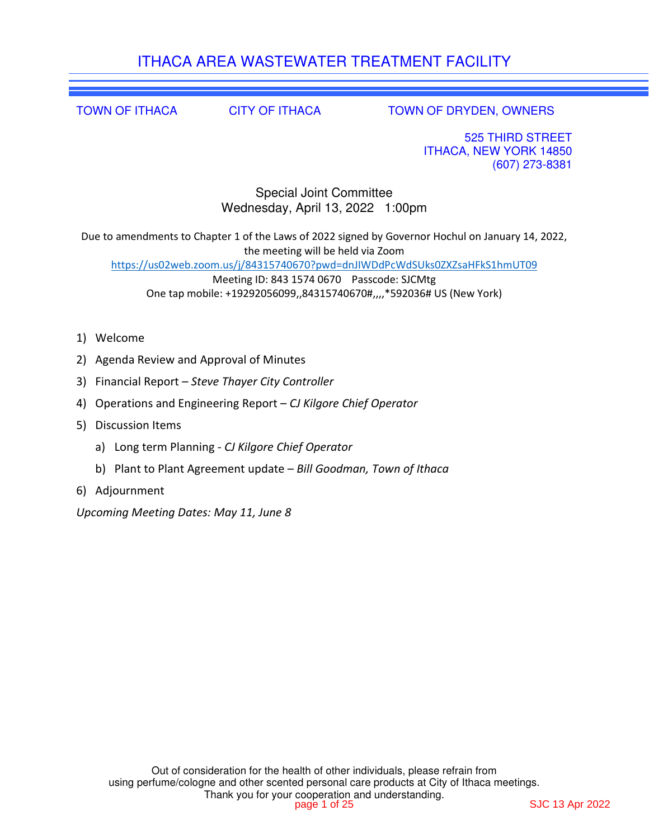# ITHACA AREA WASTEWATER TREATMENT FACILITY

TOWN OF ITHACA CITY OF ITHACA TOWN OF DRYDEN, OWNERS

525 THIRD STREET ITHACA, NEW YORK 14850 (607) 273-8381

Special Joint Committee Wednesday, April 13, 2022 1:00pm

Due to amendments to Chapter 1 of the Laws of 2022 signed by Governor Hochul on January 14, 2022, the meeting will be held via Zoom https://us02web.zoom.us/j/84315740670?pwd=dnJIWDdPcWdSUks0ZXZsaHFkS1hmUT09 Meeting ID: 843 1574 0670 Passcode: SJCMtg One tap mobile: +19292056099,,84315740670#,,,,\*592036# US (New York)

- 1) Welcome
- 2) Agenda Review and Approval of Minutes
- 3) Financial Report *Steve Thayer City Controller*
- 4) Operations and Engineering Report *CJ Kilgore Chief Operator*
- 5) Discussion Items
	- a) Long term Planning *CJ Kilgore Chief Operator*
	- b) Plant to Plant Agreement update *Bill Goodman, Town of Ithaca*
- 6) Adjournment

*Upcoming Meeting Dates: May 11, June 8*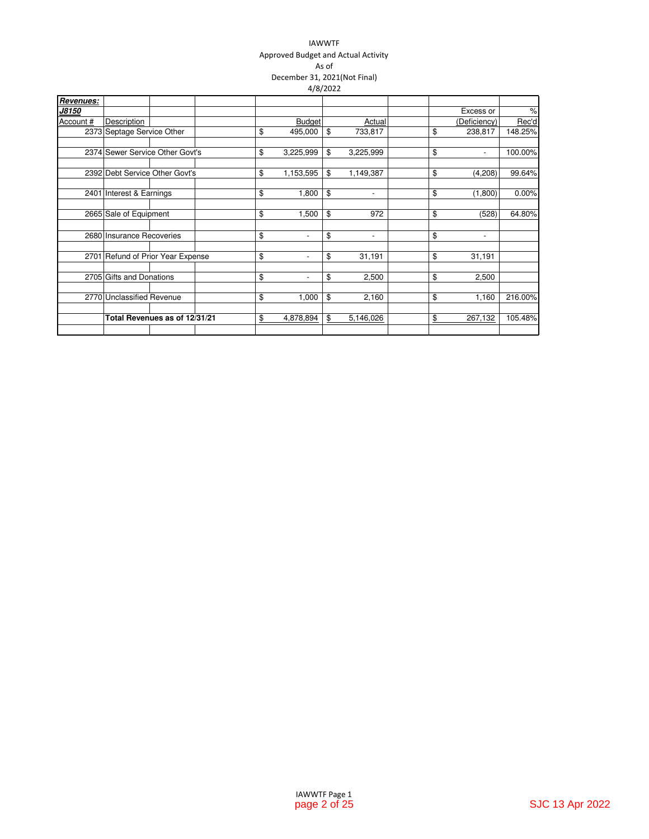### IAWWTF Approved Budget and Actual Activity As of December 31, 2021(Not Final) 4/8/2022

|           |                                   |  |               |                          | 10000000 |                          |               |                          |               |
|-----------|-----------------------------------|--|---------------|--------------------------|----------|--------------------------|---------------|--------------------------|---------------|
| Revenues: |                                   |  |               |                          |          |                          |               |                          |               |
| J8150     |                                   |  |               |                          |          |                          |               | Excess or                | $\frac{9}{6}$ |
| Account # | Description                       |  |               | <b>Budget</b>            |          | Actual                   |               | (Deficiency)             | Rec'd         |
|           | 2373 Septage Service Other        |  | \$            | 495,000                  | \$       | 733,817                  | \$            | 238,817                  | 148.25%       |
|           | 2374 Sewer Service Other Govt's   |  | \$            | 3,225,999                | \$       | 3,225,999                | \$            | $\overline{\phantom{a}}$ | 100.00%       |
|           | 2392 Debt Service Other Govt's    |  | \$            | 1,153,595                | \$       | 1,149,387                | \$            | (4,208)                  | 99.64%        |
|           | 2401 Interest & Earnings          |  | \$            | 1,800                    | \$       | $\overline{\phantom{a}}$ | \$            | (1,800)                  | 0.00%         |
|           | 2665 Sale of Equipment            |  | \$            | 1,500                    | \$       | 972                      | \$            | (528)                    | 64.80%        |
|           | 2680 Insurance Recoveries         |  | \$            | $\overline{\phantom{a}}$ | \$       | $\overline{\phantom{a}}$ | \$            | $\overline{\phantom{a}}$ |               |
|           | 2701 Refund of Prior Year Expense |  | \$            | $\overline{\phantom{a}}$ | \$       | 31,191                   | \$            | 31,191                   |               |
|           | 2705 Gifts and Donations          |  | \$            | $\overline{\phantom{a}}$ | \$       | 2,500                    | \$            | 2,500                    |               |
|           | 2770 Unclassified Revenue         |  | \$            | 1,000                    | \$       | 2,160                    | \$            | 1,160                    | 216.00%       |
|           | Total Revenues as of 12/31/21     |  | $\frac{1}{2}$ | 4,878,894                | \$       | 5,146,026                | $\frac{1}{2}$ | 267,132                  | 105.48%       |
|           |                                   |  |               |                          |          |                          |               |                          |               |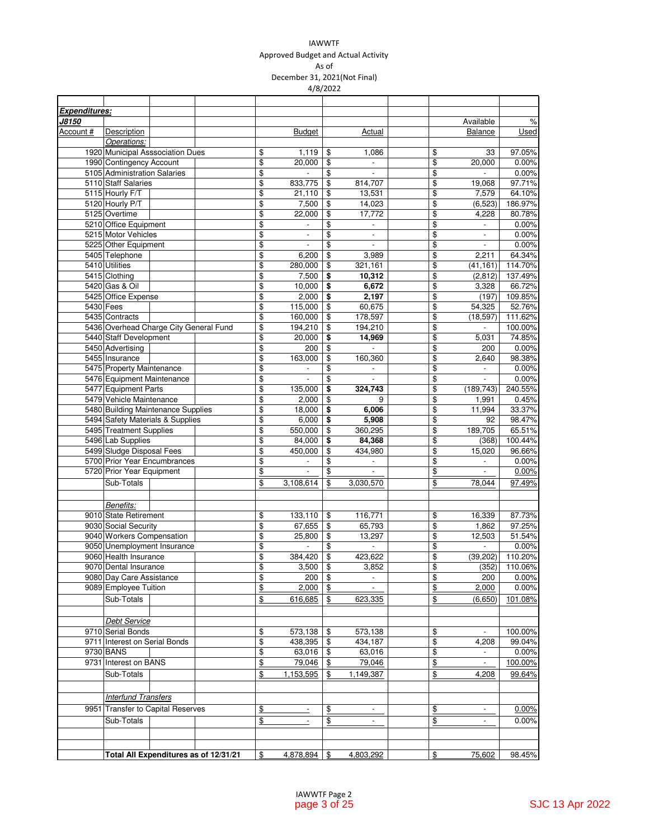### IAWWTF

Approved Budget and Actual Activity

As of December 31, 2021(Not Final)

4/8/2022

| Expenditures: |                               |                                        |                                       |               |                          |               |                          |                  |                             |               |
|---------------|-------------------------------|----------------------------------------|---------------------------------------|---------------|--------------------------|---------------|--------------------------|------------------|-----------------------------|---------------|
| <u>J8150</u>  |                               |                                        |                                       |               |                          |               |                          |                  | Available                   | $\%$          |
| Account #     | Description                   |                                        |                                       |               | <b>Budget</b>            |               | Actual                   |                  | Balance                     | <b>Used</b>   |
|               | Operations:                   |                                        |                                       |               |                          |               |                          |                  |                             |               |
|               |                               | 1920 Municipal Asssociation Dues       |                                       | \$            | 1,119                    | \$            | 1.086                    | \$               | 33                          | 97.05%        |
|               | 1990 Contingency Account      |                                        |                                       | \$            | 20,000                   | \$            |                          | \$               | 20,000                      | 0.00%         |
|               | 5105 Administration Salaries  |                                        |                                       | \$            |                          | \$            | $\overline{\phantom{a}}$ | \$               | $\overline{\phantom{0}}$    | 0.00%         |
|               | 5110 Staff Salaries           |                                        |                                       | \$            | 833,775                  | \$            | 814,707                  | \$               | 19,068                      | 97.71%        |
|               | 5115 Hourly F/T               |                                        |                                       | \$            | 21,110                   | \$            | 13,531                   | \$               | 7,579                       | 64.10%        |
|               | 5120 Hourly P/T               |                                        |                                       | \$            | 7,500                    | \$            | 14,023                   | \$               | (6, 523)                    | 186.97%       |
|               | 5125 Overtime                 |                                        |                                       | \$            | 22,000                   | \$            | 17,772                   | \$               | 4,228                       | 80.78%        |
|               | 5210 Office Equipment         |                                        |                                       | \$            | $\overline{\phantom{a}}$ | \$            | $\blacksquare$           | \$               | $\overline{\phantom{a}}$    | 0.00%         |
|               | 5215 Motor Vehicles           |                                        |                                       | \$            | $\overline{\phantom{a}}$ | \$            | $\overline{\phantom{a}}$ | \$               | $\overline{\phantom{a}}$    | 0.00%         |
|               | 5225 Other Equipment          |                                        |                                       | \$            | $\frac{1}{2}$            | \$            | $\mathbf{r}$             | \$               | $\blacksquare$              | 0.00%         |
|               | 5405 Telephone                |                                        |                                       | \$            | 6,200                    | \$            | 3,989                    | \$               | 2,211                       | 64.34%        |
|               |                               |                                        |                                       |               |                          |               |                          |                  |                             |               |
|               | 5410 Utilities                |                                        |                                       | \$            | 280,000                  | \$            | 321,161                  | \$<br>\$         | (41, 161)                   | 114.70%       |
|               | 5415 Clothing                 |                                        |                                       | \$            | 7,500                    | \$            | 10,312                   |                  | (2,812)                     | 137.49%       |
|               | 5420 Gas & Oil                |                                        |                                       | \$            | 10,000                   | \$            | 6,672                    | \$               | 3,328                       | 66.72%        |
|               | 5425 Office Expense           |                                        |                                       | \$            | 2,000                    | \$            | 2,197                    | \$               | (197)                       | 109.85%       |
|               | 5430 Fees                     |                                        |                                       | \$            | 115,000                  | \$            | 60,675                   | \$               | 54,325                      | 52.76%        |
|               | 5435 Contracts                |                                        |                                       | \$            | 160,000                  | \$            | 178,597                  | \$               | (18, 597)                   | 111.62%       |
|               |                               | 5436 Overhead Charge City General Fund |                                       | \$            | 194,210                  | \$            | 194,210                  | \$               | $\overline{a}$              | 100.00%       |
|               | 5440 Staff Development        |                                        |                                       | \$            | 20,000                   | \$            | 14,969                   | \$               | 5,031                       | 74.85%        |
|               | 5450 Advertising              |                                        |                                       | \$            | 200                      | \$            |                          | \$               | 200                         | 0.00%         |
|               | 5455 Insurance                |                                        |                                       | \$            | 163,000                  | \$            | 160,360                  | \$               | 2,640                       | 98.38%        |
|               | 5475 Property Maintenance     |                                        |                                       | \$            | $\overline{\phantom{a}}$ | \$            | $\blacksquare$           | \$               | $\blacksquare$              | 0.00%         |
|               | 5476 Equipment Maintenance    |                                        |                                       | \$            | $\frac{1}{2}$            | \$            | $\overline{\phantom{a}}$ | \$               | $\overline{a}$              | 0.00%         |
|               | 5477 Equipment Parts          |                                        |                                       | \$            | 135,000                  | \$            | 324,743                  | \$               | (189, 743)                  | 240.55%       |
|               | 5479 Vehicle Maintenance      |                                        |                                       | \$            | 2,000                    | \$            | 9                        | \$               | 1,991                       | 0.45%         |
|               |                               | 5480 Building Maintenance Supplies     |                                       | \$            | 18,000                   | \$            | 6,006                    | \$               | 11,994                      | 33.37%        |
|               |                               | 5494 Safety Materials & Supplies       |                                       | \$            | 6,000                    | \$            | 5,908                    | \$               | 92                          | 98.47%        |
|               | 5495 Treatment Supplies       |                                        |                                       | \$            | 550,000                  | \$            | 360,295                  | \$               | 189,705                     | 65.51%        |
|               | 5496 Lab Supplies             |                                        |                                       | \$            | 84,000                   | \$            | 84,368                   | \$               | (368)                       | 100.44%       |
|               | 5499 Sludge Disposal Fees     |                                        |                                       | \$            | 450,000                  | \$            | 434,980                  | \$               | 15,020                      | 96.66%        |
|               |                               | 5700 Prior Year Encumbrances           |                                       | \$            |                          | \$            | $\overline{\phantom{a}}$ | \$               |                             | 0.00%         |
|               | 5720 Prior Year Equipment     |                                        |                                       |               | $\overline{\phantom{a}}$ |               | $\blacksquare$           |                  | $\overline{a}$              | 0.00%         |
|               |                               |                                        |                                       | $\frac{1}{2}$ |                          | \$            |                          | \$               |                             |               |
|               | Sub-Totals                    |                                        |                                       | \$            | 3,108,614                | \$            | 3,030,570                | \$               | 78,044                      | 97.49%        |
|               |                               |                                        |                                       |               |                          |               |                          |                  |                             |               |
|               | Benefits:                     |                                        |                                       |               |                          |               |                          |                  |                             |               |
|               | 9010 State Retirement         |                                        |                                       | \$            | 133,110                  | \$            | 116,771                  | \$               | 16,339                      | 87.73%        |
|               | 9030 Social Security          |                                        |                                       | \$            | 67,655                   | \$            | 65,793                   | \$               | 1,862                       | 97.25%        |
|               | 9040 Workers Compensation     |                                        |                                       | \$            | 25,800                   | \$            | 13,297                   | \$               | 12,503                      | 51.54%        |
|               |                               | 9050 Unemployment Insurance            |                                       | \$            | $\overline{a}$           | \$            | $\overline{\phantom{a}}$ | \$               | $\mathcal{L}_{\mathcal{A}}$ | 0.00%         |
|               | 9060 Health Insurance         |                                        |                                       | \$            | 384,420                  | \$            | 423,622                  | \$               | (39, 202)                   | 110.20%       |
|               | 9070 Dental Insurance         |                                        |                                       | \$            | 3,500                    | \$            | 3,852                    | \$               |                             | (352) 110.06% |
|               | 9080 Day Care Assistance      |                                        |                                       | \$            | 200                      | \$            | $\overline{\phantom{a}}$ | \$               | 200                         | 0.00%         |
|               | 9089 Employee Tuition         |                                        |                                       | \$            | 2,000                    | \$            | $\Box$                   | \$               | 2,000                       | 0.00%         |
|               | Sub-Totals                    |                                        |                                       | $\frac{1}{2}$ | 616,685                  | \$            | 623,335                  | $\underline{\$}$ | (6,650)                     | 101.08%       |
|               |                               |                                        |                                       |               |                          |               |                          |                  |                             |               |
|               |                               |                                        |                                       |               |                          |               |                          |                  |                             |               |
|               | <b>Debt Service</b>           |                                        |                                       |               |                          |               |                          |                  |                             |               |
|               | 9710 Serial Bonds             |                                        |                                       | \$            | 573,138                  | \$            | 573,138                  | \$               | $\frac{1}{2}$               | 100.00%       |
|               | 9711 Interest on Serial Bonds |                                        |                                       | \$            | 438,395                  | \$            | 434,187                  | \$               | 4,208                       | 99.04%        |
|               | 9730 BANS                     |                                        |                                       | \$            | 63,016                   | \$            | 63,016                   | \$               |                             | 0.00%         |
|               | 9731 Interest on BANS         |                                        |                                       | $\frac{1}{2}$ | 79,046                   | \$            | 79,046                   | \$               | $\frac{1}{2}$               | 100.00%       |
|               | Sub-Totals                    |                                        |                                       | $\frac{1}{2}$ | 1,153,595                | \$            | 1,149,387                | \$               | 4,208                       | 99.64%        |
|               |                               |                                        |                                       |               |                          |               |                          |                  |                             |               |
|               | <b>Interfund Transfers</b>    |                                        |                                       |               |                          |               |                          |                  |                             |               |
|               |                               |                                        |                                       |               |                          |               |                          |                  |                             |               |
|               |                               | 9951 Transfer to Capital Reserves      |                                       | \$            |                          | $\frac{1}{2}$ |                          | \$               |                             | 0.00%         |
|               | Sub-Totals                    |                                        |                                       | $\frac{1}{2}$ | $\overline{a}$           | \$            | $\overline{\phantom{a}}$ | \$               | $\overline{\phantom{a}}$    | 0.00%         |
|               |                               |                                        |                                       |               |                          |               |                          |                  |                             |               |
|               |                               |                                        |                                       |               |                          |               |                          |                  |                             |               |
|               |                               |                                        | Total All Expenditures as of 12/31/21 | \$            | 4,878,894                | \$            | 4,803,292                | \$               | 75,602                      | 98.45%        |
|               |                               |                                        |                                       |               |                          |               |                          |                  |                             |               |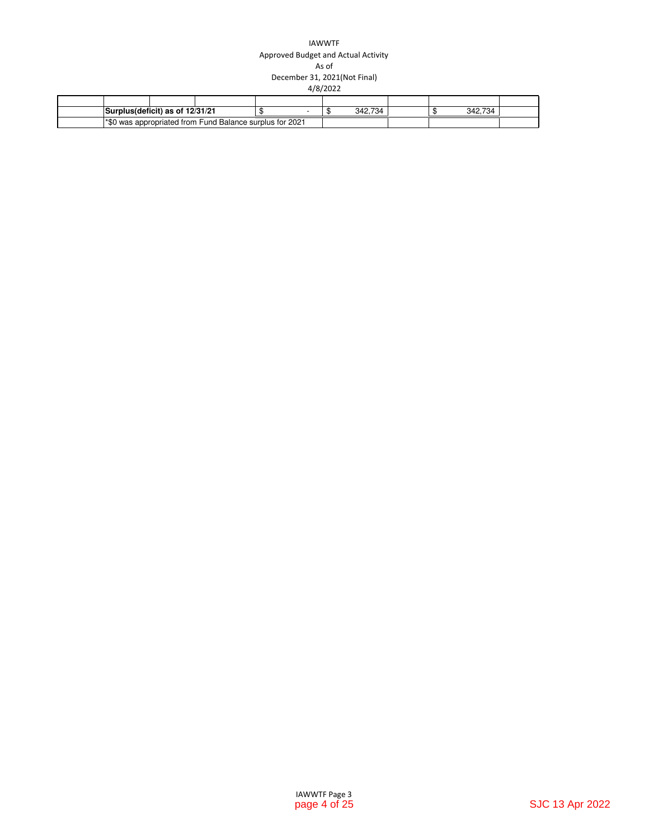### IAWWTF Approved Budget and Actual Activity As of December 31, 2021(Not Final) 4/8/2022

| Surplus(deficit) as of 12/31/21 |                                                                  |  | 734<br>342.7 |  | 734<br>342.7 |  |
|---------------------------------|------------------------------------------------------------------|--|--------------|--|--------------|--|
|                                 | <b>1*\$0 was appropriated from Fund Balance surplus for 2021</b> |  |              |  |              |  |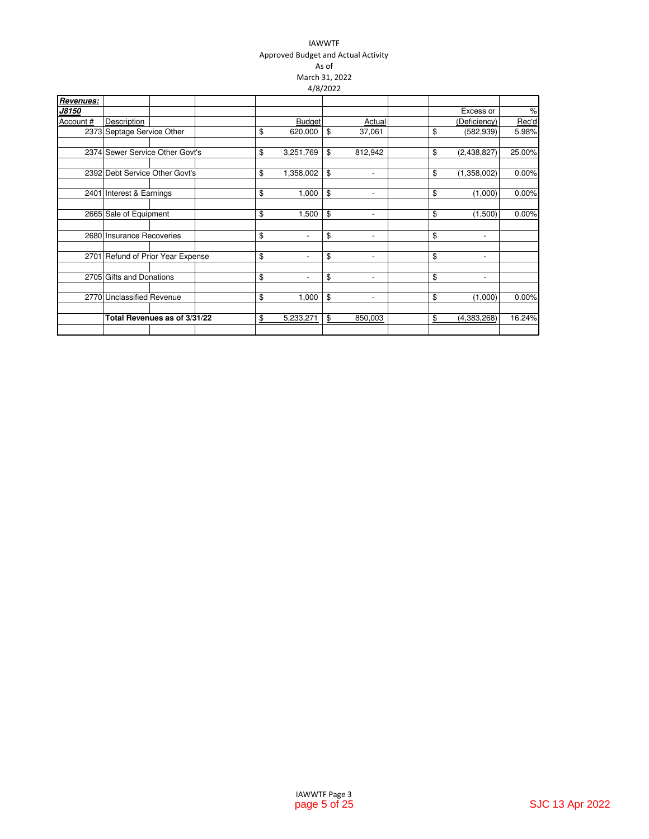### IAWWTF Approved Budget and Actual Activity As of March 31, 2022 4/8/2022

| Revenues: |                                   |                              |    |                          |                                |    |                          |        |
|-----------|-----------------------------------|------------------------------|----|--------------------------|--------------------------------|----|--------------------------|--------|
| J8150     |                                   |                              |    |                          |                                |    | Excess or                | $\%$   |
| Account # | Description                       |                              |    | <b>Budget</b>            | Actual                         |    | (Deficiency)             | Rec'd  |
|           | 2373 Septage Service Other        |                              | \$ | 620,000                  | \$<br>37,061                   | \$ | (582, 939)               | 5.98%  |
|           | 2374 Sewer Service Other Govt's   |                              | \$ | 3,251,769                | \$<br>812,942                  | \$ | (2,438,827)              | 25.00% |
|           | 2392 Debt Service Other Govt's    |                              | \$ | 1,358,002                | \$<br>٠                        | \$ | (1,358,002)              | 0.00%  |
|           | 2401 Interest & Earnings          |                              | \$ | 1,000                    | \$<br>$\overline{\phantom{a}}$ | \$ | (1,000)                  | 0.00%  |
|           | 2665 Sale of Equipment            |                              | \$ | 1,500                    | \$<br>$\overline{\phantom{a}}$ | \$ | (1,500)                  | 0.00%  |
|           | 2680 Insurance Recoveries         |                              | \$ | $\overline{\phantom{a}}$ | \$<br>$\overline{\phantom{a}}$ | \$ | $\overline{\phantom{a}}$ |        |
|           | 2701 Refund of Prior Year Expense |                              | \$ | $\overline{\phantom{a}}$ | \$<br>$\overline{\phantom{a}}$ | \$ | $\overline{\phantom{a}}$ |        |
|           | 2705 Gifts and Donations          |                              | \$ | $\overline{\phantom{a}}$ | \$<br>$\overline{\phantom{a}}$ | \$ | $\overline{\phantom{a}}$ |        |
|           | 2770 Unclassified Revenue         |                              | \$ | 1,000                    | \$<br>$\overline{\phantom{0}}$ | \$ | (1,000)                  | 0.00%  |
|           |                                   | Total Revenues as of 3/31/22 | \$ | 5,233,271                | \$<br>850,003                  | \$ | (4,383,268)              | 16.24% |
|           |                                   |                              |    |                          |                                |    |                          |        |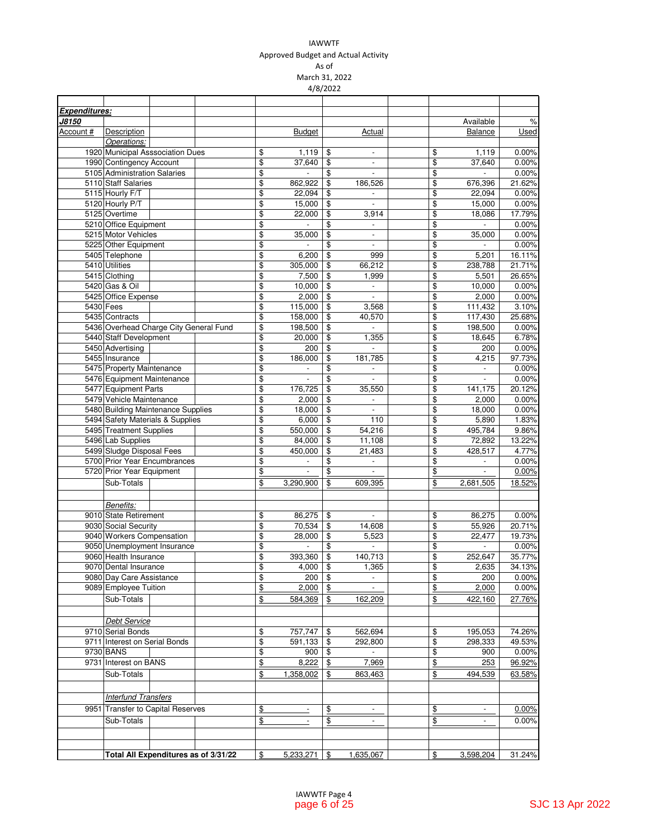### IAWWTF Approved Budget and Actual Activity As of

March 31, 2022 4/8/2022

| <b>Expenditures:</b> |                                        |                                      |               |                          |               |                          |               |                          |        |
|----------------------|----------------------------------------|--------------------------------------|---------------|--------------------------|---------------|--------------------------|---------------|--------------------------|--------|
|                      |                                        |                                      |               |                          |               |                          |               | Available                | $\%$   |
| Account #            | Description                            |                                      |               | <b>Budget</b>            |               | Actual                   |               | Balance                  | Used   |
|                      | Operations:                            |                                      |               |                          |               |                          |               |                          |        |
|                      | 1920 Municipal Asssociation Dues       |                                      | \$            | 1,119                    | \$            | $\overline{\phantom{a}}$ | \$            | 1,119                    | 0.00%  |
|                      | 1990 Contingency Account               |                                      | \$            | 37.640                   | \$            | $\blacksquare$           | \$            | 37,640                   | 0.00%  |
|                      | 5105 Administration Salaries           |                                      | \$            |                          | \$            | $\overline{\phantom{a}}$ | \$            |                          | 0.00%  |
|                      | 5110 Staff Salaries                    |                                      | \$            | 862,922                  | \$            | 186,526                  | \$            | 676,396                  | 21.62% |
|                      | 5115 Hourly F/T                        |                                      | \$            | 22,094                   | \$            |                          | \$            | 22,094                   | 0.00%  |
|                      | 5120 Hourly P/T                        |                                      | \$            | 15,000                   | \$            | $\overline{\phantom{a}}$ | \$            | 15,000                   | 0.00%  |
|                      | 5125 Overtime                          |                                      | \$            | 22,000                   | \$            | 3,914                    | \$            | 18,086                   | 17.79% |
|                      | 5210 Office Equipment                  |                                      | \$            |                          | \$            |                          | \$            |                          | 0.00%  |
|                      | 5215 Motor Vehicles                    |                                      | \$            | 35,000                   | \$            | $\overline{\phantom{a}}$ | \$            | 35,000                   | 0.00%  |
|                      | 5225 Other Equipment                   |                                      | \$            | $\blacksquare$           | \$            | $\blacksquare$           | \$            | $\blacksquare$           | 0.00%  |
|                      | 5405 Telephone                         |                                      | \$            | 6,200                    | \$            | 999                      | \$            | 5,201                    | 16.11% |
|                      | 5410 Utilities                         |                                      | \$            | 305,000                  | \$            | 66,212                   | \$            | 238,788                  | 21.71% |
|                      | 5415 Clothing                          |                                      | \$            | 7,500                    | \$            | 1,999                    | \$            | 5,501                    | 26.65% |
|                      | 5420 Gas & Oil                         |                                      | \$            | 10,000                   | \$            | $\Box$                   | \$            | 10,000                   | 0.00%  |
|                      |                                        |                                      |               |                          |               |                          |               |                          |        |
|                      | 5425 Office Expense                    |                                      | \$            | 2,000                    | \$            | $\blacksquare$           | \$            | 2,000                    | 0.00%  |
|                      | 5430 Fees                              |                                      | \$            | 115,000                  | \$            | 3,568                    | \$            | 111,432                  | 3.10%  |
|                      | 5435 Contracts                         |                                      | \$            | 158,000                  | \$            | 40,570                   | \$            | 117,430                  | 25.68% |
|                      | 5436 Overhead Charge City General Fund |                                      | \$            | 198,500                  | \$            | $\mathbf{r}$             | \$            | 198,500                  | 0.00%  |
|                      | 5440 Staff Development                 |                                      | \$            | 20,000                   | \$            | 1,355                    | \$            | 18,645                   | 6.78%  |
|                      | 5450 Advertising                       |                                      | \$            | 200                      | \$            |                          | \$            | 200                      | 0.00%  |
|                      | 5455 Insurance                         |                                      | \$            | 186,000                  | \$            | 181,785                  | \$            | 4,215                    | 97.73% |
|                      | 5475 Property Maintenance              |                                      | \$            | $\overline{\phantom{a}}$ | \$            | $\overline{\phantom{a}}$ | \$            | $\omega_{\rm c}$         | 0.00%  |
|                      | 5476 Equipment Maintenance             |                                      | \$            | $\overline{\phantom{a}}$ | \$            | $\overline{\phantom{a}}$ | \$            | $\blacksquare$           | 0.00%  |
|                      | 5477 Equipment Parts                   |                                      | \$            | 176,725                  | \$            | 35,550                   | \$            | 141,175                  | 20.12% |
|                      | 5479 Vehicle Maintenance               |                                      | \$            | 2.000                    | \$            | $\overline{\phantom{a}}$ | \$            | 2,000                    | 0.00%  |
|                      | 5480 Building Maintenance Supplies     |                                      | \$            | 18,000                   | \$            | $\overline{\phantom{a}}$ | \$            | 18,000                   | 0.00%  |
|                      | 5494 Safety Materials & Supplies       |                                      | \$            | 6,000                    | \$            | 110                      | \$            | 5,890                    | 1.83%  |
|                      | 5495 Treatment Supplies                |                                      | \$            | 550,000                  | \$            | 54,216                   | \$            | 495,784                  | 9.86%  |
|                      | 5496 Lab Supplies                      |                                      | \$            | 84,000                   | \$            | 11,108                   | \$            | 72,892                   | 13.22% |
|                      | 5499 Sludge Disposal Fees              |                                      | \$            | 450,000                  |               | 21,483                   |               | 428,517                  | 4.77%  |
|                      |                                        |                                      |               |                          | \$            |                          | \$            |                          |        |
|                      | 5700 Prior Year Encumbrances           |                                      | \$            | $\frac{1}{2}$            | \$            | $\blacksquare$           | \$            | $\blacksquare$           | 0.00%  |
|                      | 5720 Prior Year Equipment              |                                      | \$            | $\frac{1}{2}$            | \$            | $\mathbb{L}$             | $\frac{1}{2}$ | $\overline{\phantom{a}}$ | 0.00%  |
|                      | Sub-Totals                             |                                      | \$            | 3,290,900                | \$            | 609,395                  | \$            | 2,681,505                | 18.52% |
|                      |                                        |                                      |               |                          |               |                          |               |                          |        |
|                      | <b>Benefits:</b>                       |                                      |               |                          |               |                          |               |                          |        |
|                      | 9010 State Retirement                  |                                      | \$            | 86,275                   | \$            | $\mathcal{L}$            | \$            | 86,275                   | 0.00%  |
|                      | 9030 Social Security                   |                                      | \$            | 70,534                   | \$            | 14,608                   | \$            | 55,926                   | 20.71% |
|                      | 9040 Workers Compensation              |                                      | \$            | 28.000                   | \$            | 5,523                    | \$            | 22.477                   | 19.73% |
|                      | 9050 Unemployment Insurance            |                                      | \$            | $\overline{a}$           | \$            | $\overline{a}$           | \$            | $\frac{1}{2}$            | 0.00%  |
|                      | 9060 Health Insurance                  |                                      | \$            | 393,360                  | \$            | 140,713                  | \$            | 252,647                  | 35.77% |
|                      | 9070 Dental Insurance                  |                                      | \$            | 4,000                    | \$            | 1,365                    | \$            | 2,635                    | 34.13% |
|                      | 9080 Day Care Assistance               |                                      | \$            | 200                      | \$            |                          | \$            | 200                      | 0.00%  |
|                      | 9089 Employee Tuition                  |                                      | \$            | 2,000                    | \$            |                          | $\frac{1}{2}$ | 2,000                    | 0.00%  |
|                      |                                        |                                      |               |                          |               |                          |               |                          |        |
|                      | Sub-Totals                             |                                      | \$            | 584,369                  | \$            | 162,209                  | \$            | 422,160                  | 27.76% |
|                      |                                        |                                      |               |                          |               |                          |               |                          |        |
|                      | <b>Debt Service</b>                    |                                      |               |                          |               |                          |               |                          |        |
|                      | 9710 Serial Bonds                      |                                      | \$            | 757,747                  | \$            | 562,694                  | \$            | 195,053                  | 74.26% |
|                      | 9711 Interest on Serial Bonds          |                                      | \$            | 591,133                  | \$            | 292.800                  | \$            | 298,333                  | 49.53% |
|                      | 9730 BANS                              |                                      | \$            | 900                      | \$            | $\overline{\phantom{a}}$ | \$            | 900                      | 0.00%  |
|                      | 9731 Interest on BANS                  |                                      | \$            | 8,222                    | \$            | 7,969                    | $\frac{1}{2}$ | 253                      | 96.92% |
|                      | Sub-Totals                             |                                      | \$            | 1,358,002                | \$            | 863,463                  | \$            | 494,539                  | 63.58% |
|                      |                                        |                                      |               |                          |               |                          |               |                          |        |
|                      | <b>Interfund Transfers</b>             |                                      |               |                          |               |                          |               |                          |        |
|                      | 9951 Transfer to Capital Reserves      |                                      | \$            |                          | $\frac{1}{2}$ | $\overline{\phantom{a}}$ | $\frac{1}{2}$ |                          | 0.00%  |
|                      | Sub-Totals                             |                                      | \$            |                          | $\frac{1}{2}$ |                          | \$            |                          | 0.00%  |
|                      |                                        |                                      |               |                          |               |                          |               |                          |        |
|                      |                                        | Total All Expenditures as of 3/31/22 | $\frac{1}{2}$ | 5,233,271                | $\frac{1}{2}$ | 1,635,067                | \$            | 3,598,204                | 31.24% |
|                      |                                        |                                      |               |                          |               |                          |               |                          |        |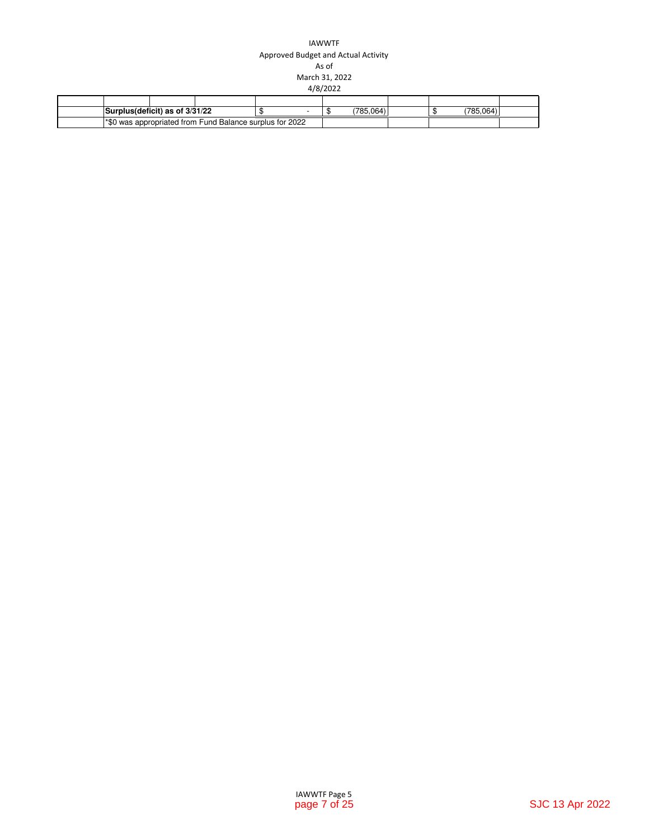### IAWWTF Approved Budget and Actual Activity As of March 31, 2022 4/8/2022

| Surplus(deficit) as of 3/31/22 |                                                                  |  | 178F<br>.064) |  | 785<br>0.01 |  |
|--------------------------------|------------------------------------------------------------------|--|---------------|--|-------------|--|
|                                | <b>1*\$0 was appropriated from Fund Balance surplus for 2022</b> |  |               |  |             |  |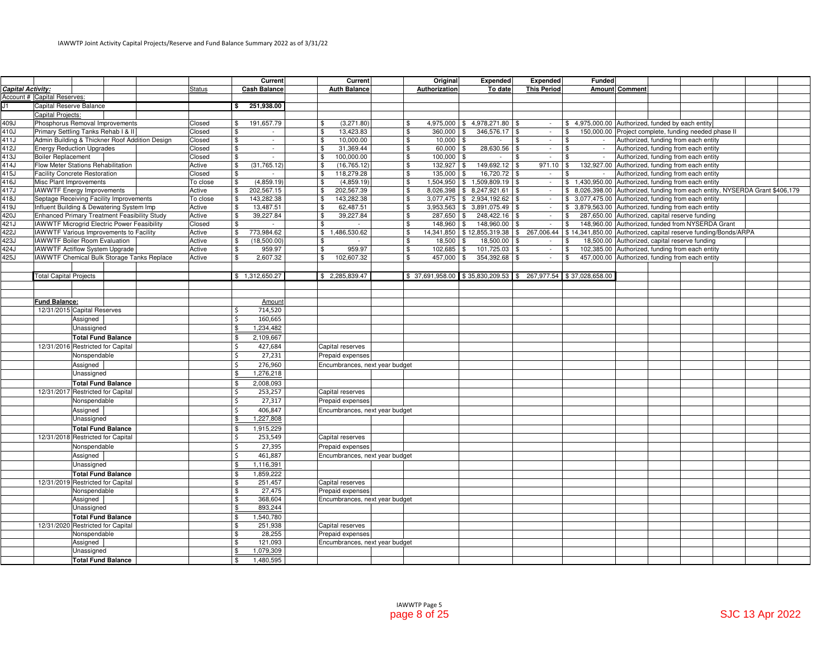|                   |                               |                                                |               | Current                             | Current                         | Original                                                         | <b>Expended</b>                      | Expended           | <b>Funded</b>                                                                                                |                                      |  |  |
|-------------------|-------------------------------|------------------------------------------------|---------------|-------------------------------------|---------------------------------|------------------------------------------------------------------|--------------------------------------|--------------------|--------------------------------------------------------------------------------------------------------------|--------------------------------------|--|--|
| Capital Activity: |                               |                                                | <b>Status</b> | <b>Cash Balance</b>                 | <b>Auth Balance</b>             | Authorization                                                    | To date                              | <b>This Period</b> | <b>Amount Comment</b>                                                                                        |                                      |  |  |
|                   | Account # Capital Reserves:   |                                                |               |                                     |                                 |                                                                  |                                      |                    |                                                                                                              |                                      |  |  |
| J1.               | Capital Reserve Balance       |                                                |               | 251,938.00<br>l S                   |                                 |                                                                  |                                      |                    |                                                                                                              |                                      |  |  |
|                   | Capital Projects:             |                                                |               |                                     |                                 |                                                                  |                                      |                    |                                                                                                              |                                      |  |  |
| 409J              |                               | Phosphorus Removal Improvements                | Closed        | \$<br>191,657.79                    | (3,271.80)<br>\$                | \$                                                               | 4,975,000 \$4,978,271.80 \$          | $\sim$             | \$4,975,000.00 Authorized, funded by each entity                                                             |                                      |  |  |
| 410J              |                               | Primary Settling Tanks Rehab I & II            | Closed        | \$<br>$\sim$                        | $\mathbf{\hat{s}}$<br>13,423.83 | $\mathfrak s$<br>360,000 \$                                      | 346,576.17 \$                        | $\sim$             | 150,000.00 Project complete, funding needed phase II<br>\$                                                   |                                      |  |  |
| 411J              |                               | Admin Building & Thickner Roof Addition Design | Closed        | \$<br>$\sim$                        | 10.000.00<br>-\$                | \$<br>$10.000$ \ \$                                              |                                      | \$<br>$\sim$       | \$                                                                                                           | Authorized, funding from each entity |  |  |
| 412J              |                               | <b>Energy Reduction Upgrades</b>               | Closed        | \$<br>$\sim$                        | 31,369.44<br>\$                 | \$<br>$60,000$ \$                                                | 28,630.56 \$                         | $\sim$             | $\sqrt{3}$<br>$\sim$                                                                                         | Authorized, funding from each entity |  |  |
| 413J              | <b>Boiler Replacement</b>     |                                                | Closed        | $\overline{\mathbf{3}}$<br>$\omega$ | $\mathfrak s$<br>100,000.00     | $\mathfrak s$<br>$100,000$ \\$                                   | $\sim$                               | \$<br>$\sim$       | $\mathbf{s}$                                                                                                 | Authorized, funding from each entity |  |  |
| 414J              |                               | Flow Meter Stations Rehabilitation             | Active        | (31, 765.12)<br>\$                  | -\$<br>(16, 765.12)             | $132,927$ \$<br>\$                                               | 149,692.12 \$                        | 971.10             | $\mathbf{\$}$<br>132.927.00                                                                                  | Authorized, funding from each entity |  |  |
| 415J              |                               | <b>Facility Concrete Restoration</b>           | Closed        | \$                                  | 118,279.28<br>\$                | \$<br>135,000 \$                                                 | 16,720.72 \$                         | $\sim$             | \$                                                                                                           | Authorized, funding from each entity |  |  |
| 416J              | Misc Plant Improvements       |                                                | To close      | \$<br>(4,859.19)                    | $\sqrt{3}$<br>(4,859.19)        | \$                                                               | 1,504,950   \$ 1,509,809.19   \$     | $\sim$             | \$1,430,950.00                                                                                               | Authorized, funding from each entity |  |  |
| 417J              |                               | <b>IAWWTF Energy Improvements</b>              | Active        | \$<br>202,567.15                    | 202,567.39<br>\$                | \$                                                               | $8,026,398$ \ \$ $8,247,921.61$ \ \$ | $\sim$             | 8,026,398.00 Authorized, funding from each entity, NYSERDA Grant \$406,179<br>\$                             |                                      |  |  |
| 418J              |                               | Septage Receiving Facility Improvements        | To close      | $\mathfrak s$<br>143,282.38         | 143,282.38<br>$\mathbf{\$}$     | \$                                                               | $3,077,475$ \$ 2,934,192.62 \$       | $\sim$             | \$ 3,077,475.00 Authorized, funding from each entity                                                         |                                      |  |  |
| 419J              |                               | Influent Building & Dewatering System Imp      | Active        | \$<br>13,487.51                     | 62,487.51<br>\$                 | \$                                                               | $3,953,563$ \$ $3,891,075.49$ \$     | $\sim$             | \$ 3,879,563.00 Authorized, funding from each entity                                                         |                                      |  |  |
| 420J              |                               | Enhanced Primary Treatment Feasibility Study   | Active        | \$<br>39,227.84                     | \$<br>39,227.84                 | \$<br>287,650 \$                                                 | 248,422.16 \$                        | $\sim$             | 287,650.00 Authorized, capital reserve funding<br>$\mathbf{s}$                                               |                                      |  |  |
| 421J              |                               | IAWWTF Microgrid Electric Power Feasibility    | Closed        | \$                                  | \$                              | $148,960$ \$<br>\$                                               | 148,960.00 \$                        | $\sim$             | 148,960.00 Authorized, funded from NYSERDA Grant<br>\$                                                       |                                      |  |  |
| 422J              |                               | IAWWTF Various Improvements to Facility        | Active        | \$<br>773,984.62                    | \$1,486,530.62                  | \$                                                               |                                      |                    | 14,341,850   \$12,855,319.38   \$267,006.44   \$14,341,850.00 Authorized, capital reserve funding/Bonds/ARPA |                                      |  |  |
| $\overline{423J}$ |                               | IAWWTF Boiler Room Evaluation                  | Active        | \$<br>(18,500.00)                   | \$                              | \$<br>$18,500$ \$                                                | 18,500.00 \$                         | $\sim$             | 18,500.00<br>\$                                                                                              | Authorized, capital reserve funding  |  |  |
| 424J              |                               | IAWWTF Actiflow System Upgrade                 | Active        | \$<br>959.97                        | $\mathbf{\$}$<br>959.97         | $102,685$ \$<br>\$                                               | 101,725.03 \$                        | $\sim$             | 102,385.00 Authorized, funding from each entity<br>\$                                                        |                                      |  |  |
| 425J              |                               | IAWWTF Chemical Bulk Storage Tanks Replace     | Active        | \$<br>2,607.32                      | \$<br>102,607.32                | \$<br>457,000                                                    | 354,392.68 \$<br>l \$                | $\sim$             | 457,000.00 Authorized, funding from each entity<br>\$                                                        |                                      |  |  |
|                   |                               |                                                |               |                                     |                                 |                                                                  |                                      |                    |                                                                                                              |                                      |  |  |
|                   | <b>Total Capital Projects</b> |                                                |               | \$1,312,650.27                      | \$2,285,839.47                  | \$ 37,691,958.00 \$ 35,830,209.53 \$ 267,977.54 \$ 37,028,658.00 |                                      |                    |                                                                                                              |                                      |  |  |
|                   |                               |                                                |               |                                     |                                 |                                                                  |                                      |                    |                                                                                                              |                                      |  |  |
|                   |                               |                                                |               |                                     |                                 |                                                                  |                                      |                    |                                                                                                              |                                      |  |  |
|                   | <b>Fund Balance:</b>          |                                                |               | Amount                              |                                 |                                                                  |                                      |                    |                                                                                                              |                                      |  |  |
|                   |                               | 12/31/2015 Capital Reserves                    |               | <sup>\$</sup><br>714,520            |                                 |                                                                  |                                      |                    |                                                                                                              |                                      |  |  |
|                   |                               | Assigned                                       |               | \$<br>160,665                       |                                 |                                                                  |                                      |                    |                                                                                                              |                                      |  |  |
|                   |                               | Unassigned                                     |               | 1,234,482<br>\$                     |                                 |                                                                  |                                      |                    |                                                                                                              |                                      |  |  |
|                   |                               | <b>Total Fund Balance</b>                      |               | \$<br>2,109,667                     |                                 |                                                                  |                                      |                    |                                                                                                              |                                      |  |  |
|                   |                               | 12/31/2016 Restricted for Capital              |               | $\mathsf{S}$<br>427,684             | Capital reserves                |                                                                  |                                      |                    |                                                                                                              |                                      |  |  |
|                   |                               | Nonspendable                                   |               | \$<br>27,231                        | Prepaid expenses                |                                                                  |                                      |                    |                                                                                                              |                                      |  |  |
|                   |                               | Assigned                                       |               | <sub>S</sub><br>276,960             | Encumbrances, next year budget  |                                                                  |                                      |                    |                                                                                                              |                                      |  |  |
|                   |                               | Unassigned                                     |               | 1,276,218<br>\$                     |                                 |                                                                  |                                      |                    |                                                                                                              |                                      |  |  |
|                   |                               | <b>Total Fund Balance</b>                      |               | 2,008,093<br>\$                     |                                 |                                                                  |                                      |                    |                                                                                                              |                                      |  |  |
|                   |                               | 12/31/2017 Restricted for Capital              |               | -\$<br>253,257                      | Capital reserves                |                                                                  |                                      |                    |                                                                                                              |                                      |  |  |
|                   |                               | Nonspendable                                   |               | Ŝ.<br>27,317                        | Prepaid expenses                |                                                                  |                                      |                    |                                                                                                              |                                      |  |  |
|                   |                               | Assigned                                       |               | Ś<br>406,847                        | Encumbrances, next year budget  |                                                                  |                                      |                    |                                                                                                              |                                      |  |  |
|                   |                               | Unassigned                                     |               | 1,227,808<br>\$                     |                                 |                                                                  |                                      |                    |                                                                                                              |                                      |  |  |
|                   |                               | <b>Total Fund Balance</b>                      |               | 1,915,229<br>$\mathcal{S}$          |                                 |                                                                  |                                      |                    |                                                                                                              |                                      |  |  |
|                   |                               | 12/31/2018 Restricted for Capital              |               | 253,549<br>-\$                      | Capital reserves                |                                                                  |                                      |                    |                                                                                                              |                                      |  |  |
|                   |                               | Nonspendable                                   |               | \$<br>27,395                        | Prepaid expenses                |                                                                  |                                      |                    |                                                                                                              |                                      |  |  |
|                   |                               | Assigned                                       |               | 461,887<br>\$                       | Encumbrances, next year budget  |                                                                  |                                      |                    |                                                                                                              |                                      |  |  |
|                   |                               | Unassigned                                     |               | $\mathcal{S}$<br>1,116,391          |                                 |                                                                  |                                      |                    |                                                                                                              |                                      |  |  |
|                   |                               | <b>Total Fund Balance</b>                      |               | \$<br>1,859,222                     |                                 |                                                                  |                                      |                    |                                                                                                              |                                      |  |  |
|                   |                               | 12/31/2019 Restricted for Capital              |               | 251,457<br>\$                       | Capital reserves                |                                                                  |                                      |                    |                                                                                                              |                                      |  |  |
|                   |                               | Nonspendable                                   |               | $\mathfrak s$<br>27,475             | Prepaid expenses                |                                                                  |                                      |                    |                                                                                                              |                                      |  |  |
|                   |                               | Assigned                                       |               | 368,604<br>\$                       | Encumbrances, next year budget  |                                                                  |                                      |                    |                                                                                                              |                                      |  |  |
|                   |                               | Unassigned                                     |               | \$<br>893,244                       |                                 |                                                                  |                                      |                    |                                                                                                              |                                      |  |  |
|                   |                               | <b>Total Fund Balance</b>                      |               | 1,540,780<br>\$                     |                                 |                                                                  |                                      |                    |                                                                                                              |                                      |  |  |
|                   |                               | 12/31/2020 Restricted for Capital              |               | 251,938<br>\$                       | Capital reserves                |                                                                  |                                      |                    |                                                                                                              |                                      |  |  |
|                   |                               | Nonspendable                                   |               | 28,255<br><sup>\$</sup>             | Prepaid expenses                |                                                                  |                                      |                    |                                                                                                              |                                      |  |  |
|                   |                               | Assigned                                       |               | <sup>\$</sup><br>121,093            | Encumbrances, next year budget  |                                                                  |                                      |                    |                                                                                                              |                                      |  |  |
|                   |                               | Unassigned                                     |               | 1,079,309<br>\$                     |                                 |                                                                  |                                      |                    |                                                                                                              |                                      |  |  |
|                   |                               | <b>Total Fund Balance</b>                      |               | 1,480,595<br>\$                     |                                 |                                                                  |                                      |                    |                                                                                                              |                                      |  |  |
|                   |                               |                                                |               |                                     |                                 |                                                                  |                                      |                    |                                                                                                              |                                      |  |  |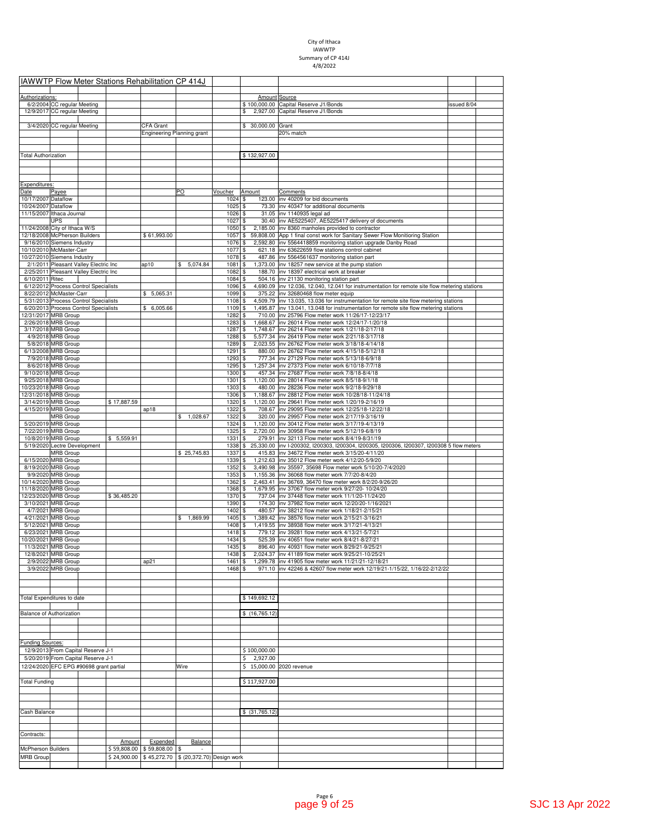## City of Ithaca IAWWTP Summary of CP 414J 4/8/2022

|                                                  |                                            |                                         | <b>IAWWTP Flow Meter Stations Rehabilitation CP 414J</b> |                            |                            |              |                       |                                                                                                                                               |             |  |
|--------------------------------------------------|--------------------------------------------|-----------------------------------------|----------------------------------------------------------|----------------------------|----------------------------|--------------|-----------------------|-----------------------------------------------------------------------------------------------------------------------------------------------|-------------|--|
|                                                  |                                            |                                         |                                                          |                            |                            |              |                       |                                                                                                                                               |             |  |
| Authorizations:                                  |                                            |                                         |                                                          |                            |                            |              | Amount Source         |                                                                                                                                               |             |  |
|                                                  | 6/2/2004 CC regular Meeting                |                                         |                                                          |                            |                            |              | \$                    | \$100,000,00 Capital Reserve J1/Bonds                                                                                                         | issued 8/04 |  |
|                                                  | 12/9/2017 CC regular Meeting               |                                         |                                                          |                            |                            |              |                       | 2,927.00 Capital Reserve J1/Bonds                                                                                                             |             |  |
|                                                  | 3/4/2020 CC regular Meeting                |                                         |                                                          | CFA Grant                  |                            |              | 30,000.00 Grant<br>\$ |                                                                                                                                               |             |  |
|                                                  |                                            |                                         |                                                          | Engineering Planning grant |                            |              |                       | 20% match                                                                                                                                     |             |  |
|                                                  |                                            |                                         |                                                          |                            |                            |              |                       |                                                                                                                                               |             |  |
|                                                  |                                            |                                         |                                                          |                            |                            |              |                       |                                                                                                                                               |             |  |
| <b>Total Authorization</b>                       |                                            |                                         |                                                          |                            |                            |              | \$132,927.00          |                                                                                                                                               |             |  |
|                                                  |                                            |                                         |                                                          |                            |                            |              |                       |                                                                                                                                               |             |  |
|                                                  |                                            |                                         |                                                          |                            |                            |              |                       |                                                                                                                                               |             |  |
|                                                  |                                            |                                         |                                                          |                            |                            |              |                       |                                                                                                                                               |             |  |
| Expenditures:                                    |                                            |                                         |                                                          |                            |                            |              |                       |                                                                                                                                               |             |  |
| Date                                             | Payee                                      |                                         |                                                          |                            | PO                         | Voucher      | Amount                | Comments                                                                                                                                      |             |  |
| 10/17/2007 Dataflow                              |                                            |                                         |                                                          |                            |                            | 1024<br>1025 | \$<br>\$              | 123.00 inv 40209 for bid documents<br>73.30 inv 40347 for additional documents                                                                |             |  |
| 10/24/2007 Dataflow<br>11/15/2007 Ithaca Journal |                                            |                                         |                                                          |                            |                            | 1026         | \$                    | 31.05 inv 1140935 legal ad                                                                                                                    |             |  |
|                                                  | <b>UPS</b>                                 |                                         |                                                          |                            |                            | 1027         | \$                    | 30.40 inv AE5225407, AE5225417 delivery of documents                                                                                          |             |  |
| 11/24/2008 City of Ithaca W/S                    |                                            |                                         |                                                          |                            |                            | 1050         | \$                    | 2,185.00 inv 8360 manholes provided to contractor                                                                                             |             |  |
|                                                  | 12/18/2008 McPherson Builders              |                                         |                                                          | \$61,993.00                |                            | 1057         | \$                    | 59,808.00 App 1 final const work for Sanitary Sewer Flow Monitioring Station                                                                  |             |  |
|                                                  | 9/16/2010 Siemens Industry                 |                                         |                                                          |                            |                            | 1076         | \$                    | 2,592.80 inv 5564418859 monitoring station upgrade Danby Road                                                                                 |             |  |
|                                                  | 10/10/2010 McMaster-Carr                   |                                         |                                                          |                            |                            | 1077         | \$                    | 621.18 inv 63622659 flow stations control cabinet                                                                                             |             |  |
|                                                  | 10/27/2010 Siemens Industry                |                                         |                                                          |                            |                            | 1078         | \$                    | 487.86 Inv 5564561637 monitoring station part                                                                                                 |             |  |
|                                                  |                                            | 2/1/2011 Pleasant Valley Electric Inc   |                                                          | ap10                       | 5,074.84<br>\$             | 1081         | \$                    | 1,373.00 inv 18257 new service at the pump station                                                                                            |             |  |
|                                                  |                                            | 2/25/2011 Pleasant Valley Electric Inc  |                                                          |                            |                            | 1082         | \$                    | 188.70 inv 18397 electrical work at breaker                                                                                                   |             |  |
| 6/10/2011 Ritec                                  |                                            |                                         |                                                          |                            |                            | 1084         | \$                    | 504.16 inv 21130 monitoring station part                                                                                                      |             |  |
|                                                  |                                            | 6/12/2012 Process Control Specialists   |                                                          |                            |                            | 1096         | \$                    | 4,690.09 inv 12.036, 12.040, 12.041 for instrumentation for remote site flow metering stations                                                |             |  |
|                                                  | 8/22/2012 McMaster-Carr                    |                                         |                                                          | \$5,065.31                 |                            | 1099         | \$                    | 375.22  inv 32680468 flow meter equip                                                                                                         |             |  |
|                                                  |                                            | 5/31/2013 Process Control Specialists   |                                                          | \$6,005.66                 |                            | 1108<br>1109 | \$<br>\$              | 4,509.79 inv 13.035, 13.036 for instrumentation for remote site flow metering stations                                                        |             |  |
|                                                  | 2/31/2017 MRB Group                        | 6/20/2013 Process Control Specialists   |                                                          |                            |                            | 1282         | \$                    | 1,495.87  inv 13.041, 13.048 for instrumentation for remote site flow metering stations<br>710.00 inv 25796 Flow meter work 11/26/17-12/23/17 |             |  |
|                                                  | 2/26/2018 MRB Group                        |                                         |                                                          |                            |                            | 1283         | \$                    | 1,668.67 inv 26014 Flow meter work 12/24/17-1/20/18                                                                                           |             |  |
|                                                  | 3/17/2018 MRB Group                        |                                         |                                                          |                            |                            | 1287         | \$                    | 1,748.67 inv 26214 Flow meter work 1/21/18-2/17/18                                                                                            |             |  |
|                                                  | 4/9/2018 MRB Group                         |                                         |                                                          |                            |                            | 1288         | \$                    | 5,577.34 inv 26419 Flow meter work 2/21/18-3/17/18                                                                                            |             |  |
|                                                  | 5/8/2018 MRB Group                         |                                         |                                                          |                            |                            | 1289         | \$                    | 2,023.55 inv 26762 Flow meter work 3/18/18-4/14/18                                                                                            |             |  |
|                                                  | 6/13/2008 MRB Group                        |                                         |                                                          |                            |                            | 1291         |                       | 880.00 inv 26762 Flow meter work 4/15/18-5/12/18                                                                                              |             |  |
|                                                  | 7/9/2018 MRB Group                         |                                         |                                                          |                            |                            | 1293         | \$                    | 777.34 inv 27129 Flow meter work 5/13/18-6/9/18                                                                                               |             |  |
|                                                  | 8/6/2018 MRB Group                         |                                         |                                                          |                            |                            | 1295         | \$                    | 1,257.34 inv 27373 Flow meter work 6/10/18-7/7/18                                                                                             |             |  |
|                                                  | 9/10/2018 MRB Group                        |                                         |                                                          |                            |                            | 1300         | \$                    | 457.34 inv 27687 Flow meter work 7/8/18-8/4/18                                                                                                |             |  |
|                                                  | 9/25/2018 MRB Group                        |                                         |                                                          |                            |                            | 1301         | \$                    | 1,120.00 inv 28014 Flow meter work 8/5/18-9/1/18                                                                                              |             |  |
|                                                  | 0/23/2018 MRB Group                        |                                         |                                                          |                            |                            | 1303         | \$                    | 480.00 inv 28236 Flow meter work 9/2/18-9/29/18                                                                                               |             |  |
|                                                  | 12/31/2018 MRB Group                       |                                         |                                                          |                            |                            | 1306         | \$                    | 1,188.67 inv 28812 Flow meter work 10/28/18-11/24/18                                                                                          |             |  |
|                                                  | 3/14/2019 MRB Group                        |                                         | \$17,887.59                                              |                            |                            | 1320         | \$                    | 1,120.00 inv 29641 Flow meter work 1/20/19-2/16/19                                                                                            |             |  |
|                                                  | 4/15/2019 MRB Group                        |                                         |                                                          | ap18                       |                            | 1322         | \$                    | 708.67 inv 29095 Flow meter work 12/25/18-12/22/18                                                                                            |             |  |
|                                                  | <b>MRB Group</b>                           |                                         |                                                          |                            | 1,028.67<br>\$             | 1322         | \$                    | 320.00 inv 29957 Flow meter work 2/17/19-3/16/19                                                                                              |             |  |
|                                                  | 5/20/2019 MRB Group<br>7/22/2019 MRB Group |                                         |                                                          |                            |                            | 1324<br>1325 | \$<br>\$              | 1,120.00 inv 30412 Flow meter work 3/17/19-4/13/19<br>2,720.00 inv 30958 Flow meter work 5/12/19-6/8/19                                       |             |  |
|                                                  | 10/8/2019 MRB Group                        |                                         | $\overline{\$}$ 5,559.91                                 |                            |                            | 1331         | \$                    | 279.91 inv 32113 Flow meter work 8/4/19-8/31/19                                                                                               |             |  |
|                                                  | 5/19/2020 Lectre Development               |                                         |                                                          |                            |                            | 1338         | \$                    | 25,330.00  inv I-200302, I200303, I200304, I200305, I200306, I200307, I200308 5 flow meters                                                   |             |  |
|                                                  | <b>MRB Group</b>                           |                                         |                                                          |                            | \$25,745.83                | 1337         |                       | 415.83 inv 34672 Flow meter work 3/15/20-4/11/20                                                                                              |             |  |
|                                                  | 6/15/2020 MRB Group                        |                                         |                                                          |                            |                            | 1339         | \$                    | 1,212.63 inv 35012 Flow meter work 4/12/20-5/9/20                                                                                             |             |  |
|                                                  | 8/19/2020 MRB Group                        |                                         |                                                          |                            |                            | 1352         | \$                    | 3,490.98 inv 35597, 35698 Flow meter work 5/10/20-7/4/2020                                                                                    |             |  |
|                                                  | 9/9/2020 MRB Group                         |                                         |                                                          |                            |                            | 1353         | \$                    | 1,155.36 inv 36068 flow meter work 7/7/20-8/4/20                                                                                              |             |  |
|                                                  | 10/14/2020 MRB Group                       |                                         |                                                          |                            |                            | 1362         | \$                    | 2,463.41  inv 36769, 36470 flow meter work 8/2/20-9/26/20                                                                                     |             |  |
|                                                  |                                            |                                         |                                                          |                            |                            | 1368         | \$                    |                                                                                                                                               |             |  |
|                                                  | 11/18/2020 MRB Group                       |                                         |                                                          |                            |                            |              |                       | 1,679.95 inv 37067 flow meter work 9/27/20- 10/24/20                                                                                          |             |  |
|                                                  | 12/23/2020 MRB Group                       |                                         | \$36,485.20                                              |                            |                            | 1370         | \$                    | 737.04 inv 37448 flow meter work 11/1/20-11/24/20                                                                                             |             |  |
|                                                  | 3/10/2021 MRB Group                        |                                         |                                                          |                            |                            | 1390         |                       | 174.30 inv 37982 flow meter work 12/20/20-1/16/2021                                                                                           |             |  |
|                                                  | 4/7/2021 MRB Group                         |                                         |                                                          |                            |                            | 1402         | \$                    | 480.57 inv 38212 flow meter work 1/18/21-2/15/21                                                                                              |             |  |
|                                                  | 4/21/2021 MRB Group                        |                                         |                                                          |                            | \$1,869.99                 | 1405         | \$                    | 1,389.42 inv 38576 flow meter work 2/15/21-3/16/21                                                                                            |             |  |
|                                                  | 5/12/2021 MRB Group                        |                                         |                                                          |                            |                            | 1408         | \$                    | 1,419.55 inv 38938 flow meter work 3/17/21-4/13/21                                                                                            |             |  |
|                                                  | 6/23/2021 MRB Group                        |                                         |                                                          |                            |                            | 1418         | \$                    | 779.12 inv 39281 flow meter work 4/13/21-5/7/21                                                                                               |             |  |
|                                                  | 10/20/2021 MRB Group                       |                                         |                                                          |                            |                            | 1434         | \$                    | 525.39 inv 40651 flow meter work 8/4/21-8/27/21                                                                                               |             |  |
|                                                  | 11/3/2021 MRB Group                        |                                         |                                                          |                            |                            | 1435         | \$                    | 896.40 inv 40931 flow meter work 8/29/21-9/25/21                                                                                              |             |  |
|                                                  | 12/8/2021 MRB Group                        |                                         |                                                          |                            |                            | 1438 \$      |                       | 2,024.37 inv 41189 flow meter work 9/25/21-10/25/21                                                                                           |             |  |
|                                                  | 2/9/2022 MRB Group                         |                                         |                                                          | ap21                       |                            | 1461<br>1468 | \$<br>\$              | 1,299.78 inv 41905 flow meter work 11/21/21-12/18/21<br>971.10 inv 42246 & 42607 flow meter work 12/19/21-1/15/22, 1/16/22-2/12/22            |             |  |
|                                                  | 3/9/2022 MRB Group                         |                                         |                                                          |                            |                            |              |                       |                                                                                                                                               |             |  |
|                                                  |                                            |                                         |                                                          |                            |                            |              |                       |                                                                                                                                               |             |  |
|                                                  |                                            |                                         |                                                          |                            |                            |              |                       |                                                                                                                                               |             |  |
| <b>Total Expenditures to date</b>                |                                            |                                         |                                                          |                            |                            |              | \$149,692.12          |                                                                                                                                               |             |  |
|                                                  |                                            |                                         |                                                          |                            |                            |              |                       |                                                                                                                                               |             |  |
| <b>Balance of Authorization</b>                  |                                            |                                         |                                                          |                            |                            |              | \$(16,765.12)         |                                                                                                                                               |             |  |
|                                                  |                                            |                                         |                                                          |                            |                            |              |                       |                                                                                                                                               |             |  |
|                                                  |                                            |                                         |                                                          |                            |                            |              |                       |                                                                                                                                               |             |  |
|                                                  |                                            |                                         |                                                          |                            |                            |              |                       |                                                                                                                                               |             |  |
| Funding Sources:                                 |                                            |                                         |                                                          |                            |                            |              |                       |                                                                                                                                               |             |  |
|                                                  |                                            | 12/9/2013 From Capital Reserve J-1      |                                                          |                            |                            |              | \$100,000.00          |                                                                                                                                               |             |  |
|                                                  |                                            | 5/20/2019 From Capital Reserve J-1      |                                                          |                            |                            |              | \$<br>2,927.00        |                                                                                                                                               |             |  |
|                                                  |                                            | 12/24/2020 EFC EPG #90698 grant partial |                                                          |                            | Wire                       |              | \$                    | 15,000.00 2020 revenue                                                                                                                        |             |  |
|                                                  |                                            |                                         |                                                          |                            |                            |              |                       |                                                                                                                                               |             |  |
| <b>Total Funding</b>                             |                                            |                                         |                                                          |                            |                            |              | \$117,927.00          |                                                                                                                                               |             |  |
|                                                  |                                            |                                         |                                                          |                            |                            |              |                       |                                                                                                                                               |             |  |
|                                                  |                                            |                                         |                                                          |                            |                            |              |                       |                                                                                                                                               |             |  |
|                                                  |                                            |                                         |                                                          |                            |                            |              |                       |                                                                                                                                               |             |  |
| Cash Balance                                     |                                            |                                         |                                                          |                            |                            |              | \$ (31,765.12)        |                                                                                                                                               |             |  |
|                                                  |                                            |                                         |                                                          |                            |                            |              |                       |                                                                                                                                               |             |  |
|                                                  |                                            |                                         |                                                          |                            |                            |              |                       |                                                                                                                                               |             |  |
| Contracts:                                       |                                            |                                         |                                                          |                            |                            |              |                       |                                                                                                                                               |             |  |
|                                                  |                                            |                                         | Amount                                                   | Expended                   | Balance                    |              |                       |                                                                                                                                               |             |  |
| <b>McPherson Builders</b>                        |                                            |                                         | \$59,808.00                                              | \$59,808.00                |                            |              |                       |                                                                                                                                               |             |  |
| <b>MRB Group</b>                                 |                                            |                                         |                                                          | \$24,900.00 \$45,272.70    | \$ (20,372.70) Design work |              |                       |                                                                                                                                               |             |  |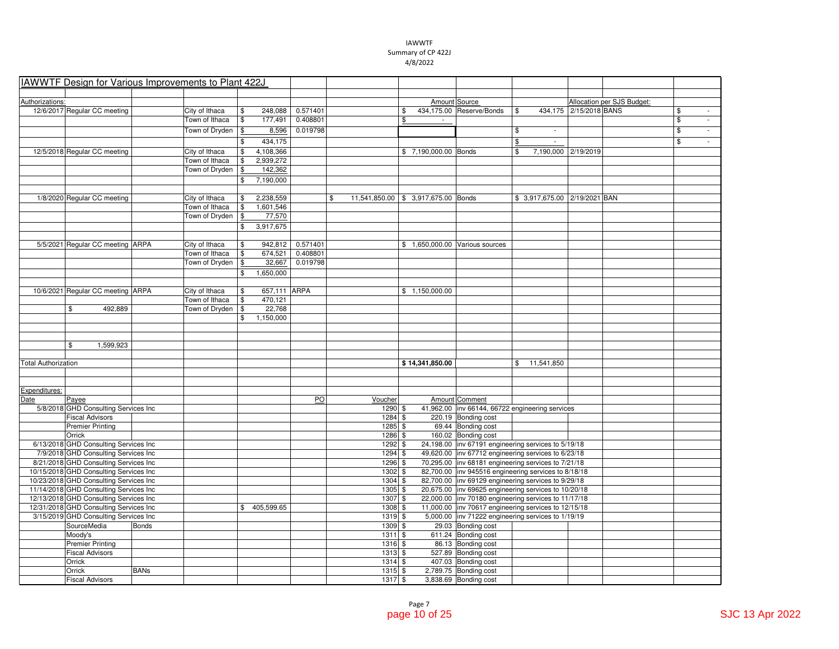| IAWWTF Design for Various Improvements to Plant 422J |              |                |                    |          |                                           |                      |                                                                           |                                 |                        |                            |                                |
|------------------------------------------------------|--------------|----------------|--------------------|----------|-------------------------------------------|----------------------|---------------------------------------------------------------------------|---------------------------------|------------------------|----------------------------|--------------------------------|
|                                                      |              |                |                    |          |                                           |                      |                                                                           |                                 |                        |                            |                                |
| Authorizations:                                      |              |                |                    |          |                                           | Amount Source        |                                                                           |                                 |                        | Allocation per SJS Budget: |                                |
| 12/6/2017 Regular CC meeting                         |              | City of Ithaca | \$<br>248,088      | 0.571401 |                                           | \$                   | 434,175.00 Reserve/Bonds                                                  | \$                              | 434,175 2/15/2018 BANS |                            | \$<br>$\overline{\phantom{a}}$ |
|                                                      |              | Town of Ithaca | \$<br>177,491      | 0.408801 |                                           | \$                   |                                                                           |                                 |                        |                            | \$<br>÷.                       |
|                                                      |              | Town of Dryden | 8,596<br>\$        | 0.019798 |                                           |                      |                                                                           | \$                              |                        |                            | \$<br>÷.                       |
|                                                      |              |                | 434,175<br>\$      |          |                                           |                      |                                                                           | \$<br>$\overline{\phantom{a}}$  |                        |                            | \$<br>$\sim$                   |
| 12/5/2018 Regular CC meeting                         |              | City of Ithaca | 4,108,366<br>\$    |          |                                           | \$7,190,000.00 Bonds |                                                                           | \$                              | 7,190,000 2/19/2019    |                            |                                |
|                                                      |              | Town of Ithaca | 2,939,272<br>\$    |          |                                           |                      |                                                                           |                                 |                        |                            |                                |
|                                                      |              | Town of Dryden | 142,362<br>\$      |          |                                           |                      |                                                                           |                                 |                        |                            |                                |
|                                                      |              |                | 7,190,000<br>\$    |          |                                           |                      |                                                                           |                                 |                        |                            |                                |
|                                                      |              |                |                    |          |                                           |                      |                                                                           |                                 |                        |                            |                                |
| 1/8/2020 Regular CC meeting                          |              | City of Ithaca | 2,238,559<br>\$    |          | \$<br>11,541,850.00 \$ 3,917,675.00 Bonds |                      |                                                                           | \$ 3,917,675.00   2/19/2021 BAN |                        |                            |                                |
|                                                      |              | Town of Ithaca | \$<br>1,601,546    |          |                                           |                      |                                                                           |                                 |                        |                            |                                |
|                                                      |              | Town of Dryden | \$<br>77,570       |          |                                           |                      |                                                                           |                                 |                        |                            |                                |
|                                                      |              |                | \$<br>3,917,675    |          |                                           |                      |                                                                           |                                 |                        |                            |                                |
|                                                      |              |                |                    |          |                                           |                      |                                                                           |                                 |                        |                            |                                |
| 5/5/2021 Regular CC meeting ARPA                     |              | City of Ithaca | \$<br>942,812      | 0.571401 |                                           |                      | \$ 1,650,000.00 Various sources                                           |                                 |                        |                            |                                |
|                                                      |              | Town of Ithaca | \$<br>674,521      | 0.408801 |                                           |                      |                                                                           |                                 |                        |                            |                                |
|                                                      |              | Town of Dryden | 32,667<br>\$       | 0.019798 |                                           |                      |                                                                           |                                 |                        |                            |                                |
|                                                      |              |                | 1,650,000<br>\$    |          |                                           |                      |                                                                           |                                 |                        |                            |                                |
|                                                      |              |                |                    |          |                                           |                      |                                                                           |                                 |                        |                            |                                |
| 10/6/2021 Regular CC meeting ARPA                    |              | City of Ithaca | 657,111 ARPA<br>\$ |          |                                           | \$1,150,000.00       |                                                                           |                                 |                        |                            |                                |
|                                                      |              | Town of Ithaca | \$<br>470,121      |          |                                           |                      |                                                                           |                                 |                        |                            |                                |
| \$<br>492,889                                        |              | Town of Dryden | 22,768<br>\$       |          |                                           |                      |                                                                           |                                 |                        |                            |                                |
|                                                      |              |                | 1,150,000<br>\$    |          |                                           |                      |                                                                           |                                 |                        |                            |                                |
|                                                      |              |                |                    |          |                                           |                      |                                                                           |                                 |                        |                            |                                |
|                                                      |              |                |                    |          |                                           |                      |                                                                           |                                 |                        |                            |                                |
| \$<br>1,599,923                                      |              |                |                    |          |                                           |                      |                                                                           |                                 |                        |                            |                                |
|                                                      |              |                |                    |          |                                           |                      |                                                                           |                                 |                        |                            |                                |
| <b>Total Authorization</b>                           |              |                |                    |          |                                           | \$14,341,850.00      |                                                                           | \$11,541,850                    |                        |                            |                                |
|                                                      |              |                |                    |          |                                           |                      |                                                                           |                                 |                        |                            |                                |
|                                                      |              |                |                    |          |                                           |                      |                                                                           |                                 |                        |                            |                                |
| Expenditures:                                        |              |                |                    |          |                                           |                      |                                                                           |                                 |                        |                            |                                |
| Date<br>Payee                                        |              |                |                    | PO       | Voucher                                   |                      | Amount Comment                                                            |                                 |                        |                            |                                |
| 5/8/2018 GHD Consulting Services Inc                 |              |                |                    |          | 1290 \$                                   |                      | 41,962.00   inv 66144, 66722 engineering services                         |                                 |                        |                            |                                |
| <b>Fiscal Advisors</b>                               |              |                |                    |          | 1284 \$                                   |                      | 220.19 Bonding cost                                                       |                                 |                        |                            |                                |
| <b>Premier Printing</b>                              |              |                |                    |          | 1285 \$                                   |                      | 69.44 Bonding cost                                                        |                                 |                        |                            |                                |
| Orrick                                               |              |                |                    |          | 1286 \$                                   |                      | 160.02 Bonding cost                                                       |                                 |                        |                            |                                |
| 6/13/2018 GHD Consulting Services Inc                |              |                |                    |          | $1292$ \$                                 |                      | 24,198.00 inv 67191 engineering services to 5/19/18                       |                                 |                        |                            |                                |
| 7/9/2018 GHD Consulting Services Inc                 |              |                |                    |          | $1294$ \$                                 |                      | 49,620.00   inv 67712 engineering services to 6/23/18                     |                                 |                        |                            |                                |
| 8/21/2018 GHD Consulting Services Inc                |              |                |                    |          | $1296$ \$                                 |                      | 70,295.00   inv 68181 engineering services to 7/21/18                     |                                 |                        |                            |                                |
| 10/15/2018 GHD Consulting Services Inc               |              |                |                    |          | 1302 \$                                   |                      | 82,700.00   inv 945516 engineering services to 8/18/18                    |                                 |                        |                            |                                |
| 10/23/2018 GHD Consulting Services Inc               |              |                |                    |          | $1304$ \$                                 |                      | 82,700.00   inv 69129 engineering services to 9/29/18                     |                                 |                        |                            |                                |
| 11/14/2018 GHD Consulting Services Inc               |              |                |                    |          | $1305$ \$                                 |                      | 20,675.00   inv 69625 engineering services to 10/20/18                    |                                 |                        |                            |                                |
| 12/13/2018 GHD Consulting Services Inc               |              |                |                    |          | 1307 \$                                   |                      | 22,000.00   inv 70180 engineering services to 11/17/18                    |                                 |                        |                            |                                |
| 12/31/2018 GHD Consulting Services Inc               |              |                | \$405,599.65       |          | 1308 \$                                   |                      | 11,000.00  inv 70617 engineering services to 12/15/18                     |                                 |                        |                            |                                |
| 3/15/2019 GHD Consulting Services Inc<br>SourceMedia | <b>Bonds</b> |                |                    |          | 1319 \$<br>1309 \$                        |                      | 5,000.00  inv 71222 engineering services to 1/19/19<br>29.03 Bonding cost |                                 |                        |                            |                                |
| Moody's                                              |              |                |                    |          | 1311S                                     |                      | 611.24 Bonding cost                                                       |                                 |                        |                            |                                |
|                                                      |              |                |                    |          | 1316 \$                                   |                      | 86.13 Bonding cost                                                        |                                 |                        |                            |                                |
| <b>Premier Printing</b><br><b>Fiscal Advisors</b>    |              |                |                    |          | $1313$ \$                                 |                      | 527.89 Bonding cost                                                       |                                 |                        |                            |                                |
| Orrick                                               |              |                |                    |          | 1314 \$                                   |                      | 407.03 Bonding cost                                                       |                                 |                        |                            |                                |
| Orrick                                               | <b>BANs</b>  |                |                    |          | $1315$ \$                                 |                      | 2,789.75 Bonding cost                                                     |                                 |                        |                            |                                |
| <b>Fiscal Advisors</b>                               |              |                |                    |          | 1317S                                     |                      | 3,838.69 Bonding cost                                                     |                                 |                        |                            |                                |
|                                                      |              |                |                    |          |                                           |                      |                                                                           |                                 |                        |                            |                                |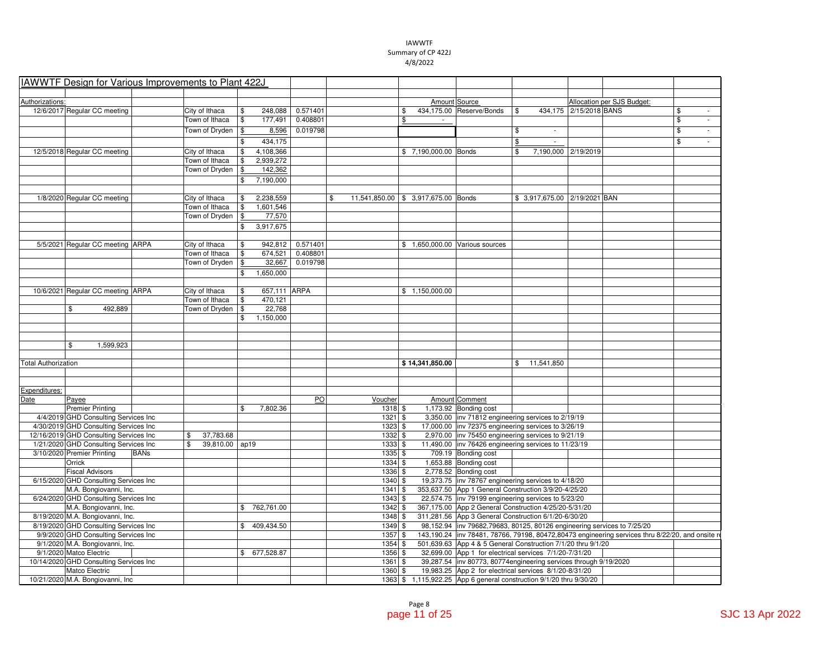|                            | IAWWTF Design for Various Improvements to Plant 422J |             |                                  |            |                     |                      |                                           |                      |                                                                         |                                 |                        |                                                                                                   |    |
|----------------------------|------------------------------------------------------|-------------|----------------------------------|------------|---------------------|----------------------|-------------------------------------------|----------------------|-------------------------------------------------------------------------|---------------------------------|------------------------|---------------------------------------------------------------------------------------------------|----|
|                            |                                                      |             |                                  |            |                     |                      |                                           |                      |                                                                         |                                 |                        |                                                                                                   |    |
| Authorizations:            |                                                      |             |                                  |            |                     |                      |                                           | Amount Source        |                                                                         |                                 |                        | Allocation per SJS Budget:                                                                        |    |
|                            | 12/6/2017 Regular CC meeting                         |             | City of Ithaca                   | \$         | 248.088             | 0.571401             |                                           | \$                   | 434,175.00 Reserve/Bonds                                                | \$                              | 434,175 2/15/2018 BANS |                                                                                                   | \$ |
|                            |                                                      |             | Town of Ithaca                   | \$         | 177,491             | 0.408801             |                                           | \$                   |                                                                         |                                 |                        |                                                                                                   | \$ |
|                            |                                                      |             | Town of Dryden                   | $\sqrt{2}$ | 8,596               | 0.019798             |                                           |                      |                                                                         | \$                              |                        |                                                                                                   | \$ |
|                            |                                                      |             |                                  | \$         | 434,175             |                      |                                           |                      |                                                                         | \$                              |                        |                                                                                                   | \$ |
|                            |                                                      |             |                                  |            |                     |                      |                                           |                      |                                                                         |                                 |                        |                                                                                                   |    |
|                            | 12/5/2018 Regular CC meeting                         |             | City of Ithaca                   |            | 4,108,366           |                      |                                           | \$7,190,000.00 Bonds |                                                                         | \$<br>7,190,000 2/19/2019       |                        |                                                                                                   |    |
|                            |                                                      |             | Town of Ithaca                   | \$         | 2,939,272           |                      |                                           |                      |                                                                         |                                 |                        |                                                                                                   |    |
|                            |                                                      |             | Town of Dryden                   | \$         | 142,362             |                      |                                           |                      |                                                                         |                                 |                        |                                                                                                   |    |
|                            |                                                      |             |                                  | \$         | 7,190,000           |                      |                                           |                      |                                                                         |                                 |                        |                                                                                                   |    |
|                            |                                                      |             |                                  |            | 2,238,559           |                      |                                           |                      |                                                                         |                                 |                        |                                                                                                   |    |
|                            | 1/8/2020 Regular CC meeting                          |             | City of Ithaca                   | \$         |                     |                      | \$<br>11,541,850.00 \$ 3,917,675.00 Bonds |                      |                                                                         | \$ 3,917,675.00   2/19/2021 BAN |                        |                                                                                                   |    |
|                            |                                                      |             | Town of Ithaca                   | \$<br>\$   | 1,601,546<br>77,570 |                      |                                           |                      |                                                                         |                                 |                        |                                                                                                   |    |
|                            |                                                      |             | Town of Dryden                   |            |                     |                      |                                           |                      |                                                                         |                                 |                        |                                                                                                   |    |
|                            |                                                      |             |                                  | \$         | 3,917,675           |                      |                                           |                      |                                                                         |                                 |                        |                                                                                                   |    |
|                            |                                                      |             |                                  |            |                     |                      |                                           |                      |                                                                         |                                 |                        |                                                                                                   |    |
|                            | 5/5/2021 Regular CC meeting ARPA                     |             | City of Ithaca<br>Town of Ithaca | \$<br>\$   | 942,812<br>674,521  | 0.571401<br>0.408801 |                                           |                      | \$1,650,000.00 Various sources                                          |                                 |                        |                                                                                                   |    |
|                            |                                                      |             |                                  |            |                     | 0.019798             |                                           |                      |                                                                         |                                 |                        |                                                                                                   |    |
|                            |                                                      |             | Town of Dryden                   | \$         | 32,667              |                      |                                           |                      |                                                                         |                                 |                        |                                                                                                   |    |
|                            |                                                      |             |                                  | \$         | 1.650.000           |                      |                                           |                      |                                                                         |                                 |                        |                                                                                                   |    |
|                            |                                                      |             |                                  |            |                     |                      |                                           |                      |                                                                         |                                 |                        |                                                                                                   |    |
|                            | 10/6/2021 Regular CC meeting ARPA                    |             | City of Ithaca                   | \$         | 657,111 ARPA        |                      |                                           | \$1,150,000.00       |                                                                         |                                 |                        |                                                                                                   |    |
|                            |                                                      |             | Town of Ithaca                   | \$         | 470,121             |                      |                                           |                      |                                                                         |                                 |                        |                                                                                                   |    |
|                            | 492,889<br>\$                                        |             | Town of Dryden                   | \$         | 22,768              |                      |                                           |                      |                                                                         |                                 |                        |                                                                                                   |    |
|                            |                                                      |             |                                  | \$         | 1,150,000           |                      |                                           |                      |                                                                         |                                 |                        |                                                                                                   |    |
|                            |                                                      |             |                                  |            |                     |                      |                                           |                      |                                                                         |                                 |                        |                                                                                                   |    |
|                            |                                                      |             |                                  |            |                     |                      |                                           |                      |                                                                         |                                 |                        |                                                                                                   |    |
|                            | \$<br>1,599,923                                      |             |                                  |            |                     |                      |                                           |                      |                                                                         |                                 |                        |                                                                                                   |    |
|                            |                                                      |             |                                  |            |                     |                      |                                           |                      |                                                                         |                                 |                        |                                                                                                   |    |
| <b>Total Authorization</b> |                                                      |             |                                  |            |                     |                      |                                           | \$14,341,850.00      |                                                                         | \$11,541,850                    |                        |                                                                                                   |    |
|                            |                                                      |             |                                  |            |                     |                      |                                           |                      |                                                                         |                                 |                        |                                                                                                   |    |
|                            |                                                      |             |                                  |            |                     |                      |                                           |                      |                                                                         |                                 |                        |                                                                                                   |    |
| Expenditures:<br>Date      | Payee                                                |             |                                  |            |                     | PO                   | Voucher                                   |                      | Amount Comment                                                          |                                 |                        |                                                                                                   |    |
|                            | <b>Premier Printing</b>                              |             |                                  | \$         | 7,802.36            |                      | $1318$ \$                                 |                      | 1,173.92 Bonding cost                                                   |                                 |                        |                                                                                                   |    |
|                            | 4/4/2019 GHD Consulting Services Inc                 |             |                                  |            |                     |                      | $1321$ \$                                 |                      | 3,350.00 inv 71812 engineering services to 2/19/19                      |                                 |                        |                                                                                                   |    |
|                            | 4/30/2019 GHD Consulting Services Inc                |             |                                  |            |                     |                      | $1323$ \$                                 |                      | 17,000.00  inv 72375 engineering services to 3/26/19                    |                                 |                        |                                                                                                   |    |
|                            | 12/16/2019 GHD Consulting Services Inc               |             | \$<br>37,783.68                  |            |                     |                      | 1332 \$                                   |                      | 2,970.00   inv 75450 engineering services to 9/21/19                    |                                 |                        |                                                                                                   |    |
|                            | 1/21/2020 GHD Consulting Services Inc                |             | 39,810.00 ap19<br>\$             |            |                     |                      | $1333$ \$                                 |                      | 11,490.00   inv 76426 engineering services to 11/23/19                  |                                 |                        |                                                                                                   |    |
|                            | 3/10/2020 Premier Printing                           | <b>BANs</b> |                                  |            |                     |                      | 1335 \$                                   |                      | 709.19 Bonding cost                                                     |                                 |                        |                                                                                                   |    |
|                            | Orrick                                               |             |                                  |            |                     |                      | $1334$ \$                                 |                      | 1,653.88 Bonding cost                                                   |                                 |                        |                                                                                                   |    |
|                            | <b>Fiscal Advisors</b>                               |             |                                  |            |                     |                      | $1336$ \$                                 |                      | 2,778.52 Bonding cost                                                   |                                 |                        |                                                                                                   |    |
|                            | 6/15/2020 GHD Consulting Services Inc                |             |                                  |            |                     |                      | 1340 \$                                   |                      | 19,373.75   inv 78767 engineering services to 4/18/20                   |                                 |                        |                                                                                                   |    |
|                            | M.A. Bongiovanni, Inc.                               |             |                                  |            |                     |                      | 1341S                                     |                      | 353,637.50 App 1 General Construction 3/9/20-4/25/20                    |                                 |                        |                                                                                                   |    |
|                            | 6/24/2020 GHD Consulting Services Inc                |             |                                  |            |                     |                      | $1343$ \$                                 |                      | 22,574.75 inv 79199 engineering services to 5/23/20                     |                                 |                        |                                                                                                   |    |
|                            | M.A. Bongiovanni, Inc.                               |             |                                  |            | \$762,761.00        |                      | 1342S                                     |                      | 367,175.00 App 2 General Construction 4/25/20-5/31/20                   |                                 |                        |                                                                                                   |    |
|                            | 8/19/2020 M.A. Bongiovanni, Inc.                     |             |                                  |            |                     |                      | 1348 \$                                   |                      | 311,281.56 App 3 General Construction 6/1/20-6/30/20                    |                                 |                        |                                                                                                   |    |
|                            | 8/19/2020 GHD Consulting Services Inc                |             |                                  |            | \$409,434.50        |                      | $1349$ \$                                 |                      | 98,152.94 inv 79682,79683, 80125, 80126 engineering services to 7/25/20 |                                 |                        |                                                                                                   |    |
|                            | 9/9/2020 GHD Consulting Services Inc                 |             |                                  |            |                     |                      | $1357$ \$                                 |                      |                                                                         |                                 |                        | 143,190.24  inv 78481, 78766, 79198, 80472,80473 engineering services thru 8/22/20, and onsite re |    |
|                            | 9/1/2020 M.A. Bongiovanni, Inc.                      |             |                                  |            |                     |                      | $1354$ \$                                 |                      | 501,639.63 App 4 & 5 General Construction 7/1/20 thru 9/1/20            |                                 |                        |                                                                                                   |    |
|                            | 9/1/2020 Matco Electric                              |             |                                  |            | \$ 677,528.87       |                      | $1356$ \$                                 |                      | 32,699.00 App 1 for electrical services 7/1/20-7/31/20                  |                                 |                        |                                                                                                   |    |
|                            | 10/14/2020 GHD Consulting Services Inc               |             |                                  |            |                     |                      | 1361S                                     |                      | 39,287.54   inv 80773, 80774 engineering services through 9/19/2020     |                                 |                        |                                                                                                   |    |
|                            | Matco Electric                                       |             |                                  |            |                     |                      | $1360$ \$                                 |                      | 19,983.25 App 2 for electrical services 8/1/20-8/31/20                  |                                 |                        |                                                                                                   |    |
|                            |                                                      |             |                                  |            |                     |                      |                                           |                      |                                                                         |                                 |                        |                                                                                                   |    |
|                            | 10/21/2020 M.A. Bongiovanni, Inc.                    |             |                                  |            |                     |                      |                                           |                      | 1363 \$1,115,922.25 App 6 general construction 9/1/20 thru 9/30/20      |                                 |                        |                                                                                                   |    |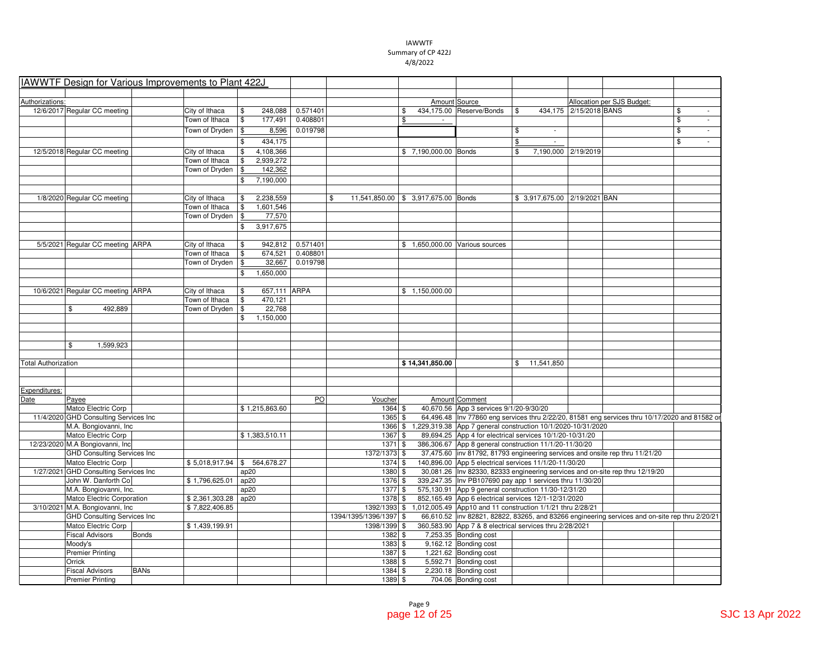|                            | IAWWTF Design for Various Improvements to Plant 422J |              |                |                    |          |                        |                                     |                                                                         |                                                      |                        |                                                                                                  |    |
|----------------------------|------------------------------------------------------|--------------|----------------|--------------------|----------|------------------------|-------------------------------------|-------------------------------------------------------------------------|------------------------------------------------------|------------------------|--------------------------------------------------------------------------------------------------|----|
|                            |                                                      |              |                |                    |          |                        |                                     |                                                                         |                                                      |                        |                                                                                                  |    |
| Authorizations:            |                                                      |              |                |                    |          |                        |                                     | Amount Source                                                           |                                                      |                        | Allocation per SJS Budget:                                                                       |    |
|                            | 12/6/2017 Regular CC meeting                         |              | City of Ithaca | \$<br>248.088      | 0.571401 |                        | \$                                  | 434,175.00 Reserve/Bonds                                                | \$                                                   | 434.175 2/15/2018 BANS |                                                                                                  | \$ |
|                            |                                                      |              | Town of Ithaca | \$<br>177,491      | 0.408801 |                        | \$                                  |                                                                         |                                                      |                        |                                                                                                  | \$ |
|                            |                                                      |              | Town of Dryden | \$<br>8,596        | 0.019798 |                        |                                     |                                                                         | \$                                                   |                        |                                                                                                  | \$ |
|                            |                                                      |              |                | 434,175<br>\$      |          |                        |                                     |                                                                         | \$<br>$\sim$                                         |                        |                                                                                                  | \$ |
|                            | 12/5/2018 Regular CC meeting                         |              | City of Ithaca | 4,108,366<br>\$    |          |                        | \$7,190,000.00 Bonds                |                                                                         | \$                                                   | 7,190,000 2/19/2019    |                                                                                                  |    |
|                            |                                                      |              | Town of Ithaca | 2,939,272<br>\$    |          |                        |                                     |                                                                         |                                                      |                        |                                                                                                  |    |
|                            |                                                      |              | Town of Dryden | \$<br>142,362      |          |                        |                                     |                                                                         |                                                      |                        |                                                                                                  |    |
|                            |                                                      |              |                | 7,190,000<br>\$    |          |                        |                                     |                                                                         |                                                      |                        |                                                                                                  |    |
|                            |                                                      |              |                |                    |          |                        |                                     |                                                                         |                                                      |                        |                                                                                                  |    |
|                            | 1/8/2020 Regular CC meeting                          |              | City of Ithaca | 2,238,559<br>\$    | \$       |                        | 11,541,850.00 \$ 3,917,675.00 Bonds |                                                                         | \$ 3,917,675.00   2/19/2021   BAN                    |                        |                                                                                                  |    |
|                            |                                                      |              | Town of Ithaca | \$<br>1,601,546    |          |                        |                                     |                                                                         |                                                      |                        |                                                                                                  |    |
|                            |                                                      |              | Town of Dryden | \$<br>77,570       |          |                        |                                     |                                                                         |                                                      |                        |                                                                                                  |    |
|                            |                                                      |              |                | \$<br>3,917,675    |          |                        |                                     |                                                                         |                                                      |                        |                                                                                                  |    |
|                            |                                                      |              |                |                    |          |                        |                                     |                                                                         |                                                      |                        |                                                                                                  |    |
|                            | 5/5/2021 Regular CC meeting ARPA                     |              | City of Ithaca | \$<br>942,812      | 0.571401 |                        |                                     | \$1,650,000.00 Various sources                                          |                                                      |                        |                                                                                                  |    |
|                            |                                                      |              | Town of Ithaca | 674,521<br>\$      | 0.408801 |                        |                                     |                                                                         |                                                      |                        |                                                                                                  |    |
|                            |                                                      |              | Town of Dryden | 32,667<br>\$       | 0.019798 |                        |                                     |                                                                         |                                                      |                        |                                                                                                  |    |
|                            |                                                      |              |                | 1,650,000<br>\$    |          |                        |                                     |                                                                         |                                                      |                        |                                                                                                  |    |
|                            |                                                      |              |                |                    |          |                        |                                     |                                                                         |                                                      |                        |                                                                                                  |    |
|                            | 10/6/2021 Regular CC meeting ARPA                    |              | City of Ithaca | 657,111 ARPA<br>\$ |          |                        | \$1,150,000.00                      |                                                                         |                                                      |                        |                                                                                                  |    |
|                            |                                                      |              | Town of Ithaca | 470,121<br>\$      |          |                        |                                     |                                                                         |                                                      |                        |                                                                                                  |    |
|                            | \$<br>492,889                                        |              | Town of Dryden | 22,768<br>\$       |          |                        |                                     |                                                                         |                                                      |                        |                                                                                                  |    |
|                            |                                                      |              |                | 1,150,000<br>\$    |          |                        |                                     |                                                                         |                                                      |                        |                                                                                                  |    |
|                            |                                                      |              |                |                    |          |                        |                                     |                                                                         |                                                      |                        |                                                                                                  |    |
|                            |                                                      |              |                |                    |          |                        |                                     |                                                                         |                                                      |                        |                                                                                                  |    |
|                            | \$<br>1,599,923                                      |              |                |                    |          |                        |                                     |                                                                         |                                                      |                        |                                                                                                  |    |
|                            |                                                      |              |                |                    |          |                        |                                     |                                                                         |                                                      |                        |                                                                                                  |    |
| <b>Total Authorization</b> |                                                      |              |                |                    |          |                        | \$14,341,850.00                     |                                                                         | \$11,541,850                                         |                        |                                                                                                  |    |
|                            |                                                      |              |                |                    |          |                        |                                     |                                                                         |                                                      |                        |                                                                                                  |    |
|                            |                                                      |              |                |                    |          |                        |                                     |                                                                         |                                                      |                        |                                                                                                  |    |
| Expenditures:              |                                                      |              |                |                    |          |                        |                                     |                                                                         |                                                      |                        |                                                                                                  |    |
| Date                       | Payee                                                |              |                |                    | PO       | Voucher                |                                     | Amount Comment                                                          |                                                      |                        |                                                                                                  |    |
|                            | Matco Electric Corp                                  |              |                | \$1,215,863.60     |          | $1364$ \$              |                                     | 40,670.56 App 3 services 9/1/20-9/30/20                                 |                                                      |                        |                                                                                                  |    |
|                            | 11/4/2020 GHD Consulting Services Inc                |              |                |                    |          | 1365 \$                |                                     |                                                                         |                                                      |                        | 64,496.48   Inv 77860 eng services thru 2/22/20, 81581 eng services thru 10/17/2020 and 81582 or |    |
|                            | M.A. Bongiovanni, Inc.                               |              |                |                    |          |                        |                                     | 1366 \$ 1,229,319.38 App 7 general construction 10/1/2020-10/31/2020    |                                                      |                        |                                                                                                  |    |
|                            | Matco Electric Corp                                  |              |                | \$1,383,510.11     |          | 1367 \$                |                                     | 89,694.25 App 4 for electrical services 10/1/20-10/31/20                |                                                      |                        |                                                                                                  |    |
|                            | 12/23/2020 M.A Bongiovanni, Inc                      |              |                |                    |          | 1371 \$                |                                     | 386,306.67 App 8 general construction 11/1/20-11/30/20                  |                                                      |                        |                                                                                                  |    |
|                            | <b>GHD Consulting Services Inc</b>                   |              |                |                    |          | 1372/1373 \$           |                                     |                                                                         |                                                      |                        | 37,475.60 inv 81792, 81793 engineering services and onsite rep thru 11/21/20                     |    |
|                            | Matco Electric Corp                                  |              | \$5,018,917.94 | \$ 564,678.27      |          | $1374$ \$              |                                     | 140,896.00 App 5 electrical services 11/1/20-11/30/20                   |                                                      |                        |                                                                                                  |    |
|                            | 1/27/2021 GHD Consulting Services Inc                |              |                | ap20               |          | 1380 \$                |                                     |                                                                         |                                                      |                        | 30,081.26   Inv 82330, 82333 engineering services and on-site rep thru 12/19/20                  |    |
|                            | John W. Danforth Co                                  |              | \$1,796,625.01 | ap20               |          | 1376 \$                |                                     | 339,247.35   Inv PB107690 pay app 1 services thru 11/30/20              |                                                      |                        |                                                                                                  |    |
|                            |                                                      |              |                | ap20               |          | 1377 \$                |                                     | 575,130.91 App 9 general construction 11/30-12/31/20                    |                                                      |                        |                                                                                                  |    |
|                            | M.A. Bongiovanni, Inc.                               |              |                |                    |          |                        |                                     |                                                                         | 852,165.49 App 6 electrical services 12/1-12/31/2020 |                        |                                                                                                  |    |
|                            | Matco Electric Corporation                           |              | \$2,361,303.28 | ap20               |          | $1378$ \$              |                                     |                                                                         |                                                      |                        |                                                                                                  |    |
|                            | 3/10/2021 M.A. Bongiovanni, Inc                      |              | \$7,822,406.85 |                    |          |                        |                                     | 1392/1393 \$ 1,012,005.49 App10 and 11 construction 1/1/21 thru 2/28/21 |                                                      |                        |                                                                                                  |    |
|                            | <b>GHD Consulting Services Inc.</b>                  |              |                |                    |          | 1394/1395/1396/1397 \$ |                                     |                                                                         |                                                      |                        | 66,610.52  inv 82821, 82822, 83265, and 83266 engineering services and on-site rep thru 2/20/21  |    |
|                            | Matco Electric Corp                                  |              | \$1,439,199.91 |                    |          | 1398/1399 \$           |                                     | 360,583.90 App 7 & 8 electrical services thru 2/28/2021                 |                                                      |                        |                                                                                                  |    |
|                            | <b>Fiscal Advisors</b>                               | <b>Bonds</b> |                |                    |          | 1382 \$                |                                     | 7,253.35 Bonding cost                                                   |                                                      |                        |                                                                                                  |    |
|                            | Moody's                                              |              |                |                    |          | 1383 \$                |                                     | $9,162.12$ Bonding cost                                                 |                                                      |                        |                                                                                                  |    |
|                            |                                                      |              |                |                    |          |                        |                                     |                                                                         |                                                      |                        |                                                                                                  |    |
|                            | <b>Premier Printing</b><br>Orrick                    |              |                |                    |          | $1387$ \$              |                                     | 1,221.62 Bonding cost                                                   |                                                      |                        |                                                                                                  |    |
|                            | <b>Fiscal Advisors</b>                               | <b>BANs</b>  |                |                    |          | 1388 \$<br>1384 \$     |                                     | 5,592.71 Bonding cost<br>2,230.18 Bonding cost                          |                                                      |                        |                                                                                                  |    |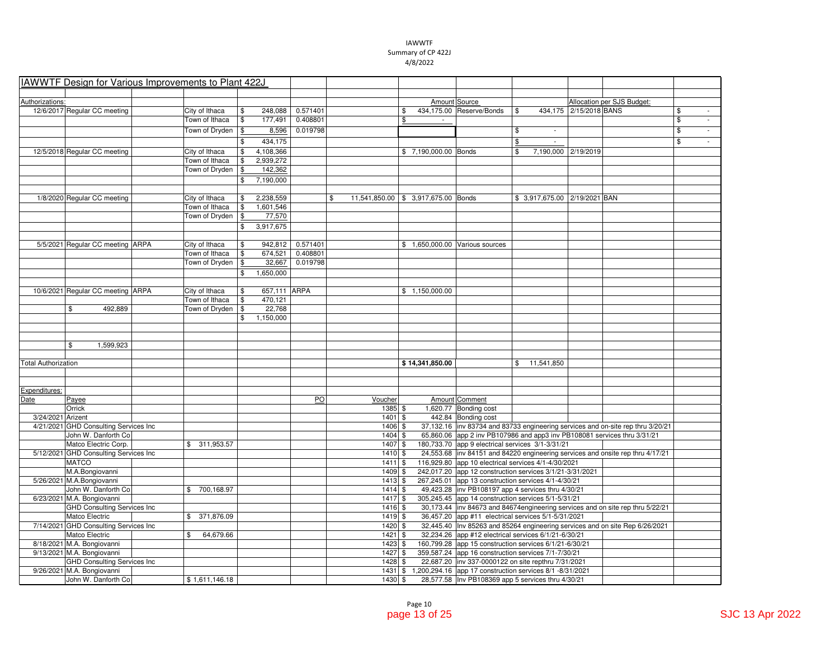|                            | IAWWTF Design for Various Improvements to Plant 422J |                  |                         |                  |                                           |                      |                                                                  |                  |                                 |                                                                                  |                         |                          |
|----------------------------|------------------------------------------------------|------------------|-------------------------|------------------|-------------------------------------------|----------------------|------------------------------------------------------------------|------------------|---------------------------------|----------------------------------------------------------------------------------|-------------------------|--------------------------|
|                            |                                                      |                  |                         |                  |                                           |                      |                                                                  |                  |                                 |                                                                                  |                         |                          |
| Authorizations:            |                                                      |                  |                         |                  |                                           | Amount Source        |                                                                  |                  |                                 | Allocation per SJS Budget:                                                       |                         |                          |
|                            | 12/6/2017 Regular CC meeting                         | City of Ithaca   | \$<br>248,088           | 0.571401         |                                           | \$                   | 434,175.00 Reserve/Bonds                                         | \$               | 434,175 2/15/2018 BANS          |                                                                                  | \$                      | $\overline{\phantom{a}}$ |
|                            |                                                      | Town of Ithaca   | \$<br>177,491           | 0.408801         |                                           | \$                   |                                                                  |                  |                                 |                                                                                  | \$                      | ÷.                       |
|                            |                                                      | Town of Dryden   | 8,596<br>\$             | 0.019798         |                                           |                      |                                                                  | \$               |                                 |                                                                                  | $\overline{\mathbb{S}}$ | ÷.                       |
|                            |                                                      |                  | 434,175<br>\$           |                  |                                           |                      |                                                                  | \$               |                                 |                                                                                  | \$                      | ÷.                       |
|                            | 12/5/2018 Regular CC meeting                         | City of Ithaca   | 4,108,366<br>\$         |                  |                                           | \$7,190,000.00 Bonds |                                                                  | \$               | 7,190,000 2/19/2019             |                                                                                  |                         |                          |
|                            |                                                      | Town of Ithaca   | 2,939,272<br>\$         |                  |                                           |                      |                                                                  |                  |                                 |                                                                                  |                         |                          |
|                            |                                                      | Town of Dryden   | 142,362<br>\$           |                  |                                           |                      |                                                                  |                  |                                 |                                                                                  |                         |                          |
|                            |                                                      |                  | 7,190,000<br>\$         |                  |                                           |                      |                                                                  |                  |                                 |                                                                                  |                         |                          |
|                            | 1/8/2020 Regular CC meeting                          | City of Ithaca   | 2,238,559<br>\$         |                  | \$<br>11,541,850.00 \$ 3,917,675.00 Bonds |                      |                                                                  |                  | \$ 3,917,675.00   2/19/2021 BAN |                                                                                  |                         |                          |
|                            |                                                      | Town of Ithaca   | \$<br>1,601,546         |                  |                                           |                      |                                                                  |                  |                                 |                                                                                  |                         |                          |
|                            |                                                      | Town of Dryden   | $\frac{1}{2}$<br>77,570 |                  |                                           |                      |                                                                  |                  |                                 |                                                                                  |                         |                          |
|                            |                                                      |                  | \$<br>3,917,675         |                  |                                           |                      |                                                                  |                  |                                 |                                                                                  |                         |                          |
|                            |                                                      |                  |                         |                  |                                           |                      |                                                                  |                  |                                 |                                                                                  |                         |                          |
|                            | 5/5/2021 Regular CC meeting ARPA                     | City of Ithaca   | \$                      | 942,812 0.571401 |                                           |                      | \$ 1,650,000.00 Various sources                                  |                  |                                 |                                                                                  |                         |                          |
|                            |                                                      | Town of Ithaca   | \$<br>674,521           | 0.408801         |                                           |                      |                                                                  |                  |                                 |                                                                                  |                         |                          |
|                            |                                                      | Town of Dryden   | \$<br>32,667            | 0.019798         |                                           |                      |                                                                  |                  |                                 |                                                                                  |                         |                          |
|                            |                                                      |                  | 1,650,000<br>\$         |                  |                                           |                      |                                                                  |                  |                                 |                                                                                  |                         |                          |
|                            |                                                      |                  |                         |                  |                                           |                      |                                                                  |                  |                                 |                                                                                  |                         |                          |
|                            | 10/6/2021 Regular CC meeting ARPA                    | City of Ithaca   | 657,111 ARPA<br>\$      |                  |                                           | \$1,150,000.00       |                                                                  |                  |                                 |                                                                                  |                         |                          |
|                            |                                                      | Town of Ithaca   | \$<br>470,121           |                  |                                           |                      |                                                                  |                  |                                 |                                                                                  |                         |                          |
|                            | \$<br>492,889                                        | Town of Dryden   | 22,768<br>\$            |                  |                                           |                      |                                                                  |                  |                                 |                                                                                  |                         |                          |
|                            |                                                      |                  | 1,150,000<br>\$         |                  |                                           |                      |                                                                  |                  |                                 |                                                                                  |                         |                          |
|                            |                                                      |                  |                         |                  |                                           |                      |                                                                  |                  |                                 |                                                                                  |                         |                          |
|                            |                                                      |                  |                         |                  |                                           |                      |                                                                  |                  |                                 |                                                                                  |                         |                          |
|                            | \$<br>1,599,923                                      |                  |                         |                  |                                           |                      |                                                                  |                  |                                 |                                                                                  |                         |                          |
|                            |                                                      |                  |                         |                  |                                           |                      |                                                                  |                  |                                 |                                                                                  |                         |                          |
| <b>Total Authorization</b> |                                                      |                  |                         |                  |                                           | \$14,341,850.00      |                                                                  | \$<br>11,541,850 |                                 |                                                                                  |                         |                          |
|                            |                                                      |                  |                         |                  |                                           |                      |                                                                  |                  |                                 |                                                                                  |                         |                          |
| Expenditures:              |                                                      |                  |                         |                  |                                           |                      |                                                                  |                  |                                 |                                                                                  |                         |                          |
| Date                       | Payee                                                |                  |                         | PO               | Voucher                                   |                      | Amount Comment                                                   |                  |                                 |                                                                                  |                         |                          |
|                            | Orrick                                               |                  |                         |                  | 1385 \$                                   |                      | 1,620.77 Bonding cost                                            |                  |                                 |                                                                                  |                         |                          |
| 3/24/2021 Arizent          |                                                      |                  |                         |                  | $1401$ \$                                 |                      | 442.84 Bonding cost                                              |                  |                                 |                                                                                  |                         |                          |
|                            | 4/21/2021 GHD Consulting Services Inc                |                  |                         |                  | 1406 \$                                   |                      |                                                                  |                  |                                 | 37,132.16 inv 83734 and 83733 engineering services and on-site rep thru 3/20/21  |                         |                          |
|                            | John W. Danforth Co                                  |                  |                         |                  | 1404 \$                                   |                      |                                                                  |                  |                                 | 65,860.06 app 2 inv PB107986 and app3 inv PB108081 services thru 3/31/21         |                         |                          |
|                            | Matco Electric Corp.                                 | \$ 311,953.57    |                         |                  | $1407$ \$                                 |                      | 180,733.70 app 9 electrical services 3/1-3/31/21                 |                  |                                 |                                                                                  |                         |                          |
|                            | 5/12/2021 GHD Consulting Services Inc                |                  |                         |                  | $1410$ \$                                 |                      |                                                                  |                  |                                 | 24,553.68 inv 84151 and 84220 engineering services and onsite rep thru 4/17/21   |                         |                          |
|                            | <b>MATCO</b>                                         |                  |                         |                  | $1411$ \$                                 |                      | 116,929.80 app 10 electrical services 4/1-4/30/2021              |                  |                                 |                                                                                  |                         |                          |
|                            | M.A.Bongiovanni                                      |                  |                         |                  | $1409$ \$                                 |                      | 242,017.20 app 12 construction services 3/1/21-3/31/2021         |                  |                                 |                                                                                  |                         |                          |
|                            | 5/26/2021 M.A.Bongiovanni                            |                  |                         |                  | $1413$ \$                                 |                      | 267,245.01 app 13 construction services 4/1-4/30/21              |                  |                                 |                                                                                  |                         |                          |
|                            | John W. Danforth Co                                  | \$700,168.97     |                         |                  | 1414S                                     |                      | 49,423.28   inv PB108197 app 4 services thru 4/30/21             |                  |                                 |                                                                                  |                         |                          |
|                            | 6/23/2021 M.A. Bongiovanni                           |                  |                         |                  | 1417 \$                                   |                      | 305,245.45 app 14 construction services 5/1-5/31/21              |                  |                                 |                                                                                  |                         |                          |
|                            | <b>GHD Consulting Services Inc</b>                   |                  |                         |                  | 1416S                                     |                      |                                                                  |                  |                                 | 30,173.44  inv 84673 and 84674 engineering services and on site rep thru 5/22/21 |                         |                          |
|                            | Matco Electric                                       | 371,876.09<br>\$ |                         |                  | 1419 \$                                   |                      | 36,457.20 app #11 electrical services 5/1-5/31/2021              |                  |                                 |                                                                                  |                         |                          |
|                            | 7/14/2021 GHD Consulting Services Inc                |                  |                         |                  | 1420 \$                                   |                      |                                                                  |                  |                                 | 32,445.40  Inv 85263 and 85264 engineering services and on site Rep 6/26/2021    |                         |                          |
|                            | Matco Electric                                       | 64,679.66<br>\$  |                         |                  | 1421 \$                                   |                      | 32,234.26 app #12 electrical services 6/1/21-6/30/21             |                  |                                 |                                                                                  |                         |                          |
|                            | 8/18/2021 M.A. Bongiovanni                           |                  |                         |                  | $1423$ \$                                 |                      | 160,799.28 app 15 construction services 6/1/21-6/30/21           |                  |                                 |                                                                                  |                         |                          |
|                            | 9/13/2021 M.A. Bongiovanni                           |                  |                         |                  | $1427$ \$                                 |                      | 359,587.24 app 16 construction services 7/1-7/30/21              |                  |                                 |                                                                                  |                         |                          |
|                            | <b>GHD Consulting Services Inc</b>                   |                  |                         |                  | $1428$ \$                                 |                      | 22,687.20  inv 337-0000122 on site repthru 7/31/2021             |                  |                                 |                                                                                  |                         |                          |
|                            | 9/26/2021 M.A. Bongiovanni                           |                  |                         |                  |                                           |                      | 1431 \$ 1,200,294.16 app 17 construction services 8/1 -8/31/2021 |                  |                                 |                                                                                  |                         |                          |
|                            | John W. Danforth Co                                  | \$1,611,146.18   |                         |                  | $1430$ \$                                 |                      | 28,577.58  Inv PB108369 app 5 services thru 4/30/21              |                  |                                 |                                                                                  |                         |                          |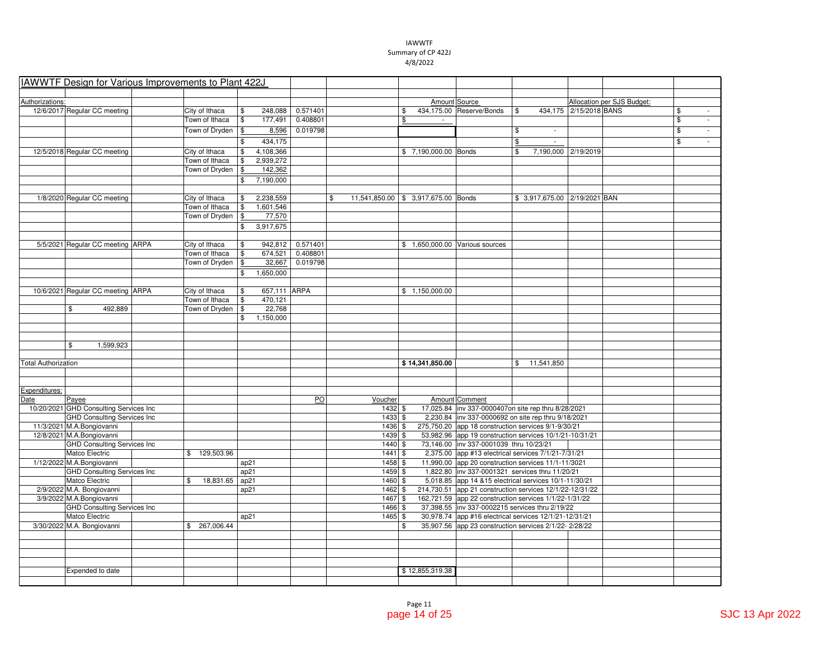| IAWWTF Design for Various Improvements to Plant 422J |                 |                    |          |                                           |                      |                                                          |                |              |                                 |                            |                                |
|------------------------------------------------------|-----------------|--------------------|----------|-------------------------------------------|----------------------|----------------------------------------------------------|----------------|--------------|---------------------------------|----------------------------|--------------------------------|
|                                                      |                 |                    |          |                                           |                      |                                                          |                |              |                                 |                            |                                |
| Authorizations:                                      |                 |                    |          |                                           | Amount Source        |                                                          |                |              |                                 | Allocation per SJS Budget: |                                |
| 12/6/2017 Regular CC meeting                         | City of Ithaca  | \$<br>248,088      | 0.571401 |                                           | \$                   | 434,175.00 Reserve/Bonds                                 | $$\mathbb{S}$$ |              | 434,175 2/15/2018 BANS          |                            | \$<br>$\sim$                   |
|                                                      | Town of Ithaca  | \$<br>177,491      | 0.408801 |                                           | \$                   |                                                          |                |              |                                 |                            | \$<br>$\overline{\phantom{a}}$ |
|                                                      | Town of Dryden  | 8,596<br>\$        | 0.019798 |                                           |                      |                                                          | \$             |              |                                 |                            | \$<br>$\mathcal{L}$            |
|                                                      |                 | 434,175<br>\$      |          |                                           |                      |                                                          | \$             | ÷.           |                                 |                            | \$<br>$\sim$                   |
|                                                      |                 |                    |          |                                           |                      |                                                          |                |              |                                 |                            |                                |
| 12/5/2018 Regular CC meeting                         | City of Ithaca  | 4,108,366<br>\$    |          |                                           | \$7,190,000.00 Bonds |                                                          | \$             |              | 7,190,000 2/19/2019             |                            |                                |
|                                                      | Town of Ithaca  | 2,939,272<br>\$    |          |                                           |                      |                                                          |                |              |                                 |                            |                                |
|                                                      | Town of Dryden  | 142,362<br>\$      |          |                                           |                      |                                                          |                |              |                                 |                            |                                |
|                                                      |                 | 7,190,000<br>\$    |          |                                           |                      |                                                          |                |              |                                 |                            |                                |
|                                                      |                 |                    |          |                                           |                      |                                                          |                |              |                                 |                            |                                |
| 1/8/2020 Regular CC meeting                          | City of Ithaca  | 2,238,559<br>\$    |          | \$<br>11,541,850.00 \$ 3,917,675.00 Bonds |                      |                                                          |                |              | \$ 3,917,675.00   2/19/2021 BAN |                            |                                |
|                                                      | Town of Ithaca  | \$<br>1,601,546    |          |                                           |                      |                                                          |                |              |                                 |                            |                                |
|                                                      | Town of Dryden  | \$<br>77,570       |          |                                           |                      |                                                          |                |              |                                 |                            |                                |
|                                                      |                 | \$<br>3,917,675    |          |                                           |                      |                                                          |                |              |                                 |                            |                                |
|                                                      |                 |                    |          |                                           |                      |                                                          |                |              |                                 |                            |                                |
| 5/5/2021 Regular CC meeting ARPA                     | City of Ithaca  | \$<br>942,812      | 0.571401 |                                           |                      | \$1,650,000.00 Various sources                           |                |              |                                 |                            |                                |
|                                                      | Town of Ithaca  | \$<br>674,521      | 0.408801 |                                           |                      |                                                          |                |              |                                 |                            |                                |
|                                                      | Town of Dryden  | 32,667<br>\$       | 0.019798 |                                           |                      |                                                          |                |              |                                 |                            |                                |
|                                                      |                 | 1,650,000<br>\$    |          |                                           |                      |                                                          |                |              |                                 |                            |                                |
|                                                      |                 |                    |          |                                           |                      |                                                          |                |              |                                 |                            |                                |
| 10/6/2021 Regular CC meeting ARPA                    | City of Ithaca  | 657,111 ARPA<br>\$ |          |                                           | \$1,150,000.00       |                                                          |                |              |                                 |                            |                                |
|                                                      | Town of Ithaca  | \$<br>470,121      |          |                                           |                      |                                                          |                |              |                                 |                            |                                |
| \$<br>492,889                                        | Town of Dryden  | 22,768<br>\$       |          |                                           |                      |                                                          |                |              |                                 |                            |                                |
|                                                      |                 | 1,150,000<br>\$    |          |                                           |                      |                                                          |                |              |                                 |                            |                                |
|                                                      |                 |                    |          |                                           |                      |                                                          |                |              |                                 |                            |                                |
|                                                      |                 |                    |          |                                           |                      |                                                          |                |              |                                 |                            |                                |
| \$<br>1,599,923                                      |                 |                    |          |                                           |                      |                                                          |                |              |                                 |                            |                                |
|                                                      |                 |                    |          |                                           |                      |                                                          |                |              |                                 |                            |                                |
| <b>Total Authorization</b>                           |                 |                    |          |                                           | \$14,341,850.00      |                                                          |                | \$11,541,850 |                                 |                            |                                |
|                                                      |                 |                    |          |                                           |                      |                                                          |                |              |                                 |                            |                                |
|                                                      |                 |                    |          |                                           |                      |                                                          |                |              |                                 |                            |                                |
| Expenditures:                                        |                 |                    |          |                                           |                      |                                                          |                |              |                                 |                            |                                |
| Date<br>Payee                                        |                 |                    | PO       | Voucher                                   |                      | Amount Comment                                           |                |              |                                 |                            |                                |
| 10/20/2021 GHD Consulting Services Inc               |                 |                    |          | 1432S                                     |                      | 17,025.84   inv 337-0000407on site rep thru 8/28/2021    |                |              |                                 |                            |                                |
| <b>GHD Consulting Services Inc.</b>                  |                 |                    |          | $1433$ \$                                 |                      | 2,230.84 inv 337-0000692 on site rep thru 9/18/2021      |                |              |                                 |                            |                                |
| 11/3/2021 M.A.Bongiovanni                            |                 |                    |          | $1436$ \$                                 |                      | 275,750.20 app 18 construction services 9/1-9/30/21      |                |              |                                 |                            |                                |
| 12/8/2021 M.A.Bongiovanni                            |                 |                    |          | 1439 \$                                   |                      | 53,982.96 app 19 construction services 10/1/21-10/31/21  |                |              |                                 |                            |                                |
| <b>GHD Consulting Services Inc</b>                   |                 |                    |          | 1440 \$                                   |                      | 73,146.00 inv 337-0001039 thru 10/23/21                  |                |              |                                 |                            |                                |
| Matco Electric                                       | \$129,503.96    |                    |          | $1441$ \$                                 |                      | 2,375.00 app #13 electrical services 7/1/21-7/31/21      |                |              |                                 |                            |                                |
| 1/12/2022 M.A.Bongiovanni                            |                 | ap21               |          | $1458$ \$                                 |                      | 11,990.00 app 20 construction services 11/1-11/3021      |                |              |                                 |                            |                                |
| <b>GHD Consulting Services Inc</b>                   |                 | ap21               |          | $1459$ \$                                 |                      | 1,822.80   inv 337-0001321 services thru 11/20/21        |                |              |                                 |                            |                                |
| Matco Electric                                       | \$<br>18,831.65 | ap21               |          | 1460 \$                                   |                      | 5,018.85 app 14 & 15 electrical services 10/1-11/30/21   |                |              |                                 |                            |                                |
| 2/9/2022 M.A. Bongiovanni                            |                 | ap21               |          | 1462 \$                                   |                      | 214,730.51 app 21 construction services 12/1/22-12/31/22 |                |              |                                 |                            |                                |
| 3/9/2022 M.A.Bongiovanni                             |                 |                    |          | 1467S                                     |                      | 162,721.59 app 22 construction services 1/1/22-1/31/22   |                |              |                                 |                            |                                |
| <b>GHD Consulting Services Inc</b>                   |                 |                    |          | 1466 \$                                   |                      | 37,398.55  inv 337-0002215 services thru 2/19/22         |                |              |                                 |                            |                                |
| Matco Electric                                       |                 | ap21               |          | 1465 \$                                   |                      | 30,978.74 app #16 electrical services 12/1/21-12/31/21   |                |              |                                 |                            |                                |
| 3/30/2022 M.A. Bongiovanni                           | \$267,006.44    |                    |          |                                           | \$                   | 35,907.56 app 23 construction services 2/1/22-2/28/22    |                |              |                                 |                            |                                |
|                                                      |                 |                    |          |                                           |                      |                                                          |                |              |                                 |                            |                                |
|                                                      |                 |                    |          |                                           |                      |                                                          |                |              |                                 |                            |                                |
|                                                      |                 |                    |          |                                           |                      |                                                          |                |              |                                 |                            |                                |
|                                                      |                 |                    |          |                                           |                      |                                                          |                |              |                                 |                            |                                |
| Expended to date                                     |                 |                    |          |                                           | \$12,855,319.38      |                                                          |                |              |                                 |                            |                                |
|                                                      |                 |                    |          |                                           |                      |                                                          |                |              |                                 |                            |                                |
|                                                      |                 |                    |          |                                           |                      |                                                          |                |              |                                 |                            |                                |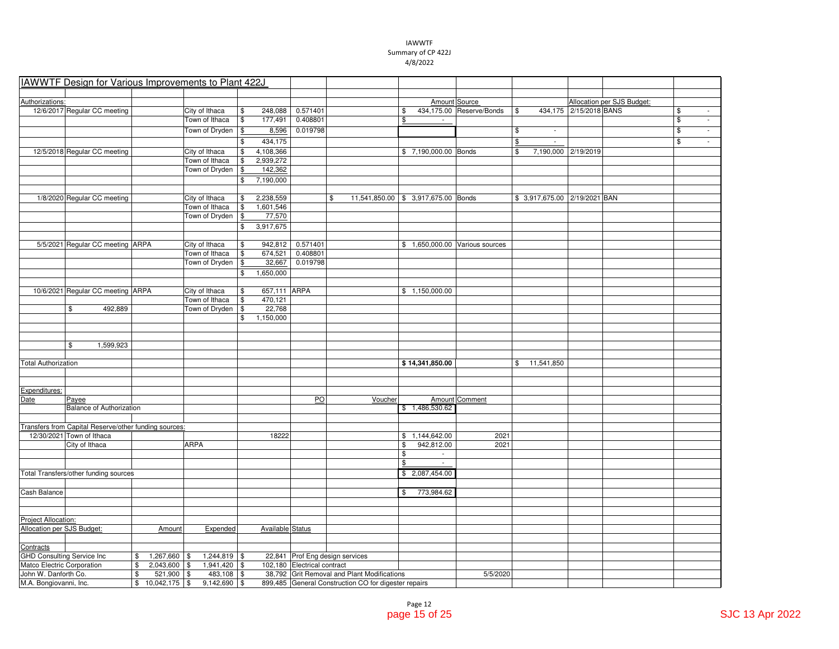|                                   | IAWWTF Design for Various Improvements to Plant 422J  |                      |                |                          |                                 |                                                      |                              |                          |                                 |                |                                   |                        |                            |                          |                             |
|-----------------------------------|-------------------------------------------------------|----------------------|----------------|--------------------------|---------------------------------|------------------------------------------------------|------------------------------|--------------------------|---------------------------------|----------------|-----------------------------------|------------------------|----------------------------|--------------------------|-----------------------------|
|                                   |                                                       |                      |                |                          |                                 |                                                      |                              |                          |                                 |                |                                   |                        |                            |                          |                             |
| Authorizations:                   |                                                       |                      |                |                          |                                 |                                                      |                              |                          | Amount Source                   |                |                                   |                        | Allocation per SJS Budget: |                          |                             |
|                                   | 12/6/2017 Regular CC meeting                          |                      | City of Ithaca | \$                       | 248,088 0.571401                |                                                      | \$                           |                          | 434,175.00 Reserve/Bonds        | \$             |                                   | 434,175 2/15/2018 BANS |                            | \$                       | $\overline{\phantom{a}}$    |
|                                   |                                                       |                      | Town of Ithaca | $\sqrt[6]{3}$<br>177,491 | 0.408801                        |                                                      | \$                           | $\sim$                   |                                 |                |                                   |                        |                            | $$\mathsf{S}$$           | $\overline{\phantom{a}}$    |
|                                   |                                                       |                      | Town of Dryden | 8,596<br>\$              | 0.019798                        |                                                      |                              |                          |                                 | \$             | $\sim$                            |                        |                            | $\overline{\mathcal{S}}$ | $\mathbb{Z}^{\mathbb{Z}}$   |
|                                   |                                                       |                      |                | 434,175<br>\$            |                                 |                                                      |                              |                          |                                 | $$\mathbb{S}$$ | $\mathcal{L}_{\mathcal{A}}$       |                        |                            | \$                       | $\mathcal{L}_{\mathcal{A}}$ |
|                                   | 12/5/2018 Regular CC meeting                          |                      | City of Ithaca | 4,108,366<br>\$          |                                 |                                                      | \$7,190,000.00 Bonds         |                          |                                 | \$             |                                   | 7,190,000 2/19/2019    |                            |                          |                             |
|                                   |                                                       |                      | Town of Ithaca | 2,939,272<br>\$          |                                 |                                                      |                              |                          |                                 |                |                                   |                        |                            |                          |                             |
|                                   |                                                       |                      | Town of Dryden | 142,362<br>\$            |                                 |                                                      |                              |                          |                                 |                |                                   |                        |                            |                          |                             |
|                                   |                                                       |                      |                | 7,190,000<br>\$          |                                 |                                                      |                              |                          |                                 |                |                                   |                        |                            |                          |                             |
|                                   |                                                       |                      |                |                          |                                 |                                                      |                              |                          |                                 |                |                                   |                        |                            |                          |                             |
|                                   | 1/8/2020 Regular CC meeting                           |                      | City of Ithaca | 2,238,559<br>\$          | \$                              | 11,541,850.00 \$ 3,917,675.00 Bonds                  |                              |                          |                                 |                | \$ 3,917,675.00   2/19/2021   BAN |                        |                            |                          |                             |
|                                   |                                                       |                      | Town of Ithaca | \$<br>1,601,546          |                                 |                                                      |                              |                          |                                 |                |                                   |                        |                            |                          |                             |
|                                   |                                                       |                      | Town of Dryden | 77,570<br>\$             |                                 |                                                      |                              |                          |                                 |                |                                   |                        |                            |                          |                             |
|                                   |                                                       |                      |                | 3,917,675<br>\$          |                                 |                                                      |                              |                          |                                 |                |                                   |                        |                            |                          |                             |
|                                   |                                                       |                      |                |                          |                                 |                                                      |                              |                          |                                 |                |                                   |                        |                            |                          |                             |
|                                   | 5/5/2021 Regular CC meeting ARPA                      |                      | City of Ithaca | \$                       | 942,812 0.571401                |                                                      |                              |                          | \$ 1,650,000.00 Various sources |                |                                   |                        |                            |                          |                             |
|                                   |                                                       |                      | Town of Ithaca | 674,521<br>\$            | 0.408801                        |                                                      |                              |                          |                                 |                |                                   |                        |                            |                          |                             |
|                                   |                                                       |                      | Town of Dryden | 32,667<br>\$             | 0.019798                        |                                                      |                              |                          |                                 |                |                                   |                        |                            |                          |                             |
|                                   |                                                       |                      |                | 1,650,000<br>\$          |                                 |                                                      |                              |                          |                                 |                |                                   |                        |                            |                          |                             |
|                                   |                                                       |                      |                |                          |                                 |                                                      |                              |                          |                                 |                |                                   |                        |                            |                          |                             |
|                                   | 10/6/2021 Regular CC meeting ARPA                     |                      | City of Ithaca | 657,111 ARPA<br>\$       |                                 |                                                      | \$1,150,000.00               |                          |                                 |                |                                   |                        |                            |                          |                             |
|                                   |                                                       |                      | Town of Ithaca | \$<br>470,121            |                                 |                                                      |                              |                          |                                 |                |                                   |                        |                            |                          |                             |
|                                   | \$<br>492,889                                         |                      | Town of Dryden | 22,768<br>\$             |                                 |                                                      |                              |                          |                                 |                |                                   |                        |                            |                          |                             |
|                                   |                                                       |                      |                | 1,150,000<br>\$          |                                 |                                                      |                              |                          |                                 |                |                                   |                        |                            |                          |                             |
|                                   |                                                       |                      |                |                          |                                 |                                                      |                              |                          |                                 |                |                                   |                        |                            |                          |                             |
|                                   |                                                       |                      |                |                          |                                 |                                                      |                              |                          |                                 |                |                                   |                        |                            |                          |                             |
|                                   | \$<br>1,599,923                                       |                      |                |                          |                                 |                                                      |                              |                          |                                 |                |                                   |                        |                            |                          |                             |
|                                   |                                                       |                      |                |                          |                                 |                                                      |                              |                          |                                 |                |                                   |                        |                            |                          |                             |
| <b>Total Authorization</b>        |                                                       |                      |                |                          |                                 |                                                      | \$14,341,850.00              |                          |                                 |                | \$11,541,850                      |                        |                            |                          |                             |
|                                   |                                                       |                      |                |                          |                                 |                                                      |                              |                          |                                 |                |                                   |                        |                            |                          |                             |
|                                   |                                                       |                      |                |                          |                                 |                                                      |                              |                          |                                 |                |                                   |                        |                            |                          |                             |
| Expenditures:                     |                                                       |                      |                |                          |                                 |                                                      |                              |                          |                                 |                |                                   |                        |                            |                          |                             |
| Date                              | Payee                                                 |                      |                |                          | PO                              | Voucher                                              |                              |                          | Amount Comment                  |                |                                   |                        |                            |                          |                             |
|                                   | <b>Balance of Authorization</b>                       |                      |                |                          |                                 |                                                      | \$1,486,530.62               |                          |                                 |                |                                   |                        |                            |                          |                             |
|                                   |                                                       |                      |                |                          |                                 |                                                      |                              |                          |                                 |                |                                   |                        |                            |                          |                             |
|                                   | Transfers from Capital Reserve/other funding sources: |                      |                |                          |                                 |                                                      |                              |                          |                                 |                |                                   |                        |                            |                          |                             |
|                                   | 12/30/2021 Town of Ithaca                             |                      |                | 18222                    |                                 |                                                      | \$1,144,642.00               |                          | 2021                            |                |                                   |                        |                            |                          |                             |
|                                   | City of Ithaca                                        |                      | <b>ARPA</b>    |                          |                                 |                                                      | 942,812.00<br>\$             |                          | 2021                            |                |                                   |                        |                            |                          |                             |
|                                   |                                                       |                      |                |                          |                                 |                                                      | \$                           | $\sim$                   |                                 |                |                                   |                        |                            |                          |                             |
|                                   |                                                       |                      |                |                          |                                 |                                                      | \$                           | $\overline{\phantom{a}}$ |                                 |                |                                   |                        |                            |                          |                             |
|                                   | Total Transfers/other funding sources                 |                      |                |                          |                                 |                                                      | \$2,087,454.00               |                          |                                 |                |                                   |                        |                            |                          |                             |
|                                   |                                                       |                      |                |                          |                                 |                                                      |                              |                          |                                 |                |                                   |                        |                            |                          |                             |
| Cash Balance                      |                                                       |                      |                |                          |                                 |                                                      | 773,984.62<br>$\mathfrak{F}$ |                          |                                 |                |                                   |                        |                            |                          |                             |
|                                   |                                                       |                      |                |                          |                                 |                                                      |                              |                          |                                 |                |                                   |                        |                            |                          |                             |
|                                   |                                                       |                      |                |                          |                                 |                                                      |                              |                          |                                 |                |                                   |                        |                            |                          |                             |
| Project Allocation:               |                                                       |                      |                |                          |                                 |                                                      |                              |                          |                                 |                |                                   |                        |                            |                          |                             |
| Allocation per SJS Budget:        |                                                       | Amount               | Expended       | Available Status         |                                 |                                                      |                              |                          |                                 |                |                                   |                        |                            |                          |                             |
|                                   |                                                       |                      |                |                          |                                 |                                                      |                              |                          |                                 |                |                                   |                        |                            |                          |                             |
| Contracts                         |                                                       |                      |                |                          |                                 |                                                      |                              |                          |                                 |                |                                   |                        |                            |                          |                             |
| <b>GHD Consulting Service Inc</b> |                                                       | $1,267,660$ \$<br>\$ | $1,244,819$ \$ |                          | 22,841 Prof Eng design services |                                                      |                              |                          |                                 |                |                                   |                        |                            |                          |                             |
| Matco Electric Corporation        |                                                       | \$<br>2,043,600 \$   | 1,941,420 \$   |                          | 102,180 Electrical contract     |                                                      |                              |                          |                                 |                |                                   |                        |                            |                          |                             |
| John W. Danforth Co.              |                                                       | \$<br>$521,900$ \$   | $483,108$ \$   |                          |                                 | 38,792 Grit Removal and Plant Modifications          |                              |                          | 5/5/2020                        |                |                                   |                        |                            |                          |                             |
| M.A. Bongiovanni, Inc.            |                                                       | $$10,042,175$ \\$    | $9,142,690$ \$ |                          |                                 | 899,485 General Construction CO for digester repairs |                              |                          |                                 |                |                                   |                        |                            |                          |                             |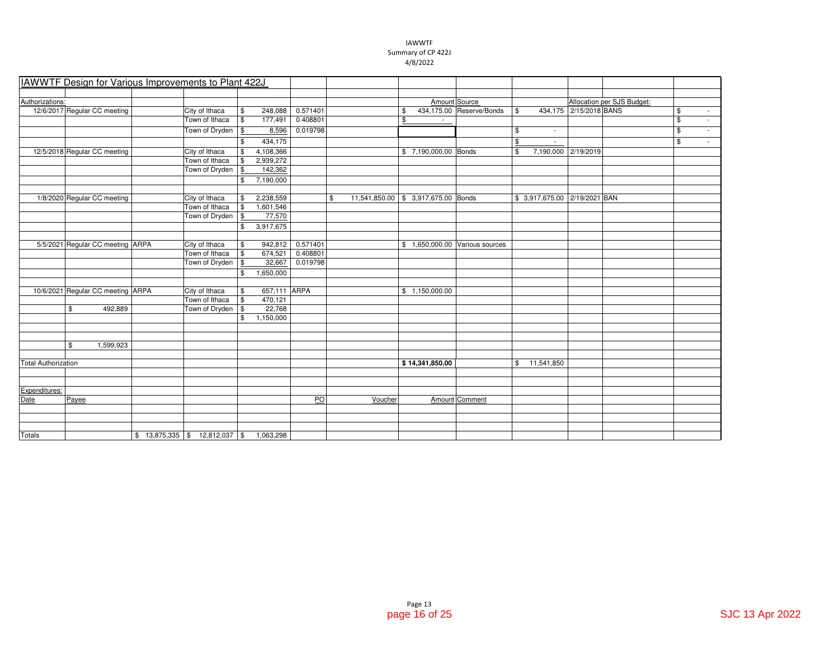|                            | IAWWTF Design for Various Improvements to Plant 422J |                                 |                         |          |         |                                     |                          |                |                               |                        |                            |                         |                          |
|----------------------------|------------------------------------------------------|---------------------------------|-------------------------|----------|---------|-------------------------------------|--------------------------|----------------|-------------------------------|------------------------|----------------------------|-------------------------|--------------------------|
|                            |                                                      |                                 |                         |          |         |                                     |                          |                |                               |                        |                            |                         |                          |
| Authorizations:            |                                                      |                                 |                         |          |         | Amount Source                       |                          |                |                               |                        | Allocation per SJS Budget: |                         |                          |
|                            | 12/6/2017 Regular CC meeting                         | City of Ithaca                  | \$<br>248,088           | 0.571401 |         | \$                                  | 434,175.00 Reserve/Bonds | $$\mathbb{S}$$ |                               | 434,175 2/15/2018 BANS |                            | $$\mathbb{S}$$          | $\sim$                   |
|                            |                                                      | Town of Ithaca                  | \$<br>177,491           | 0.408801 |         | \$                                  |                          |                |                               |                        |                            | $\overline{\mathbf{S}}$ | ÷.                       |
|                            |                                                      | Town of Dryden                  | 8,596<br>$\sqrt{3}$     | 0.019798 |         |                                     |                          | \$             | $\overline{a}$                |                        |                            | \$                      | $\overline{\phantom{a}}$ |
|                            |                                                      |                                 | 434,175<br>\$           |          |         |                                     |                          | \$             | $\sim$                        |                        |                            | \$                      | $\sim$                   |
|                            | 12/5/2018 Regular CC meeting                         | City of Ithaca                  | 4,108,366<br>\$         |          |         | \$7,190,000.00 Bonds                |                          | \$             | 7,190,000 2/19/2019           |                        |                            |                         |                          |
|                            |                                                      | Town of Ithaca                  | 2,939,272<br>\$         |          |         |                                     |                          |                |                               |                        |                            |                         |                          |
|                            |                                                      | Town of Dryden                  | 142,362<br>\$           |          |         |                                     |                          |                |                               |                        |                            |                         |                          |
|                            |                                                      |                                 | 7,190,000<br>\$         |          |         |                                     |                          |                |                               |                        |                            |                         |                          |
|                            |                                                      |                                 |                         |          |         |                                     |                          |                |                               |                        |                            |                         |                          |
|                            | 1/8/2020 Regular CC meeting                          | City of Ithaca                  | 2,238,559<br>\$         |          | \$      | 11,541,850.00 \$ 3,917,675.00 Bonds |                          |                | \$ 3,917,675.00 2/19/2021 BAN |                        |                            |                         |                          |
|                            |                                                      | Town of Ithaca                  | 1,601,546<br>\$         |          |         |                                     |                          |                |                               |                        |                            |                         |                          |
|                            |                                                      | Town of Dryden                  | 77,570<br>$\sqrt[6]{3}$ |          |         |                                     |                          |                |                               |                        |                            |                         |                          |
|                            |                                                      |                                 | 3,917,675<br>\$         |          |         |                                     |                          |                |                               |                        |                            |                         |                          |
|                            |                                                      |                                 |                         |          |         |                                     |                          |                |                               |                        |                            |                         |                          |
|                            | 5/5/2021 Regular CC meeting ARPA                     | City of Ithaca                  | 942,812<br>\$           | 0.571401 |         | \$ 1,650,000.00 Various sources     |                          |                |                               |                        |                            |                         |                          |
|                            |                                                      | Town of Ithaca                  | 674,521<br>\$           | 0.408801 |         |                                     |                          |                |                               |                        |                            |                         |                          |
|                            |                                                      | Town of Dryden                  | 32,667<br>\$            | 0.019798 |         |                                     |                          |                |                               |                        |                            |                         |                          |
|                            |                                                      |                                 | 1,650,000<br>\$         |          |         |                                     |                          |                |                               |                        |                            |                         |                          |
|                            |                                                      |                                 |                         |          |         |                                     |                          |                |                               |                        |                            |                         |                          |
|                            | 10/6/2021 Regular CC meeting ARPA                    | City of Ithaca                  | 657,111 ARPA<br>\$      |          |         | \$1,150,000.00                      |                          |                |                               |                        |                            |                         |                          |
|                            |                                                      | Town of Ithaca                  | \$<br>470,121           |          |         |                                     |                          |                |                               |                        |                            |                         |                          |
|                            | \$<br>492,889                                        | Town of Dryden                  | 22,768<br>l \$          |          |         |                                     |                          |                |                               |                        |                            |                         |                          |
|                            |                                                      |                                 | 1,150,000<br>\$         |          |         |                                     |                          |                |                               |                        |                            |                         |                          |
|                            |                                                      |                                 |                         |          |         |                                     |                          |                |                               |                        |                            |                         |                          |
|                            |                                                      |                                 |                         |          |         |                                     |                          |                |                               |                        |                            |                         |                          |
|                            | \$<br>1,599,923                                      |                                 |                         |          |         |                                     |                          |                |                               |                        |                            |                         |                          |
|                            |                                                      |                                 |                         |          |         |                                     |                          |                |                               |                        |                            |                         |                          |
| <b>Total Authorization</b> |                                                      |                                 |                         |          |         | \$14,341,850.00                     |                          |                | \$11,541,850                  |                        |                            |                         |                          |
|                            |                                                      |                                 |                         |          |         |                                     |                          |                |                               |                        |                            |                         |                          |
| Expenditures:              |                                                      |                                 |                         |          |         |                                     |                          |                |                               |                        |                            |                         |                          |
| Date                       | Payee                                                |                                 |                         | PO       | Voucher |                                     | Amount Comment           |                |                               |                        |                            |                         |                          |
|                            |                                                      |                                 |                         |          |         |                                     |                          |                |                               |                        |                            |                         |                          |
|                            |                                                      |                                 |                         |          |         |                                     |                          |                |                               |                        |                            |                         |                          |
|                            |                                                      |                                 |                         |          |         |                                     |                          |                |                               |                        |                            |                         |                          |
| <b>Totals</b>              |                                                      | $$13,875,335$ $$12,812,037$ $$$ | 1,063,298               |          |         |                                     |                          |                |                               |                        |                            |                         |                          |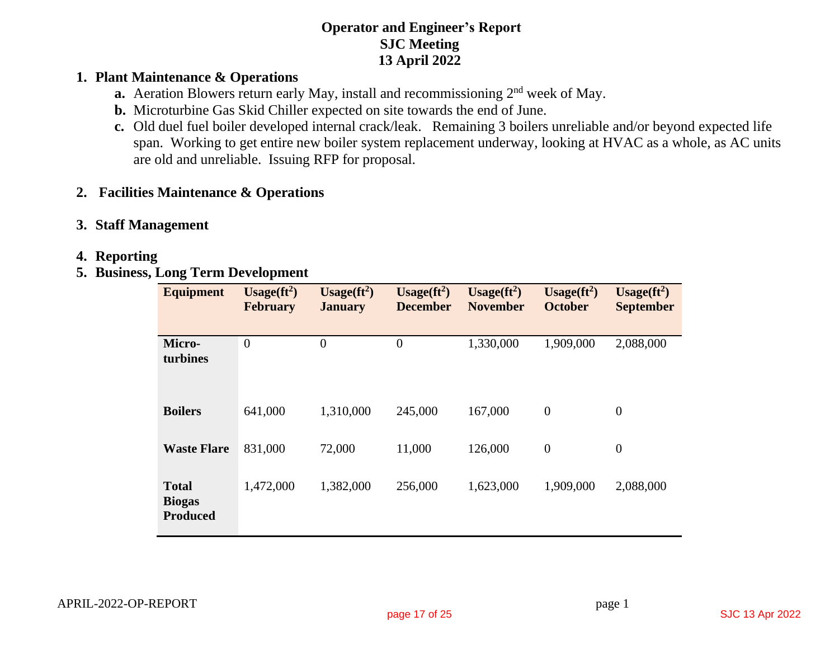## **Operator and Engineer's Report SJC Meeting 13 April 2022**

## **1. Plant Maintenance & Operations**

- **a.** Aeration Blowers return early May, install and recommissioning 2<sup>nd</sup> week of May.
- **b.** Microturbine Gas Skid Chiller expected on site towards the end of June.
- **c.** Old duel fuel boiler developed internal crack/leak. Remaining 3 boilers unreliable and/or beyond expected life span. Working to get entire new boiler system replacement underway, looking at HVAC as a whole, as AC units are old and unreliable. Issuing RFP for proposal.

# **2. Facilities Maintenance & Operations**

## **3. Staff Management**

## **4. Reporting**

# **5. Business, Long Term Development**

| <b>Equipment</b>                                 | Usage $(ft^2)$<br><b>February</b> | Usage $(ft^2)$<br><b>January</b> | Usage $(ft^2)$<br><b>December</b> | Usage $({\bf ft}^2)$<br><b>November</b> | $Usage(ft2)$<br><b>October</b> | Usage $(ft^2)$<br><b>September</b> |
|--------------------------------------------------|-----------------------------------|----------------------------------|-----------------------------------|-----------------------------------------|--------------------------------|------------------------------------|
| Micro-<br>turbines                               | $\boldsymbol{0}$                  | $\theta$                         | $\overline{0}$                    | 1,330,000                               | 1,909,000                      | 2,088,000                          |
| <b>Boilers</b>                                   | 641,000                           | 1,310,000                        | 245,000                           | 167,000                                 | $\boldsymbol{0}$               | $\boldsymbol{0}$                   |
| <b>Waste Flare</b>                               | 831,000                           | 72,000                           | 11,000                            | 126,000                                 | $\theta$                       | $\boldsymbol{0}$                   |
| <b>Total</b><br><b>Biogas</b><br><b>Produced</b> | 1,472,000                         | 1,382,000                        | 256,000                           | 1,623,000                               | 1,909,000                      | 2,088,000                          |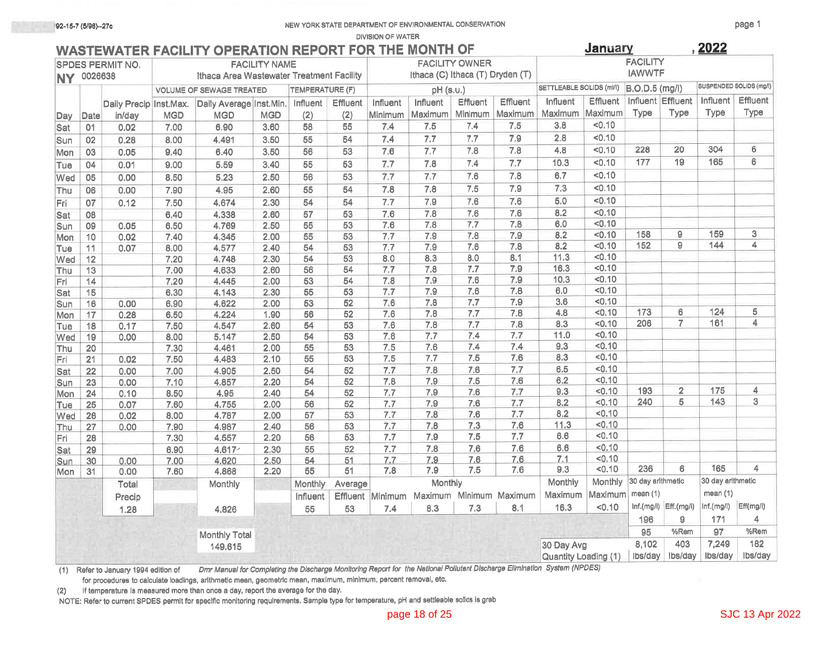#### **DIVISION OF WATER**

| WASTEWATER FACILITY OPERATION REPORT FOR THE MONTH OF |  |  |
|-------------------------------------------------------|--|--|
|-------------------------------------------------------|--|--|

| <b>NY 0026638</b> |                 | <b>SPDES PERMIT NO.</b> |              | Ithaca Area Wastewater Treatment Facility | <b>FACILITY NAME</b> |                 |          |            | Ithaca (C) Ithaca (T) Dryden (T) | <b>FACILITY OWNER</b> |                 |                                                                                                      |                  | <b>FACILITY</b><br><b>IAWWTF</b> |                            |                   |                         |
|-------------------|-----------------|-------------------------|--------------|-------------------------------------------|----------------------|-----------------|----------|------------|----------------------------------|-----------------------|-----------------|------------------------------------------------------------------------------------------------------|------------------|----------------------------------|----------------------------|-------------------|-------------------------|
|                   |                 |                         |              | <b>VOLUME OF SEWAGE TREATED</b>           |                      | TEMPERATURE (F) |          |            | pH (s.u.)                        |                       |                 | SETTLEABLE SOLIDS (ml/l)                                                                             |                  | B.O.D.5 (mg/l)                   |                            |                   | SUSPENDED SOLIDS (mg/l) |
|                   |                 | Daily Precip Inst.Max.  |              | Daily Average Inst. Min.                  |                      | Influent        | Effluent | Influent   | <b>Influent</b>                  | Effluent              | Effluent        | Influent                                                                                             | Effluent         |                                  | Influent Effluent          | Influent          | Effluent                |
| Day               | Date            | in/day                  | <b>MGD</b>   | <b>MGD</b>                                | <b>MGD</b>           | (2)             | (2)      | Minimum    | Maximum                          | Minimum               | Maximum         | Maximum                                                                                              | Maximum          | Type                             | Type                       | Type              | Type                    |
| Sat               | 01              | 0.02                    | 7.00         | 6.90                                      | 3.60                 | 58              | 55       | 7.4        | 7.5                              | 7.4                   | 7.5             | 3.8                                                                                                  | < 0.10           |                                  |                            |                   |                         |
| Sun               | 02              | 0.28                    | 8.00         | 4.491                                     | 3.50                 | 55              | 54       | 7.4        | 7.7                              | 7.7                   | 7.9             | 2.8                                                                                                  | < 0.10           |                                  |                            |                   |                         |
| Mon               | 03              | 0.05                    | 9.40         | 6.40                                      | 3.50                 | $\overline{56}$ | 53       | 7.6        | 7.7                              | 7.8                   | 7.8             | 4.8                                                                                                  | < 0.10           | 228                              | 20                         | 304               | 6                       |
| Tue               | 04              | 0.01                    | 9.00         | 5.59                                      | 3.40                 | $\overline{55}$ | 53       | 7.7        | 7.8                              | 7.4                   | 7.7             | 10.3                                                                                                 | 50.10            | 177                              | 19                         | 165               | $6\phantom{a}$          |
| Wed               | 05              | 0.00                    | 8.50         | 5.23                                      | 2.50                 | 56              | 53       | 7.7        | 7.7                              | 7.6                   | 7.8             | 6.7                                                                                                  | 50.10            |                                  |                            |                   |                         |
| Thu               | 06              | 0.00                    | 7.90         | 4.95                                      | 2.60                 | 55              | 54       | 7.8        | 7.8                              | 7.5                   | 7.9             | 7.3                                                                                                  | 50.10            |                                  |                            |                   |                         |
| Fri               | 07              | 0.12                    | 7.50         | 4.674                                     | 2.30                 | 54              | 54       | 7.7        | 7.9                              | 7.6                   | 7.6             | 5.0                                                                                                  | 50.10            |                                  |                            |                   |                         |
|                   | 08              |                         | 6.40         | 4.338                                     | 2.60                 | $\overline{57}$ | 53       | 7.6        | 7.8                              | 7.6                   | 7.6             | 8.2                                                                                                  | 50.10            |                                  |                            |                   |                         |
| Sat<br>Sun        | 09              | 0.05                    | 6.50         | 4.769                                     | 2.50                 | 55              | 53       | 7.6        | 7.8                              | 7.7                   | 7.8             | 6.0                                                                                                  | 50.10            |                                  |                            |                   |                         |
| Mon               | 10              | 0.02                    | 7.40         | 4.345                                     | 2.00                 | 55              | 53       | 7.7        | 7.9                              | 7.8                   | 7.9             | 8.2                                                                                                  | 50.10            | 158                              | 9                          | 159               | 3                       |
| Tue               | 11              | 0.07                    | 8.00         | 4.577                                     | 2.40                 | 54              | 53       | 7.7        | 7.9                              | 7.6                   | 7.8             | 8.2                                                                                                  | < 0.10           | 152                              | 9                          | 144               | 4                       |
| Wed               | 12              |                         | 7.20         | 4.748                                     | 2.30                 | 54              | 53       | 8.0        | 8.3                              | 8.0                   | 8.1             | 11.3                                                                                                 | < 0.10           |                                  |                            |                   |                         |
| Thu               | 13              |                         | 7.00         | 4.633                                     | 2.60                 | 56              | 54       | 7.7        | 7.8                              | 7.7                   | 7.9             | 16.3                                                                                                 | < 0.10           |                                  |                            |                   |                         |
| Fri               | 14              |                         | 7.20         | 4.445                                     | 2.00                 | 53              | 54       | 7.8        | 7.9                              | 7.6                   | 7.9             | 10.3                                                                                                 | < 0.10           |                                  |                            |                   |                         |
| Sat               | 15              |                         | 6.30         | 4.143                                     | 2.30                 | 55              | 53       | 7.7        | 7.9                              | 7.6                   | 7.8             | 6.0                                                                                                  | < 0.10           |                                  |                            |                   |                         |
| Sun               | 16              | 0.00                    | 6.90         | 4.622                                     | 2.00                 | 53              | 52       | 7.6        | 7.8                              | 7.7                   | 7.9             | 3.6                                                                                                  | < 0.10           |                                  |                            |                   |                         |
| Mon               | 17              | 0.28                    | 6.50         | 4.224                                     | 1.90                 | 56              | 52       | 7.6        | 7.8                              | 7.7                   | 7.8             | 4.8                                                                                                  | < 0.10           | 173                              | 6                          | 124               | 5                       |
| Tue               | 18              | 0.17                    | 7.50         | 4.547                                     | 2.60                 | 54              | 53       | 7.6        | 7.8                              | 7.7                   | 7.8             | 8.3                                                                                                  | 10.10            | 206                              | $\overline{7}$             | 161               | $\overline{4}$          |
| Wed               | 19              | 0.00                    | 8.00         | 5.147                                     | 2.50                 | 54              | 53       | 7.6        | 7.7                              | 7.4                   | 7.7             | 11.0                                                                                                 | < 0.10           |                                  |                            |                   |                         |
| Thu               | 20              |                         | 7.30         | 4.461                                     | 2.00                 | 55              | 53       | 7.5        | 7.6                              | 7.4                   | 7.4             | 9.3                                                                                                  | < 0.10           |                                  |                            |                   |                         |
| Fri               | 21              | 0.02                    | 7.50         | 4.483                                     | 2.10                 | 55              | 53       | 7.5        | 7.7                              | 7.5                   | 7.6             | 8.3                                                                                                  | < 0.10           |                                  |                            |                   |                         |
| Sat               | 22              | 0.00                    | 7.00         | 4.905                                     | 2.50                 | 54              | 52       | 7.7        | 7.8                              | 7.6                   | 7.7             | 6.5                                                                                                  | < 0.10           |                                  |                            |                   |                         |
| Sun               | 23              | 0.00                    | 7.10         | 4.857                                     | 2.20                 | 54              | 52       | 7.8        | 7.9                              | 7.5                   | 7.6             | 6.2                                                                                                  | < 0.10           | 193                              | $\overline{2}$             | 175               |                         |
| Mon               | 24              | 0.10                    | 8.50         | 4.95                                      | 2.40                 | 54              | 52       | 7.7        | 7.9                              | 7.6                   | 7.7             | 9.3                                                                                                  | < 0.10<br>< 0.10 | 240                              | 5                          | $143$             | 4<br>3                  |
| Tue               | 25              | 0.07                    | 7.60         | 4.755                                     | 2.00                 | 56              | 52       | 7.7        | 7.9                              | 7.6                   | 7.7<br>7.7      | 8.2<br>8.2                                                                                           | < 0.10           |                                  |                            |                   |                         |
| Wed               | 26              | 0.02                    | 8.00         | 4.787                                     | 2.00                 | 57              | 53       | 7.7<br>7.7 | 7.8<br>7.8                       | 7.6<br>7.3            | 7.6             | 11.3                                                                                                 | < 0.10           |                                  |                            |                   |                         |
| Thu               | 27              | 0.00                    | 7.90         | 4.987                                     | 2.40<br>2.20         | 56<br>56        | 53<br>53 | 7.7        | 7.9                              | 7.5                   | 7.7             | 6.6                                                                                                  | < 0.10           |                                  |                            |                   |                         |
| Fri               | $\overline{28}$ |                         | 7.30         | 4.557                                     | 2.30                 | 55              | 52       | 7.7        | 7.8                              | 7.6                   | 7.6             | 6.6                                                                                                  | < 0.10           |                                  |                            |                   |                         |
| Sat               | 29              | 0.00                    | 6.90<br>7.00 | 4.617<br>4.620                            | 2.50                 | 54              | 51       | 7.7        | 7.9                              | 7.6                   | 7.6             | 7.1                                                                                                  | < 0.10           |                                  |                            |                   |                         |
| Sun<br>Mon        | 30<br>31        | 0.00                    | 7.60         | 4.868                                     | 2.20                 | 55              | 51       | 7.8        | 7.9                              | 7.5                   | 7.6             | 9.3                                                                                                  | < 0.10           | 236                              | $6\phantom{a}$             | 165               | 4                       |
|                   |                 | Total                   |              | Monthly                                   |                      | Monthly         | Average  |            | Monthly                          |                       |                 | Monthly                                                                                              | Monthly          | 30 day arithmetic                |                            | 30 day arithmetic |                         |
|                   |                 |                         |              |                                           |                      |                 |          |            |                                  |                       | Minimum Maximum | Maximum                                                                                              | Maximum          | mean $(1)$                       |                            | mean $(1)$        |                         |
|                   |                 | Precip                  |              |                                           |                      | Influent        | Effluent | Minimum    | Maximum                          |                       |                 | 16.3                                                                                                 | < 0.10           |                                  | $lnf.(mg/l)$ $ Eff.(mg/l)$ | lnf.(mg/l)        | Eff(mg/l)               |
|                   |                 | 1.28                    |              | 4.826                                     |                      | 55              | 53       | 7.4        | 8.3                              | 7.3                   | 8.1             |                                                                                                      |                  | 196                              | 9                          | 171               | 4                       |
|                   |                 |                         |              |                                           |                      |                 |          |            |                                  |                       |                 |                                                                                                      |                  | 95                               | %Rem                       | 97                | %Rem                    |
|                   |                 |                         |              | Monthly Total                             |                      |                 |          |            |                                  |                       |                 | 30 Day Avg                                                                                           |                  | 8,102                            | 403                        | 7,249             | 182                     |
|                   |                 |                         |              | 149.615                                   |                      |                 |          |            |                                  |                       |                 | Quantity Loading (1)                                                                                 |                  | lbs/day                          | Ibs/day                    | Ibs/day           | Ibs/day                 |
|                   |                 |                         |              |                                           |                      |                 |          |            |                                  |                       |                 | Litter the Michaele Markedox Report for the National Rollstopt Discharge Elimination, System (NRDES) |                  |                                  |                            |                   |                         |

(1) Refer to January 1994 edition of Dmr Manual for Completing the Discharge Monitoring Report for the National Pollutant Discharge Elimination System (NPDES)

for procedures to calculate loadings, arithmetic mean, geometric mean, maximum, minimum, percent removal, etc.

(2) If temperature is measured more than once a day, report the average for the day.

NOTE: Refer to current SPDES permit for specific monitoring requirements. Sample type for temperature, pH and settleable solids is grab

 $.2022$ 

January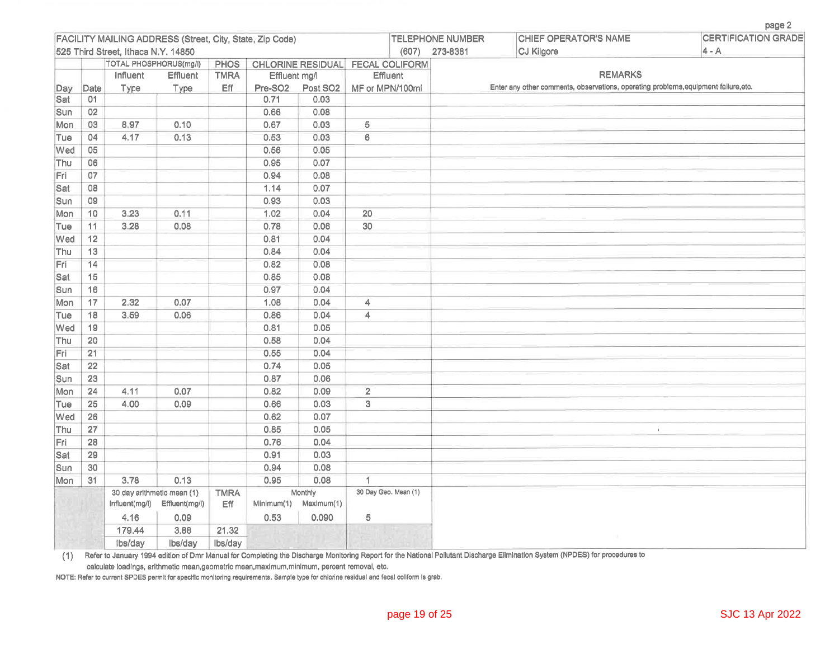|            |                 |                                     |                                                             |                    |                     |                       |                                  |                         |                                                                                     | page 2                     |
|------------|-----------------|-------------------------------------|-------------------------------------------------------------|--------------------|---------------------|-----------------------|----------------------------------|-------------------------|-------------------------------------------------------------------------------------|----------------------------|
|            |                 |                                     | FACILITY MAILING ADDRESS (Street, City, State, Zip Code)    |                    |                     |                       |                                  | <b>TELEPHONE NUMBER</b> | CHIEF OPERATOR'S NAME                                                               | <b>CERTIFICATION GRADE</b> |
|            |                 | 525 Third Street, Ithaca N.Y. 14850 |                                                             |                    |                     |                       | (607)                            | 273-8381                | CJ Kilgore                                                                          | $4 - A$                    |
|            |                 | TOTAL PHOSPHORUS(mg/l)              |                                                             | <b>PHOS</b>        |                     |                       | CHLORINE RESIDUAL FECAL COLIFORM |                         |                                                                                     |                            |
|            |                 | Influent                            | Effluent                                                    | <b>TMRA</b>        | Effluent mg/l       |                       | Effluent                         |                         | <b>REMARKS</b>                                                                      |                            |
| Day        | Date            | Type                                | Type                                                        | Eff                | Pre-SO <sub>2</sub> | Post SO <sub>2</sub>  | MF or MPN/100ml                  |                         | Enter any other comments, observations, operating problems, equipment failure, etc. |                            |
| Sat        | 01              |                                     |                                                             |                    | 0.71                | 0.03                  |                                  |                         |                                                                                     |                            |
| Sun        | 02              |                                     |                                                             |                    | 0.66                | 0.08                  |                                  |                         |                                                                                     |                            |
| Mon        | 03              | 8.97                                | 0.10                                                        |                    | 0.67                | 0.03                  | 5                                |                         |                                                                                     |                            |
| Tue        | 04              | 4.17                                | 0.13                                                        |                    | 0.53                | 0.03                  | $6\overline{6}$                  |                         |                                                                                     |                            |
| Wed        | 05              |                                     |                                                             |                    | 0.56                | 0.05                  |                                  |                         |                                                                                     |                            |
| Thu        | 06              |                                     |                                                             |                    | 0.95                | 0.07                  |                                  |                         |                                                                                     |                            |
| Fri        | 07              |                                     |                                                             |                    | 0.94                | 0.08                  |                                  |                         |                                                                                     |                            |
| Sat        | 08              |                                     |                                                             |                    | 1.14                | 0.07                  |                                  |                         |                                                                                     |                            |
| Sun        | 09              |                                     |                                                             |                    | 0.93                | 0.03                  |                                  |                         |                                                                                     |                            |
| Mon        | 10              | 3.23                                | 0.11                                                        |                    | 1.02                | 0.04                  | $\overline{20}$                  |                         |                                                                                     |                            |
| Tue        | 11              | 3.28                                | 0.08                                                        |                    | 0.78                | 0.06                  | 30                               |                         |                                                                                     |                            |
| Wed        | 12              |                                     |                                                             |                    | 0.81                | 0.04                  |                                  |                         |                                                                                     |                            |
| Thu        | 13              |                                     |                                                             |                    | 0.84                | 0.04                  |                                  |                         |                                                                                     |                            |
| Fri        | 14              |                                     |                                                             |                    | 0.82                | 0.08                  |                                  |                         |                                                                                     |                            |
| Sat        | 15              |                                     |                                                             |                    | 0.85                | 0.08                  |                                  |                         |                                                                                     |                            |
| Sun        | 16              |                                     |                                                             |                    | 0.97                | 0.04                  |                                  |                         |                                                                                     |                            |
| Mon        | 17              | 2.32                                | 0.07                                                        |                    | 1.08                | 0.04                  | 4                                |                         |                                                                                     |                            |
| Tue        | 18              | 3.59                                | 0.06                                                        |                    | 0.86                | 0.04                  | $\overline{4}$                   |                         |                                                                                     |                            |
| Wed        | 19              |                                     |                                                             |                    | 0.81                | 0.05                  |                                  |                         |                                                                                     |                            |
| Thu        | 20              |                                     |                                                             |                    | 0.58                | 0.04                  |                                  |                         |                                                                                     |                            |
| Fri        | 21              |                                     |                                                             |                    | 0.55                | 0.04                  |                                  |                         |                                                                                     |                            |
| Sat        | $\overline{22}$ |                                     |                                                             |                    | 0.74                | 0.05                  |                                  |                         |                                                                                     |                            |
| <b>Sun</b> | 23              |                                     |                                                             |                    | 0.87                | 0.06                  |                                  |                         |                                                                                     |                            |
| Mon        | 24              | 4.11                                | 0.07                                                        |                    | 0.82                | 0.09                  | $\overline{2}$                   |                         |                                                                                     |                            |
| Tue        | 25              | 4.00                                | 0.09                                                        |                    | 0.66                | 0.03                  | 3                                |                         |                                                                                     |                            |
| Wed        | 26              |                                     |                                                             |                    | 0.62                | 0.07                  |                                  |                         |                                                                                     |                            |
| Thu        | 27              |                                     |                                                             |                    | 0.85                | 0.05                  |                                  |                         | $\mathbf{r}$                                                                        |                            |
| Fri        | 28              |                                     |                                                             |                    | 0.76                | 0.04                  |                                  |                         |                                                                                     |                            |
| Sat        | 29              |                                     |                                                             |                    | 0.91                | 0.03                  |                                  |                         |                                                                                     |                            |
| Sun        | 30              |                                     |                                                             |                    | 0.94                | 0.08                  |                                  |                         |                                                                                     |                            |
| Mon        | 31              | 3.78                                | 0.13                                                        |                    | 0.95                | 0.08                  | 1                                |                         |                                                                                     |                            |
|            |                 |                                     | 30 day arithmetic mean (1)<br>Influent(mg/l) Effluent(mg/l) | <b>TMRA</b><br>Eff | Minimum(1)          | Monthly<br>Maximum(1) | 30 Day Geo. Mean (1)             |                         |                                                                                     |                            |
|            |                 | 4.16                                | 0.09                                                        |                    | 0.53                | 0.090                 | $\overline{5}$                   |                         |                                                                                     |                            |
|            |                 | 179.44                              | 3.88                                                        | 21.32              |                     |                       |                                  |                         |                                                                                     |                            |
|            |                 | ibs/day                             | Ibs/dav                                                     | lbs/day            |                     |                       |                                  |                         |                                                                                     |                            |

(1) Refer to January 1994 edition of Dmr Manual for Completing the Discharge Monitoring Report for the National Pollutant Discharge Elimination System (NPDES) for procedures to

calculate loadings, arithmetic mean,geometric mean,maximum,minimum, percent removal, etc.

NOTE: Refer to current SPDES permit for specific monitoring requirements. Sample type for chlorine residual and fecal coliform is grab.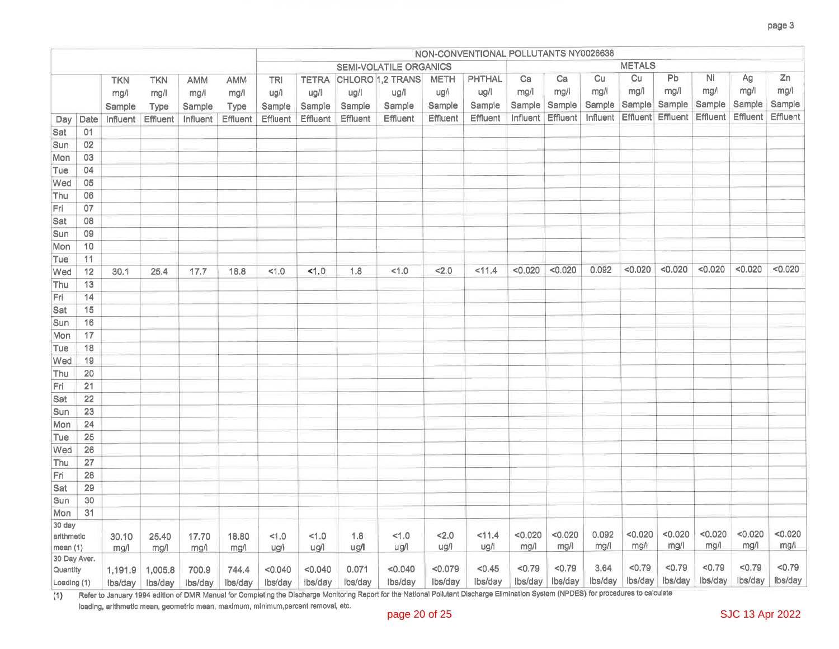|                        |                 |                |                 |               |               |             |                 |             |                               |             | NON-CONVENTIONAL POLLUTANTS NY0026638 |         |                   |         |                      |                            |          |                 |          |
|------------------------|-----------------|----------------|-----------------|---------------|---------------|-------------|-----------------|-------------|-------------------------------|-------------|---------------------------------------|---------|-------------------|---------|----------------------|----------------------------|----------|-----------------|----------|
|                        |                 |                |                 |               |               |             |                 |             | <b>SEMI-VOLATILE ORGANICS</b> |             |                                       |         |                   |         | <b>METALS</b>        |                            |          |                 |          |
|                        |                 | <b>TKN</b>     | <b>TKN</b>      | <b>AMM</b>    | AMM           | <b>TRI</b>  | <b>TETRA</b>    |             | CHLORO 1,2 TRANS              | <b>METH</b> | <b>PHTHAL</b>                         | Ca      | Ca                | Cu      | Cu                   | Pb                         | Ni       | Ag              | Zn       |
|                        |                 | mg/l           | mg/l            | mg/l          | mg/l          | ug/l        | ug/l            | ug/l        | ug/l                          | ug/l        | ug/l                                  | mg/l    | mg/1              | mg/l    | mg/l                 | mg/l                       | mg/l     | mg/l            | mg/l     |
|                        |                 | Sample         | Type            | Sample        | Type          | Sample      | Sample          | Sample      | Sample                        | Sample      | Sample                                |         | Sample Sample     |         | Sample Sample Sample |                            | Sample   | Sample          | Sample   |
| Day                    | Date            | Influent       | <b>Effluent</b> | Influent      | Effluent      | Effluent    | <b>Effluent</b> | Effluent    | Effluent                      | Effluent    | Effluent                              |         | Influent Effluent |         |                      | Influent Effluent Effluent | Effluent | <b>Effluent</b> | Effluent |
| Sat                    | 01              |                |                 |               |               |             |                 |             |                               |             |                                       |         |                   |         |                      |                            |          |                 |          |
| Sun                    | 02              |                |                 |               |               |             |                 |             |                               |             |                                       |         |                   |         |                      |                            |          |                 |          |
| Mon                    | 03              |                |                 |               |               |             |                 |             |                               |             |                                       |         |                   |         |                      |                            |          |                 |          |
| Tue                    | 04              |                |                 |               |               |             |                 |             |                               |             |                                       |         |                   |         |                      |                            |          |                 |          |
| Wed                    | 05              |                |                 |               |               |             |                 |             |                               |             |                                       |         |                   |         |                      |                            |          |                 |          |
| Thu                    | 06              |                |                 |               |               |             |                 |             |                               |             |                                       |         |                   |         |                      |                            |          |                 |          |
| Fri                    | 07              |                |                 |               |               |             |                 |             |                               |             |                                       |         |                   |         |                      |                            |          |                 |          |
| Sat                    | 08              |                |                 |               |               |             |                 |             |                               |             |                                       |         |                   |         |                      |                            |          |                 |          |
| Sun                    | 09              |                |                 |               |               |             |                 |             |                               |             |                                       |         |                   |         |                      |                            |          |                 |          |
| Mon                    | 10              |                |                 |               |               |             |                 |             |                               |             |                                       |         |                   |         |                      |                            |          |                 |          |
| Tue                    | 11              |                |                 |               |               |             |                 |             |                               |             |                                       |         |                   |         |                      |                            |          |                 |          |
| Wed                    | 12              | 30.1           | 25.4            | 17.7          | 18.8          | 1.0         | 1.0             | 1.8         | 1.0                           | 2.0         | 11.4                                  | < 0.020 | < 0.020           | 0.092   | < 0.020              | < 0.020                    | < 0.020  | < 0.020         | < 0.020  |
| Thu                    | 13              |                |                 |               |               |             |                 |             |                               |             |                                       |         |                   |         |                      |                            |          |                 |          |
| Fri                    | 14              |                |                 |               |               |             |                 |             |                               |             |                                       |         |                   |         |                      |                            |          |                 |          |
| Sat                    | 15              |                |                 |               |               |             |                 |             |                               |             |                                       |         |                   |         |                      |                            |          |                 |          |
| Sun                    | 16              |                |                 |               |               |             |                 |             |                               |             |                                       |         |                   |         |                      |                            |          |                 |          |
| Mon                    | 17              |                |                 |               |               |             |                 |             |                               |             |                                       |         |                   |         |                      |                            |          |                 |          |
| Tue                    | 18              |                |                 |               |               |             |                 |             |                               |             |                                       |         |                   |         |                      |                            |          |                 |          |
| Wed                    | 19              |                |                 |               |               |             |                 |             |                               |             |                                       |         |                   |         |                      |                            |          |                 |          |
| Thu                    | 20              |                |                 |               |               |             |                 |             |                               |             |                                       |         |                   |         |                      |                            |          |                 |          |
| Fri                    | 21              |                |                 |               |               |             |                 |             |                               |             |                                       |         |                   |         |                      |                            |          |                 |          |
| Sat                    | 22              |                |                 |               |               |             |                 |             |                               |             |                                       |         |                   |         |                      |                            |          |                 |          |
| Sun                    | 23              |                |                 |               |               |             |                 |             |                               |             |                                       |         |                   |         |                      |                            |          |                 |          |
| Mon                    | 24              |                |                 |               |               |             |                 |             |                               |             |                                       |         |                   |         |                      |                            |          |                 |          |
| Tue                    | 25              |                |                 |               |               |             |                 |             |                               |             |                                       |         |                   |         |                      |                            |          |                 |          |
| Wed                    | $\overline{26}$ |                |                 |               |               |             |                 |             |                               |             |                                       |         |                   |         |                      |                            |          |                 |          |
| Thu                    | 27              |                |                 |               |               |             |                 |             |                               |             |                                       |         |                   |         |                      |                            |          |                 |          |
| Fri                    | 28              |                |                 |               |               |             |                 |             |                               |             |                                       |         |                   |         |                      |                            |          |                 |          |
| Sat                    | 29              |                |                 |               |               |             |                 |             |                               |             |                                       |         |                   |         |                      |                            |          |                 |          |
| Sun                    | 30              |                |                 |               |               |             |                 |             |                               |             |                                       |         |                   |         |                      |                            |          |                 |          |
| Mon                    | 31              |                |                 |               |               |             |                 |             |                               |             |                                       |         |                   |         |                      |                            |          |                 |          |
| 30 day                 |                 |                |                 |               |               |             |                 |             |                               | 2.0         |                                       | < 0.020 | < 0.020           | 0.092   | < 0.020              | < 0.020                    | < 0.020  | < 0.020         | < 0.020  |
| arithmetic<br>mean (1) |                 | 30.10<br>mg/l  | 25.40<br>mg/l   | 17.70<br>mg/l | 18.80<br>mg/l | 1.0<br>ug/l | 1.0<br>ug/l     | 1.8<br>ug/l | 1.0<br>ug/l                   | ug/l        | 11.4<br>ug/l                          | mg/l    | mg/l              | mg/l    | mg/l                 | mg/l                       | mg/l     | mg/l            | mg/l     |
| 30 Day Aver.           |                 |                |                 |               |               |             |                 |             |                               |             |                                       |         |                   |         |                      |                            |          |                 |          |
| Quantity               |                 | 1,191.9        | 1,005.8         | 700.9         | 744.4         | < 0.040     | < 0.040         | 0.071       | < 0.040                       | < 0.079     | < 0.45                                | < 0.79  | < 0.79            | 3.64    | < 0.79               | < 0.79                     | < 0.79   | < 0.79          | < 0.79   |
| Loading (1)            |                 | $\frac{1}{10}$ | lbs/dav         | lbs/dav       | lbs/dav       | lbs/day     | ibs/day         | lbs/dav     | Ibs/dav                       | lbs/day     | lbs/day                               | Ibs/day | Ibs/day           | Ibs/day |                      | Ibs/day bs/day             | Ibs/day  | lbs/day         | Ibs/day  |

(1) Refer to January 1994 edition of DMR Manual for Completing the Discharge Monitoring Report for the National Pollutant Discharge Elimination System (NPDES) for procedures to calculate

loading, arithmetic mean, geometric mean, maximum, minimum, percent removal, etc.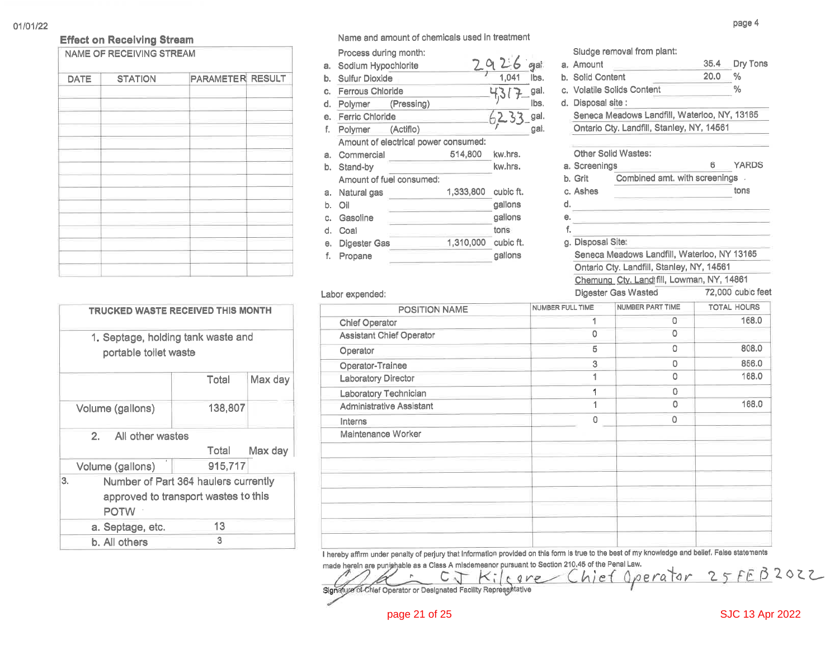#### **Effect on Receiving Stream** NAME OF RECEIVING STREAM

| <b>DATE</b> | <b>STATION</b> | PARAMETER RESULT |
|-------------|----------------|------------------|
|             |                |                  |
|             |                |                  |
|             |                |                  |
|             |                |                  |
|             |                |                  |
|             |                |                  |
|             |                |                  |
|             |                |                  |
|             |                |                  |
|             |                |                  |
|             |                |                  |
|             |                |                  |
|             |                |                  |
|             |                |                  |

|    | TRUCKED WASTE RECEIVED THIS MONTH                           |                                      |         |
|----|-------------------------------------------------------------|--------------------------------------|---------|
|    | 1. Septage, holding tank waste and<br>portable toilet waste |                                      |         |
|    |                                                             | Total                                | Max day |
|    | Volume (gallons)                                            | 138,807                              |         |
|    | All other wastes<br>2.                                      |                                      |         |
|    |                                                             | Total                                | Max day |
|    | Volume (gallons)                                            | 915,717                              |         |
| 3. |                                                             | Number of Part 364 haulers currently |         |
|    |                                                             | approved to transport wastes to this |         |
|    | <b>POTW</b>                                                 |                                      |         |
|    | a. Septage, etc.                                            | 13                                   |         |
|    | b. All others                                               | 3                                    |         |

Name and amount of chemicals used in treatment

Process during month: 2926 a. Sodium Hypochlorite - ମ୍ବର୍ଣ 1,041 lbs. b. Sulfur Dioxide c. Ferrous Chloride gal. lbs. d. Polymer (Pressing)  $6233$ gal. e. Ferric Chloride gal. f. Polymer (Actiflo) Amount of electrical power consumed: a. Commercial 514,800 kw.hrs. kw.hrs. b. Stand-by Amount of fuel consumed: 1,333,800 cubic ft. a. Natural gas gallons b. Oil Gasoline gallons C. tons d. Coal e. Digester Gas 1,310,000 cubic ft. gallons f. Propane

#### Sludge removal from plant:  $35.4$ Dry Tons a. Amount  $20.0$ b. Solid Content  $\%$  $\frac{0}{0}$ c. Volatile Solids Content d. Disposal site: Seneca Meadows Landfill, Waterloo, NY, 13165 Ontario Cty. Landfill, Stanley, NY, 14561 Other Solid Wastes: ĥ **YARDS** a. Screenings b. Grit Combined amt. with screenings c. Ashes tons

Seneca Meadows Landfill, Waterloo, NY 13165

Ontario Cty. Landfill, Stanley, NY, 14561

Chemung Ctv. Land fill, Lowman, NY, 14861 Digester Gas Wasted 72,000 cubic feet Labor expended: NUMBER PART TIME **TOTAL HOURS** NUMBER FULL TIME POSITION NAME  $\mathbf{1}$  $\overline{0}$ 168.0 **Chief Operator**  $\overline{0}$  $\circ$ **Assistant Chief Operator**  $\overline{5}$  $\circ$ 808.0 Operator  $\overline{3}$  $\circ$ 856.0 Operator-Trainee  $\mathbf{1}$  $\circ$ 168.0 **Laboratory Director**  $\overline{1}$  $\circ$ **Laboratory Technician**  $\mathbf{1}$  $\circ$ 168.0 **Administrative Assistant**  $\overline{0}$  $\overline{O}$ Interns Maintenance Worker

d.

е.

f.

g. Disposal Site:

I hereby affirm under penalty of perjury that Information provided on this form is true to the best of my knowledge and belief. False statements

made herein are punishable as a Class A misdemeanor pursuant to Section 210.45 of the Penal Law. Chief Operator 25FEB2022  $C_{\Lambda}$  $10VP$ Signature of Chief Operator or Designated Facility Representative

## **SJC 13 Apr 2022**

page 4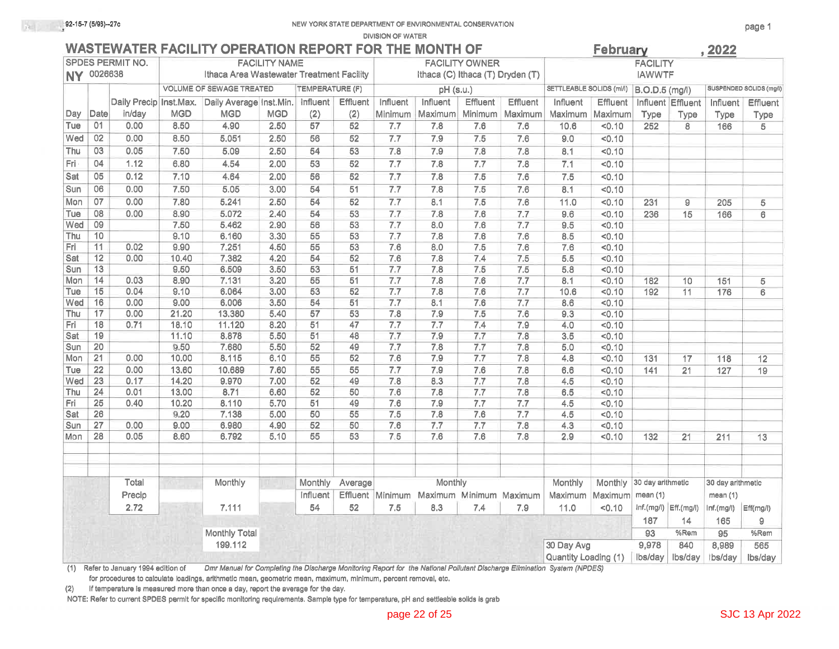**DIVISION OF WATER** 

## WASTEWATER FACILITY OPERATION REPORT FOR THE MONTH OF

|            |                                    |                         |               |                                           |                      |                 |                 |                                          |                                                                               |                       |                 |                          | $\sim$ $\sim$ $\sim$ $\sim$ $\sim$ |                       |                           | $, \underline{\textcolor{red}{\textbf{1}}\textcolor{blue}{\textbf{1}}\textcolor{red}{\textbf{2}}\textcolor{red}{\textbf{5}}\textcolor{red}{\textbf{6}}\textcolor{red}{\textbf{6}}\textcolor{red}{\textbf{6}}\textcolor{red}{\textbf{7}}$ |                         |
|------------|------------------------------------|-------------------------|---------------|-------------------------------------------|----------------------|-----------------|-----------------|------------------------------------------|-------------------------------------------------------------------------------|-----------------------|-----------------|--------------------------|------------------------------------|-----------------------|---------------------------|------------------------------------------------------------------------------------------------------------------------------------------------------------------------------------------------------------------------------------------|-------------------------|
|            |                                    | <b>SPDES PERMIT NO.</b> |               |                                           | <b>FACILITY NAME</b> |                 |                 |                                          |                                                                               | <b>FACILITY OWNER</b> |                 |                          |                                    | <b>FACILITY</b>       |                           |                                                                                                                                                                                                                                          |                         |
|            | NY 0026638                         |                         |               | Ithaca Area Wastewater Treatment Facility |                      |                 |                 |                                          | Ithaca (C) Ithaca (T) Dryden (T)                                              |                       |                 |                          |                                    | <b>IAWWTF</b>         |                           |                                                                                                                                                                                                                                          |                         |
|            |                                    |                         |               | <b>VOLUME OF SEWAGE TREATED</b>           |                      | TEMPERATURE (F) |                 |                                          | pH (s.u.)                                                                     |                       |                 | SETTLEABLE SOLIDS (ml/l) |                                    | <b>B.O.D.5</b> (mg/l) |                           |                                                                                                                                                                                                                                          | SUSPENDED SOLIDS (mg/l) |
|            |                                    | Daily Precip Inst.Max.  |               | Daily Average Inst.Min.                   |                      | Influent        | Effluent        | Influent                                 | Influent                                                                      | Effluent              | <b>Effluent</b> | Influent                 | <b>Effluent</b>                    |                       | Influent Effluent         | Influent                                                                                                                                                                                                                                 | <b>Effluent</b>         |
| Day        | Date                               | in/day                  | <b>MGD</b>    | <b>MGD</b>                                | <b>MGD</b>           | (2)             | (2)             | Minimum                                  | Maximum                                                                       | Minimum               | Maximum         | Maximum                  | Maximum                            | Type                  | Type                      | Type                                                                                                                                                                                                                                     | Type                    |
| Tue        | 01                                 | 0.00                    | 8.50          | 4.90                                      | 2.50                 | 57              | 52              | 7.7                                      | 7.8                                                                           | 7.6                   | 7.6             | 10.6                     | 50.10                              | 252                   | 8                         | 166                                                                                                                                                                                                                                      | 5                       |
| Wed        | 02                                 | 0.00                    | 8.50          | 5.051                                     | 2.50                 | $\overline{56}$ | 52              | 7.7                                      | 7.9                                                                           | 7.5                   | 7.6             | 9.0                      | 50.10                              |                       |                           |                                                                                                                                                                                                                                          |                         |
| Thu        | 03                                 | 0.05                    | 7.50          | 5.09                                      | 2.50                 | $\overline{54}$ | $\overline{53}$ | 7.8                                      | 7.9                                                                           | 7.8                   | 7.8             | 8.1                      | < 0.10                             |                       |                           |                                                                                                                                                                                                                                          |                         |
| Fri        | $\overline{04}$                    | 1.12                    | 6.80          | 4.54                                      | 2.00                 | 53              | $\overline{52}$ | 7.7                                      | 7.8                                                                           | 7.7                   | 7.8             | 7.1                      | 50.10                              |                       |                           |                                                                                                                                                                                                                                          |                         |
| Sat        | 05                                 | 0.12                    | 7.10          | 4.64                                      | 2.00                 | 56              | 52              | 7.7                                      | 7.8                                                                           | 7.5                   | 7.6             | 7.5                      | < 0.10                             |                       |                           |                                                                                                                                                                                                                                          |                         |
| Sun        | 06                                 | 0.00                    | 7.50          | 5.05                                      | 3.00                 | $\overline{54}$ | 51              | 7.7                                      | 7.8                                                                           | 7.5                   | 7.6             | 8.1                      | < 0.10                             |                       |                           |                                                                                                                                                                                                                                          |                         |
| Mon        | 07                                 | 0.00                    | 7.80          | 5.241                                     | 2.50                 | $\overline{54}$ | $\overline{52}$ | 7.7                                      | 8.1                                                                           | 7,5                   | 7.6             | 11.0                     | 50.10                              | 231                   | 9                         | 205                                                                                                                                                                                                                                      | 5                       |
| Tue        | 08                                 | 0.00                    | 8.90          | 5.072                                     | 2.40                 | 54              | 53              | 7.7                                      | 7.8                                                                           | 7.6                   | 7.7             | 9.6                      | 50.10                              | 236                   | 15                        | 166                                                                                                                                                                                                                                      | $6\phantom{a}$          |
| Wed        | 09                                 |                         | 7.50          | 5.462                                     | 2.90                 | 56              | 53              | 7.7                                      | 8.0                                                                           | 7.6                   | 7.7             | 9.5                      | < 0.10                             |                       |                           |                                                                                                                                                                                                                                          |                         |
| Thu        | 10                                 |                         | 9.10          | 6.160                                     | 3.30                 | $\overline{55}$ | $\overline{53}$ | 7.7                                      | 7.8                                                                           | 7.6                   | 7.6             | 8.5                      | 50.10                              |                       |                           |                                                                                                                                                                                                                                          |                         |
| Fri        | 11                                 | 0.02                    | 9.90          | 7.251                                     | 4.50                 | $\overline{55}$ | $\overline{53}$ | 7.6                                      | 8.0                                                                           | 7.5                   | 7.6             | 7.6                      | < 0.10                             |                       |                           |                                                                                                                                                                                                                                          |                         |
| Sat        | 12                                 | 0.00                    | 10.40         | 7.382                                     | 4.20                 | 54              | 52              | 7.6                                      | 7.8                                                                           | 7.4                   | 7.5             | 5.5                      | 50.10                              |                       |                           |                                                                                                                                                                                                                                          |                         |
| Sun        | 13                                 |                         | 9.50          | 6.509                                     | 3.50                 | 53              | 51              | 7.7                                      | 7.8                                                                           | 7.5                   | 7.5             | 5.8                      | 50.10                              |                       |                           |                                                                                                                                                                                                                                          |                         |
| Mon        | 14                                 | 0.03                    | 8.90          | 7.131                                     | 3.20                 | 55              | 51              | 7.7                                      | 7.8                                                                           | 7.6                   | 7.7             | 8.1                      | 50.10                              | 182                   | 10                        | 151                                                                                                                                                                                                                                      | $\overline{5}$          |
| Tue        | 15                                 | 0.04                    | 9.10          | 6.064                                     | 3.00                 | 53              | 52              | 7.7                                      | 7.8                                                                           | 7.6                   | 7.7             | 10.6                     | 50.10                              | 192                   | 11                        | 176                                                                                                                                                                                                                                      | 6                       |
| Wed        | 16                                 | 0.00                    | 9.00          | 6.006                                     | 3.50                 | 54              | 51              | 7.7                                      | 8.1                                                                           | 7.6                   | 7.7             | 8.6                      | < 0.10                             |                       |                           |                                                                                                                                                                                                                                          |                         |
| Thu        | 17                                 | 0.00                    | 21.20         | 13,380                                    | 5.40                 | 57              | 53              | 7.8                                      | 7.9                                                                           | 7.5                   | 7.6             | 9.3                      | 50.10                              |                       |                           |                                                                                                                                                                                                                                          |                         |
| Fri        | 18                                 | 0.71                    | 18.10         | 11.120                                    | 8.20                 | 51              | 47              | $\overline{7.7}$                         | 7.7                                                                           | 7,4                   | 7.9             | 4.0                      | 50.10                              |                       |                           |                                                                                                                                                                                                                                          |                         |
| Sat        | 19                                 |                         | 11.10         | 8.878                                     | 5.50                 | 51              | 48              | 7.7                                      | 7.9                                                                           | 7.7                   | 7.8             | 3.5                      | < 0.10                             |                       |                           |                                                                                                                                                                                                                                          |                         |
| Sun        | 20                                 |                         | 9.50          | 7.680                                     | 5.50                 | $\overline{52}$ | 49              | 7.7                                      | 7.8                                                                           | 7.7                   | 7.8             | 5.0                      | < 0.10                             |                       |                           |                                                                                                                                                                                                                                          |                         |
| Mon        | $\overline{21}$                    | 0.00                    | 10.00         | 8.115                                     | 6.10                 | 55              | 52              | 7,6                                      | 7.9                                                                           | 7.7                   | 7.8             | 4.8                      | 50.10                              | 131                   | 17                        | 118                                                                                                                                                                                                                                      | 12                      |
| Tue        | 22                                 | 0.00                    | 13.60         | 10.689                                    | 7.60                 | 55              | 55              | 7.7                                      | 7.9                                                                           | 7.6                   | 7.8             | 6.6                      | 50.10                              | 141                   | $\overline{21}$           | $\overline{127}$                                                                                                                                                                                                                         | 19                      |
| Wed        | 23                                 | 0.17                    | 14.20         | 9.970                                     | 7.00                 | 52              | 49              | 7.8                                      | 8.3                                                                           | 7.7                   | 7.8             | 4.5                      | 50.10                              |                       |                           |                                                                                                                                                                                                                                          |                         |
| Thu        | $\overline{24}$<br>$\overline{25}$ | 0.01                    | 13.00         | 8.71                                      | 6.60                 | 52<br>51        | 50<br>49        | 7.6<br>7.6                               | 7.8<br>7.9                                                                    | 7.7                   | 7.8             | 6.5                      | 50.10                              |                       |                           |                                                                                                                                                                                                                                          |                         |
| Fri<br>Sat | 26                                 | 0.40                    | 10.20<br>9.20 | 8.110<br>7.138                            | 5.70<br>5.00         | 50              | 55              | 7.5                                      | 7.8                                                                           | 7.7<br>7.6            | 7.7<br>7.7      | 4.5<br>4.5               | 50.10<br>50.10                     |                       |                           |                                                                                                                                                                                                                                          |                         |
| Sun        | 27                                 | 0.00                    | 9.00          | 6.980                                     | 4.90                 | 52              | 50              | 7.6                                      | 7.7                                                                           | 7.7                   | 7.8             | 4.3                      | < 0.10                             |                       |                           |                                                                                                                                                                                                                                          |                         |
| Mon        | 28                                 | 0.05                    | 8,60          | 6.792                                     | 5.10                 | 55              | 53              | 7.5                                      | 7.6                                                                           | 7.6                   | 7.8             | 2.9                      | < 0.10                             | 132                   | 21                        | 211                                                                                                                                                                                                                                      | 13                      |
|            |                                    |                         |               |                                           |                      |                 |                 |                                          |                                                                               |                       |                 |                          |                                    |                       |                           |                                                                                                                                                                                                                                          |                         |
|            |                                    | Total                   |               | Monthly                                   |                      | Monthly         | Average         |                                          | Monthly                                                                       |                       |                 | Monthly                  | Monthly                            | 30 day arithmetic     |                           | 30 day arithmetic                                                                                                                                                                                                                        |                         |
|            |                                    |                         |               |                                           | <b>Influent</b>      |                 |                 | Effluent Minimum Maximum Minimum Maximum |                                                                               |                       |                 |                          | mean(1)                            |                       |                           |                                                                                                                                                                                                                                          |                         |
|            | Precip<br>2.72                     |                         |               |                                           |                      |                 |                 |                                          |                                                                               |                       | Maximum         | Maximum                  |                                    |                       | mean(1)                   |                                                                                                                                                                                                                                          |                         |
|            |                                    |                         |               | 7.111                                     |                      | 54              | 52              | 7.5                                      | 8.3                                                                           | 7.4                   | 7.9             | 11.0                     | < 0.10                             |                       | $lnf.(mg/l)$ $Eff.(mg/l)$ | Inf.(mg/l)                                                                                                                                                                                                                               | Eff(mg/l)               |
|            |                                    |                         |               |                                           |                      |                 |                 |                                          |                                                                               |                       |                 |                          |                                    | 187                   | 14                        | 165                                                                                                                                                                                                                                      | 9                       |
|            |                                    |                         |               | Monthly Total                             |                      |                 |                 |                                          |                                                                               |                       |                 |                          |                                    | 93<br>9,978           | %Rem                      | 95                                                                                                                                                                                                                                       | %Rem                    |
|            |                                    |                         |               | 199.112                                   |                      |                 |                 |                                          |                                                                               |                       |                 | 30 Day Avg<br>lbs/day    |                                    |                       | 840                       | 8,989                                                                                                                                                                                                                                    | 565                     |
|            |                                    |                         |               |                                           |                      |                 |                 |                                          | whatever the Plantenna Admitterium Plannat for the Atotheral Puttitural Plant |                       |                 | Quantity Loading (1)     |                                    |                       | lbs/day                   | Ibs/dav                                                                                                                                                                                                                                  | lbs/day                 |

(1) Refer to January 1994 edition of Dmr Manual for Completing the Discharge Monitoring Report for the National Pollutant Discharge Elimination System (NPDES)

for procedures to calculate loadings, arithmetic mean, geometric mean, maximum, minimum, percent removal, etc.

(2) If temperature is measured more than once a day, report the average for the day.

NOTE: Refer to current SPDES permit for specific monitoring requirements. Sample type for temperature, pH and settleable solids is grab

 $2022$ 

Fohruany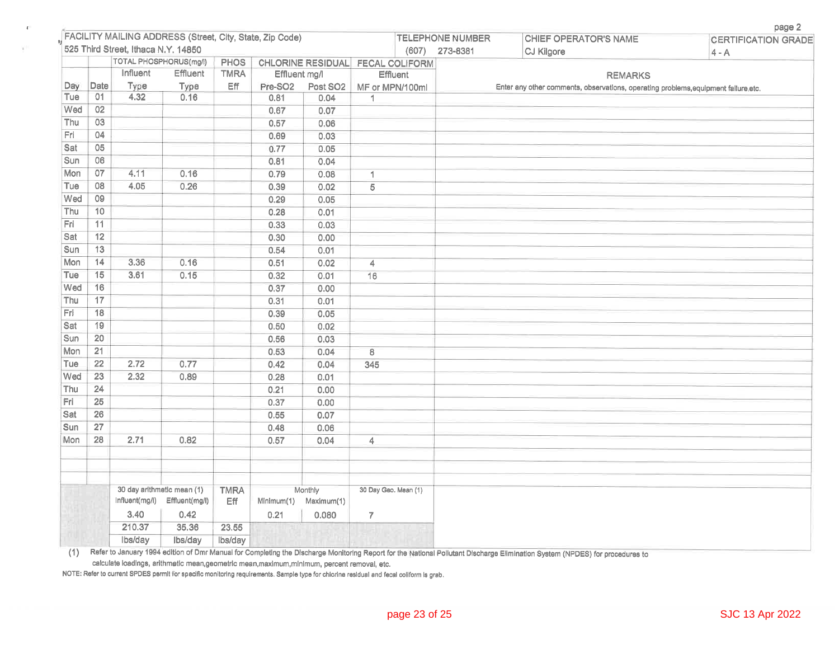|            |                 |                                     |                                                          |                    |                     |                                  |                      |                         |          |                                                                                     | page 2                     |
|------------|-----------------|-------------------------------------|----------------------------------------------------------|--------------------|---------------------|----------------------------------|----------------------|-------------------------|----------|-------------------------------------------------------------------------------------|----------------------------|
|            |                 |                                     | FACILITY MAILING ADDRESS (Street, City, State, Zip Code) |                    |                     |                                  |                      | <b>TELEPHONE NUMBER</b> |          | <b>CHIEF OPERATOR'S NAME</b>                                                        | <b>CERTIFICATION GRADE</b> |
|            |                 | 525 Third Street, Ithaca N.Y. 14850 |                                                          |                    |                     |                                  |                      | (607)                   | 273-8381 | <b>CJ Kilgore</b>                                                                   | $4 - A$                    |
|            |                 |                                     | <b>TOTAL PHOSPHORUS(mg/l)</b>                            | <b>PHOS</b>        |                     | CHLORINE RESIDUAL FECAL COLIFORM |                      |                         |          |                                                                                     |                            |
|            |                 | Influent                            | Effluent                                                 | <b>TMRA</b>        | Effluent mg/l       |                                  | Effluent             |                         |          | <b>REMARKS</b>                                                                      |                            |
| Day<br>Tue | Date<br>01      | Type<br>4.32                        | Туре<br>0.16                                             | Eff                | Pre-SO <sub>2</sub> | Post SO <sub>2</sub>             | MF or MPN/100ml      |                         |          | Enter any other comments, observations, operating problems, equipment failure, etc. |                            |
| Wed        | 02              |                                     |                                                          |                    | 0.81<br>0.67        | 0.04<br>0.07                     | 1                    |                         |          |                                                                                     |                            |
| Thu        | 03              |                                     |                                                          |                    | 0.57                | 0.06                             |                      |                         |          |                                                                                     |                            |
| Fri        | 04              |                                     |                                                          |                    | 0.69                | 0.03                             |                      |                         |          |                                                                                     |                            |
| Sat        | 05              |                                     |                                                          |                    | 0.77                | 0.05                             |                      |                         |          |                                                                                     |                            |
| Sun        | 06              |                                     |                                                          |                    | 0.81                | 0.04                             |                      |                         |          |                                                                                     |                            |
| Mon        | 07              | 4.11                                | 0.16                                                     |                    | 0.79                | 0.08                             | 1                    |                         |          |                                                                                     |                            |
| Tue        | $\overline{08}$ | 4.05                                | 0.26                                                     |                    | 0.39                | 0.02                             | $\overline{5}$       |                         |          |                                                                                     |                            |
| Wed        | 09              |                                     |                                                          |                    | 0.29                | 0.05                             |                      |                         |          |                                                                                     |                            |
| Thu        | 10              |                                     |                                                          |                    | 0.28                | 0.01                             |                      |                         |          |                                                                                     |                            |
| Fri        | 11              |                                     |                                                          |                    | 0.33                | 0.03                             |                      |                         |          |                                                                                     |                            |
| Sat        | $\overline{12}$ |                                     |                                                          |                    | 0.30                | 0.00                             |                      |                         |          |                                                                                     |                            |
| Sun        | 13              |                                     |                                                          |                    | 0.54                | 0.01                             |                      |                         |          |                                                                                     |                            |
| Mon        | 14              | 3.36                                | 0.16                                                     |                    | 0.51                | 0.02                             | 4                    |                         |          |                                                                                     |                            |
| Tue        | 15              | 3.61                                | 0.15                                                     |                    | 0.32                | 0.01                             | $\overline{16}$      |                         |          |                                                                                     |                            |
| Wed        | 16              |                                     |                                                          |                    | 0.37                | 0.00                             |                      |                         |          |                                                                                     |                            |
| Thu        | 17              |                                     |                                                          |                    | 0.31                | 0.01                             |                      |                         |          |                                                                                     |                            |
| Fri        | 18              |                                     |                                                          |                    | 0.39                | 0.05                             |                      |                         |          |                                                                                     |                            |
| Sat        | 19              |                                     |                                                          |                    | 0.50                | 0.02                             |                      |                         |          |                                                                                     |                            |
| Sun        | $\overline{20}$ |                                     |                                                          |                    | 0.56                | 0.03                             |                      |                         |          |                                                                                     |                            |
| Mon        | 21              |                                     |                                                          |                    | 0.53                | 0.04                             | $\overline{8}$       |                         |          |                                                                                     |                            |
| Tue        | 22              | 2.72                                | 0.77                                                     |                    | 0.42                | 0.04                             | 345                  |                         |          |                                                                                     |                            |
| Wed        | 23              | 2.32                                | 0.89                                                     |                    | 0.28                | 0.01                             |                      |                         |          |                                                                                     |                            |
| Thu        | 24              |                                     |                                                          |                    | 0.21                | 0.00                             |                      |                         |          |                                                                                     |                            |
| Fri        | 25              |                                     |                                                          |                    | 0.37                | 0.00                             |                      |                         |          |                                                                                     |                            |
| Sat        | 26              |                                     |                                                          |                    | 0.55                | 0.07                             |                      |                         |          |                                                                                     |                            |
| Sun        | $\overline{27}$ |                                     |                                                          |                    | 0.48                | 0.06                             |                      |                         |          |                                                                                     |                            |
| Mon        | 28              | 2.71                                | 0.82                                                     |                    | 0.57                | 0.04                             | 4                    |                         |          |                                                                                     |                            |
|            |                 |                                     |                                                          |                    |                     |                                  |                      |                         |          |                                                                                     |                            |
|            |                 |                                     |                                                          |                    |                     |                                  |                      |                         |          |                                                                                     |                            |
|            |                 |                                     |                                                          |                    |                     |                                  |                      |                         |          |                                                                                     |                            |
|            |                 | Influent(mg/l)                      | 30 day arithmetic mean (1)<br>Effluent(mg/l)             | <b>TMRA</b><br>Eff | Minimum(1)          | Monthly<br>Maximum(1)            | 30 Day Geo. Mean (1) |                         |          |                                                                                     |                            |
|            |                 | 3.40                                | 0.42                                                     |                    | 0.21                | 0.080                            | $\overline{7}$       |                         |          |                                                                                     |                            |
|            |                 | 210.37                              | 35,36                                                    | 23.55              |                     |                                  |                      |                         |          |                                                                                     |                            |
|            |                 | lbs/day                             | Ibs/day                                                  | lbs/day            |                     |                                  |                      |                         |          |                                                                                     |                            |

(1) Refer to January 1994 edition of Dmr Manual for Completing the Discharge Monitoring Report for the National Pollutant Discharge Elimination System (NPDES) for procedures to calculate loadings, arithmetic mean,geometric mean,maximum,minimum, percent removal, etc.

NOTE: Refer to current SPDES permit for specific monitoring requirements. Sample type for chlorine residual and fecal coliform is grab.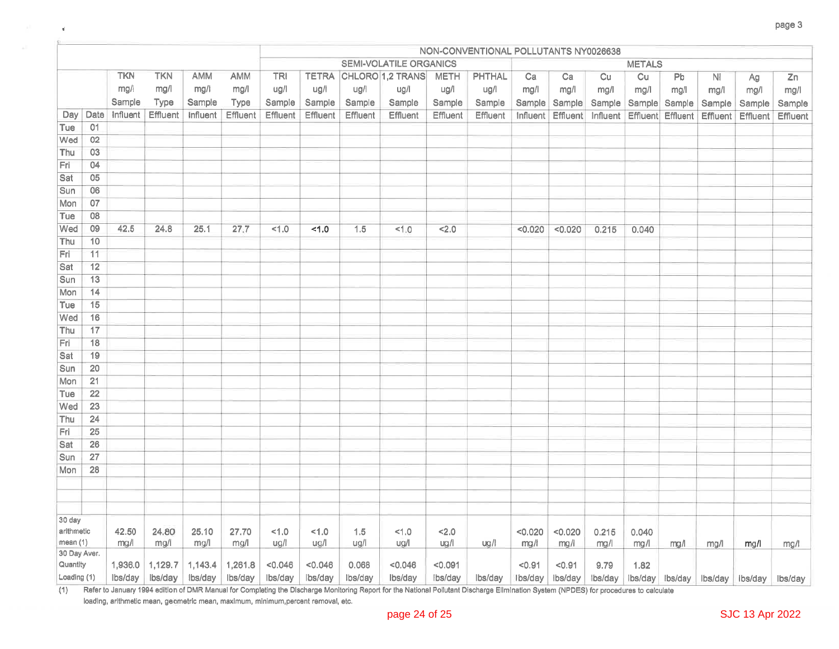|                          |                 |            |            |          |          | NON-CONVENTIONAL POLLUTANTS NY0026638 |          |          |                               |             |          |          |          |          |               |          |                                 |          |          |
|--------------------------|-----------------|------------|------------|----------|----------|---------------------------------------|----------|----------|-------------------------------|-------------|----------|----------|----------|----------|---------------|----------|---------------------------------|----------|----------|
|                          |                 |            |            |          |          |                                       |          |          | <b>SEMI-VOLATILE ORGANICS</b> |             |          |          |          |          | <b>METALS</b> |          |                                 |          |          |
|                          |                 | <b>TKN</b> | <b>TKN</b> | AMM      | AMM      | <b>TRI</b>                            |          |          | <b>TETRA CHLORO 1,2 TRANS</b> | <b>METH</b> | PHTHAL   | Ca       | Ca       | Cu       | Cu            | Pb       | Ni                              | Ag       | Zn       |
|                          |                 | mg/l       | mg/l       | mg/l     | mg/l     | ug/l                                  | ug/l     | ug/l     | ug/l                          | ug/l        | ug/l     | mg/l     | mg/l     | mg/1     | mg/l          | mg/l     | mg/l                            | mg/l     | mg/l     |
|                          |                 | Sample     | Type       | Sample   | Type     | Sample                                | Sample   | Sample   | Sample                        | Sample      | Sample   | Sample   | Sample   | Sample   | Sample        | Sample   | Sample                          | Sample   | Sample   |
| Day                      | Date            | Influent   | Effluent   | Influent | Effluent | Effluent                              | Effluent | Effluent | Effluent                      | Effluent    | Effluent | Influent | Effluent | Influent | Effluent      | Effluent | Effluent                        | Effluent | Effluent |
| Tue                      | 01              |            |            |          |          |                                       |          |          |                               |             |          |          |          |          |               |          |                                 |          |          |
| Wed                      | 02              |            |            |          |          |                                       |          |          |                               |             |          |          |          |          |               |          |                                 |          |          |
| Thu                      | 03              |            |            |          |          |                                       |          |          |                               |             |          |          |          |          |               |          |                                 |          |          |
| Fri                      | 04              |            |            |          |          |                                       |          |          |                               |             |          |          |          |          |               |          |                                 |          |          |
| Sat                      | 05              |            |            |          |          |                                       |          |          |                               |             |          |          |          |          |               |          |                                 |          |          |
| Sun                      | 06              |            |            |          |          |                                       |          |          |                               |             |          |          |          |          |               |          |                                 |          |          |
| Mon                      | 07              |            |            |          |          |                                       |          |          |                               |             |          |          |          |          |               |          |                                 |          |          |
| Tue                      | 08              |            |            |          |          |                                       |          |          |                               |             |          |          |          |          |               |          |                                 |          |          |
| Wed                      | 09              | 42.5       | 24.8       | 25.1     | 27.7     | 1.0                                   | 1.0      | 1.5      | 1.0                           | 2.0         |          | < 0.020  | < 0.020  | 0.215    | 0.040         |          |                                 |          |          |
| Thu                      | 10              |            |            |          |          |                                       |          |          |                               |             |          |          |          |          |               |          |                                 |          |          |
| Fri                      | 11              |            |            |          |          |                                       |          |          |                               |             |          |          |          |          |               |          |                                 |          |          |
| Sat                      | $\overline{12}$ |            |            |          |          |                                       |          |          |                               |             |          |          |          |          |               |          |                                 |          |          |
| Sun                      | 13              |            |            |          |          |                                       |          |          |                               |             |          |          |          |          |               |          |                                 |          |          |
| Mon                      | 14              |            |            |          |          |                                       |          |          |                               |             |          |          |          |          |               |          |                                 |          |          |
| Tue                      | 15              |            |            |          |          |                                       |          |          |                               |             |          |          |          |          |               |          |                                 |          |          |
| Wed                      | 16              |            |            |          |          |                                       |          |          |                               |             |          |          |          |          |               |          |                                 |          |          |
| Thu                      | 17              |            |            |          |          |                                       |          |          |                               |             |          |          |          |          |               |          |                                 |          |          |
| Fri                      | 18              |            |            |          |          |                                       |          |          |                               |             |          |          |          |          |               |          |                                 |          |          |
| Sat                      | 19<br>20        |            |            |          |          |                                       |          |          |                               |             |          |          |          |          |               |          |                                 |          |          |
| Sun<br>Mon               | 21              |            |            |          |          |                                       |          |          |                               |             |          |          |          |          |               |          |                                 |          |          |
| Tue                      | 22              |            |            |          |          |                                       |          |          |                               |             |          |          |          |          |               |          |                                 |          |          |
| Wed                      | 23              |            |            |          |          |                                       |          |          |                               |             |          |          |          |          |               |          |                                 |          |          |
| Thu                      | $\overline{24}$ |            |            |          |          |                                       |          |          |                               |             |          |          |          |          |               |          |                                 |          |          |
| Fri                      | 25              |            |            |          |          |                                       |          |          |                               |             |          |          |          |          |               |          |                                 |          |          |
| Sat                      | 26              |            |            |          |          |                                       |          |          |                               |             |          |          |          |          |               |          |                                 |          |          |
| Sun                      | 27              |            |            |          |          |                                       |          |          |                               |             |          |          |          |          |               |          |                                 |          |          |
| Mon                      | 28              |            |            |          |          |                                       |          |          |                               |             |          |          |          |          |               |          |                                 |          |          |
|                          |                 |            |            |          |          |                                       |          |          |                               |             |          |          |          |          |               |          |                                 |          |          |
|                          |                 |            |            |          |          |                                       |          |          |                               |             |          |          |          |          |               |          |                                 |          |          |
|                          |                 |            |            |          |          |                                       |          |          |                               |             |          |          |          |          |               |          |                                 |          |          |
| 30 day                   |                 |            |            |          |          |                                       |          |          |                               |             |          |          |          |          |               |          |                                 |          |          |
| arithmetic               |                 | 42.50      | 24.80      | 25.10    | 27.70    | 1.0                                   | 1.0      | 1.5      | 1.0                           | 2.0         |          | < 0.020  | < 0.020  | 0.215    | 0.040         |          |                                 |          |          |
| mean (1)<br>30 Day Aver. |                 | mg/l       | mg/l       | mg/l     | mg/l     | ug/l                                  | ug/l     | ug/l     | ug/l                          | ug/l        | ug/l     | mg/l     | mg/l     | mg/l     | mg/l          | mg/l     | mg/l                            | mq/1     | mg/l     |
| Quantity                 |                 | 1,936.0    | 1,129.7    | 1,143.4  | 1,261.8  | < 0.046                               | < 0.046  | 0.068    | < 0.046                       | < 0.091     |          | < 0.91   | < 0.91   | 9.79     | 1.82          |          |                                 |          |          |
| Loading (1)              |                 | Ibs/day    | lbs/day    | Ibs/day  | Ibs/day  | lbs/day                               | lbs/day  | Ibs/day  | lbs/day                       | lbs/day     | lbs/day  | lbs/day  | lbs/day  | Ibs/day  |               |          | Ibs/day Ibs/day Ibs/day Ibs/day |          | lbs/day  |

 $(1)$ Refer to January 1994 edition of DMR Manual for Completing the Discharge Monitoring Report for the National Pollutant Discharge Ellmination System (NPDES) for procedures to calculate

loading, arithmetic mean, geometric mean, maximum, minimum, percent removal, etc.

 $\mathbf{q}^{\prime}$